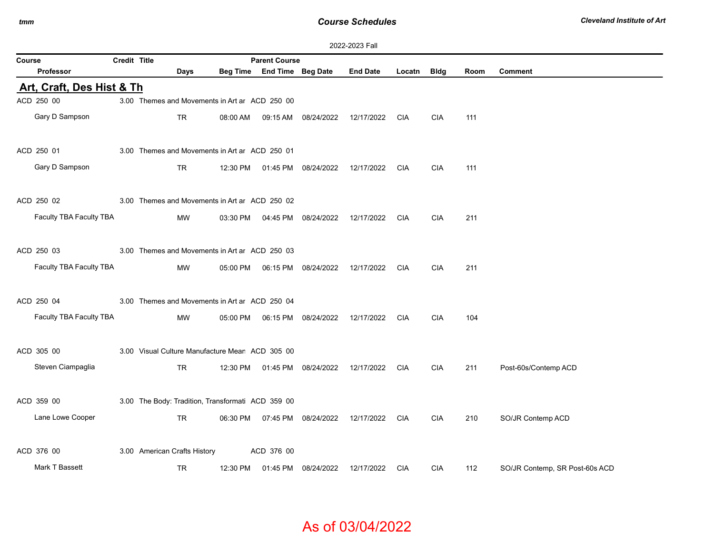## *Course Schedules*

|            | 2022-2023 Fall            |              |                                                   |          |                                |                     |                 |            |             |      |                                |  |
|------------|---------------------------|--------------|---------------------------------------------------|----------|--------------------------------|---------------------|-----------------|------------|-------------|------|--------------------------------|--|
| Course     |                           | Credit Title |                                                   |          | <b>Parent Course</b>           |                     |                 |            |             |      |                                |  |
|            | <b>Professor</b>          |              | Days                                              |          | Beg Time End Time Beg Date     |                     | <b>End Date</b> | Locatn     | <b>Bldg</b> | Room | Comment                        |  |
|            | Art, Craft, Des Hist & Th |              |                                                   |          |                                |                     |                 |            |             |      |                                |  |
| ACD 250 00 |                           |              | 3.00 Themes and Movements in Art ar ACD 250 00    |          |                                |                     |                 |            |             |      |                                |  |
|            | Gary D Sampson            |              | TR                                                | 08:00 AM | 09:15 AM                       | 08/24/2022          | 12/17/2022      | CIA        | <b>CIA</b>  | 111  |                                |  |
| ACD 250 01 |                           |              | 3.00 Themes and Movements in Art ar ACD 250 01    |          |                                |                     |                 |            |             |      |                                |  |
|            | Gary D Sampson            |              | TR                                                | 12:30 PM | 01:45 PM                       | 08/24/2022          | 12/17/2022      | CIA        | <b>CIA</b>  | 111  |                                |  |
| ACD 250 02 |                           |              | 3.00 Themes and Movements in Art ar ACD 250 02    |          |                                |                     |                 |            |             |      |                                |  |
|            |                           |              |                                                   |          |                                |                     |                 |            |             |      |                                |  |
|            | Faculty TBA Faculty TBA   |              | MW                                                | 03:30 PM |                                | 04:45 PM 08/24/2022 | 12/17/2022      | CIA        | <b>CIA</b>  | 211  |                                |  |
| ACD 250 03 |                           |              | 3.00 Themes and Movements in Art ar ACD 250 03    |          |                                |                     |                 |            |             |      |                                |  |
|            | Faculty TBA Faculty TBA   |              | MW                                                | 05:00 PM | 06:15 PM                       | 08/24/2022          | 12/17/2022      | CIA        | <b>CIA</b>  | 211  |                                |  |
| ACD 250 04 |                           |              | 3.00 Themes and Movements in Art ar ACD 250 04    |          |                                |                     |                 |            |             |      |                                |  |
|            | Faculty TBA Faculty TBA   |              | MW                                                | 05:00 PM | 06:15 PM                       | 08/24/2022          | 12/17/2022      | CIA        | <b>CIA</b>  | 104  |                                |  |
|            |                           |              |                                                   |          |                                |                     |                 |            |             |      |                                |  |
| ACD 305 00 |                           |              | 3.00 Visual Culture Manufacture Mear ACD 305 00   |          |                                |                     |                 |            |             |      |                                |  |
|            | Steven Ciampaglia         |              | <b>TR</b>                                         |          | 12:30 PM  01:45 PM  08/24/2022 |                     | 12/17/2022      | <b>CIA</b> | <b>CIA</b>  | 211  | Post-60s/Contemp ACD           |  |
| ACD 359 00 |                           |              | 3.00 The Body: Tradition, Transformati ACD 359 00 |          |                                |                     |                 |            |             |      |                                |  |
|            | Lane Lowe Cooper          |              | <b>TR</b>                                         | 06:30 PM |                                | 07:45 PM 08/24/2022 | 12/17/2022      | <b>CIA</b> | <b>CIA</b>  | 210  | SO/JR Contemp ACD              |  |
| ACD 376 00 |                           |              | 3.00 American Crafts History                      |          | ACD 376 00                     |                     |                 |            |             |      |                                |  |
|            | Mark T Bassett            |              | TR                                                | 12:30 PM | 01:45 PM                       | 08/24/2022          | 12/17/2022      | CIA        | <b>CIA</b>  | 112  | SO/JR Contemp, SR Post-60s ACD |  |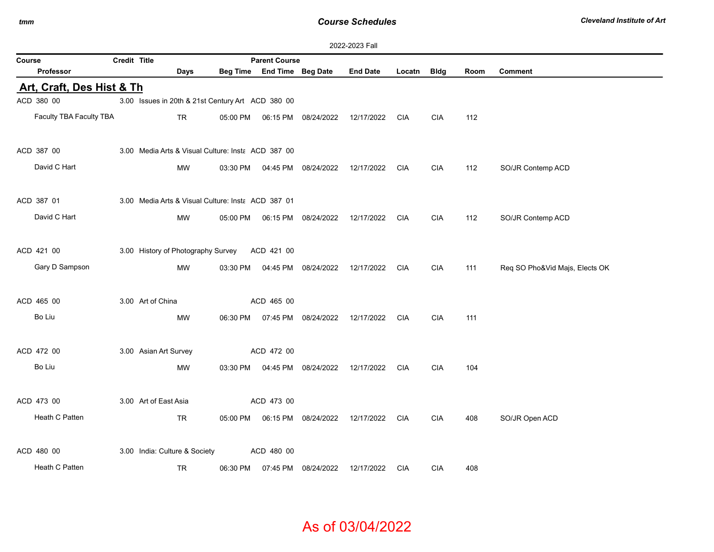### *Course Schedules*

| 2022-2023 Fall                                                     |              |                                                    |          |                            |                     |                 |            |                |      |                                |  |
|--------------------------------------------------------------------|--------------|----------------------------------------------------|----------|----------------------------|---------------------|-----------------|------------|----------------|------|--------------------------------|--|
| Course                                                             | Credit Title |                                                    |          | <b>Parent Course</b>       |                     |                 |            |                |      |                                |  |
| Professor                                                          |              | Days                                               |          | Beg Time End Time Beg Date |                     | <b>End Date</b> | Locatn     | <b>Bldg</b>    | Room | <b>Comment</b>                 |  |
| Art, Craft, Des Hist & Th                                          |              |                                                    |          |                            |                     |                 |            |                |      |                                |  |
| ACD 380 00                                                         |              | 3.00 Issues in 20th & 21st Century Art ACD 380 00  |          |                            |                     |                 |            |                |      |                                |  |
| Faculty TBA Faculty TBA                                            |              | <b>TR</b>                                          | 05:00 PM |                            | 06:15 PM 08/24/2022 | 12/17/2022      | <b>CIA</b> | $\mathsf{CIA}$ | 112  |                                |  |
|                                                                    |              |                                                    |          |                            |                     |                 |            |                |      |                                |  |
| ACD 387 00                                                         |              | 3.00 Media Arts & Visual Culture: Insta ACD 387 00 |          |                            |                     |                 |            |                |      |                                |  |
| David C Hart                                                       |              | <b>MW</b>                                          | 03:30 PM | 04:45 PM                   | 08/24/2022          | 12/17/2022      | CIA        | <b>CIA</b>     | 112  | SO/JR Contemp ACD              |  |
|                                                                    |              |                                                    |          |                            |                     |                 |            |                |      |                                |  |
| ACD 387 01<br>3.00 Media Arts & Visual Culture: Install ACD 387 01 |              |                                                    |          |                            |                     |                 |            |                |      |                                |  |
| David C Hart                                                       |              | MW                                                 | 05:00 PM | 06:15 PM                   | 08/24/2022          | 12/17/2022      | CIA        | <b>CIA</b>     | 112  | SO/JR Contemp ACD              |  |
|                                                                    |              |                                                    |          |                            |                     |                 |            |                |      |                                |  |
| ACD 421 00                                                         |              | 3.00 History of Photography Survey                 |          | ACD 421 00                 |                     |                 |            |                |      |                                |  |
| Gary D Sampson                                                     |              | MW                                                 | 03:30 PM |                            | 04:45 PM 08/24/2022 | 12/17/2022      | <b>CIA</b> | <b>CIA</b>     | 111  | Req SO Pho&Vid Majs, Elects OK |  |
|                                                                    |              |                                                    |          |                            |                     |                 |            |                |      |                                |  |
| ACD 465 00                                                         |              | 3.00 Art of China                                  |          | ACD 465 00                 |                     |                 |            |                |      |                                |  |
| Bo Liu                                                             |              | <b>MW</b>                                          | 06:30 PM | 07:45 PM                   | 08/24/2022          | 12/17/2022      | <b>CIA</b> | <b>CIA</b>     | 111  |                                |  |
|                                                                    |              |                                                    |          |                            |                     |                 |            |                |      |                                |  |
| ACD 472 00                                                         |              | 3.00 Asian Art Survey                              |          | ACD 472 00                 |                     |                 |            |                |      |                                |  |
| Bo Liu                                                             |              |                                                    |          |                            |                     |                 |            |                |      |                                |  |
|                                                                    |              | MW                                                 | 03:30 PM |                            | 04:45 PM 08/24/2022 | 12/17/2022      | <b>CIA</b> | <b>CIA</b>     | 104  |                                |  |
|                                                                    |              |                                                    |          |                            |                     |                 |            |                |      |                                |  |
| ACD 473 00                                                         |              | 3.00 Art of East Asia                              |          | ACD 473 00                 |                     |                 |            |                |      |                                |  |
| Heath C Patten                                                     |              | TR.                                                | 05:00 PM |                            | 06:15 PM 08/24/2022 | 12/17/2022      | <b>CIA</b> | <b>CIA</b>     | 408  | SO/JR Open ACD                 |  |
|                                                                    |              |                                                    |          |                            |                     |                 |            |                |      |                                |  |
| ACD 480 00                                                         |              | 3.00 India: Culture & Society                      |          | ACD 480 00                 |                     |                 |            |                |      |                                |  |
| Heath C Patten                                                     |              | <b>TR</b>                                          | 06:30 PM | 07:45 PM                   | 08/24/2022          | 12/17/2022      | <b>CIA</b> | <b>CIA</b>     | 408  |                                |  |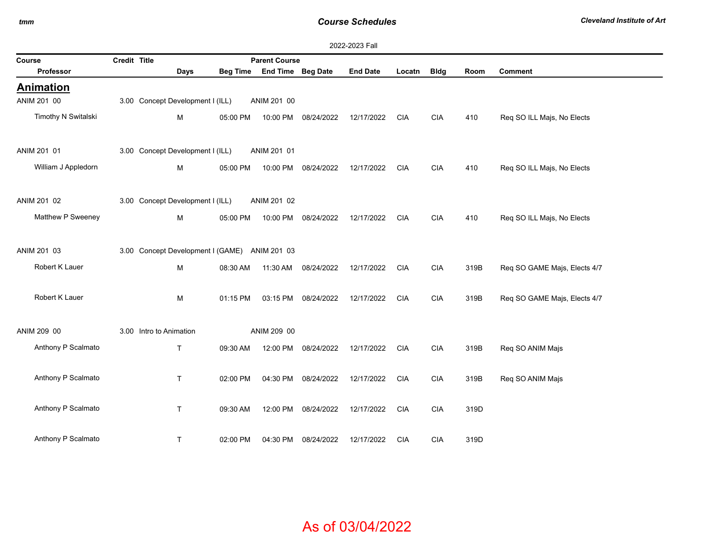## *Course Schedules*

 $\sim$ 

| Course              | Credit Title<br><b>Parent Course</b> |                                               |                 |                   |            |                 |            |                |      |                              |
|---------------------|--------------------------------------|-----------------------------------------------|-----------------|-------------------|------------|-----------------|------------|----------------|------|------------------------------|
| Professor           |                                      | Days                                          | <b>Beg Time</b> | End Time Beg Date |            | <b>End Date</b> | Locatn     | <b>Bldg</b>    | Room | <b>Comment</b>               |
| <b>Animation</b>    |                                      |                                               |                 |                   |            |                 |            |                |      |                              |
| ANIM 201 00         |                                      | 3.00 Concept Development I (ILL)              |                 | ANIM 201 00       |            |                 |            |                |      |                              |
| Timothy N Switalski |                                      | M                                             | 05:00 PM        | 10:00 PM          | 08/24/2022 | 12/17/2022      | <b>CIA</b> | <b>CIA</b>     | 410  | Req SO ILL Majs, No Elects   |
| ANIM 201 01         |                                      | 3.00 Concept Development I (ILL)              |                 | ANIM 201 01       |            |                 |            |                |      |                              |
| William J Appledorn |                                      | M                                             | 05:00 PM        | 10:00 PM          | 08/24/2022 | 12/17/2022      | <b>CIA</b> | <b>CIA</b>     | 410  | Req SO ILL Majs, No Elects   |
| ANIM 201 02         |                                      | 3.00 Concept Development I (ILL)              |                 | ANIM 201 02       |            |                 |            |                |      |                              |
| Matthew P Sweeney   |                                      | M                                             | 05:00 PM        | 10:00 PM          | 08/24/2022 | 12/17/2022      | <b>CIA</b> | <b>CIA</b>     | 410  | Req SO ILL Majs, No Elects   |
| ANIM 201 03         |                                      | 3.00 Concept Development I (GAME) ANIM 201 03 |                 |                   |            |                 |            |                |      |                              |
| Robert K Lauer      |                                      | M                                             | 08:30 AM        | 11:30 AM          | 08/24/2022 | 12/17/2022      | <b>CIA</b> | <b>CIA</b>     | 319B | Req SO GAME Majs, Elects 4/7 |
| Robert K Lauer      |                                      | M                                             | 01:15 PM        | 03:15 PM          | 08/24/2022 | 12/17/2022      | <b>CIA</b> | $\mathsf{CIA}$ | 319B | Req SO GAME Majs, Elects 4/7 |
| ANIM 209 00         |                                      | 3.00 Intro to Animation                       |                 | ANIM 209 00       |            |                 |            |                |      |                              |
| Anthony P Scalmato  |                                      | T                                             | 09:30 AM        | 12:00 PM          | 08/24/2022 | 12/17/2022      | <b>CIA</b> | <b>CIA</b>     | 319B | Reg SO ANIM Majs             |
| Anthony P Scalmato  |                                      | $\sf T$                                       | 02:00 PM        | 04:30 PM          | 08/24/2022 | 12/17/2022      | <b>CIA</b> | $\mathsf{CIA}$ | 319B | Req SO ANIM Majs             |
| Anthony P Scalmato  |                                      | T                                             | 09:30 AM        | 12:00 PM          | 08/24/2022 | 12/17/2022      | <b>CIA</b> | <b>CIA</b>     | 319D |                              |
| Anthony P Scalmato  |                                      | T                                             | 02:00 PM        | 04:30 PM          | 08/24/2022 | 12/17/2022      | <b>CIA</b> | <b>CIA</b>     | 319D |                              |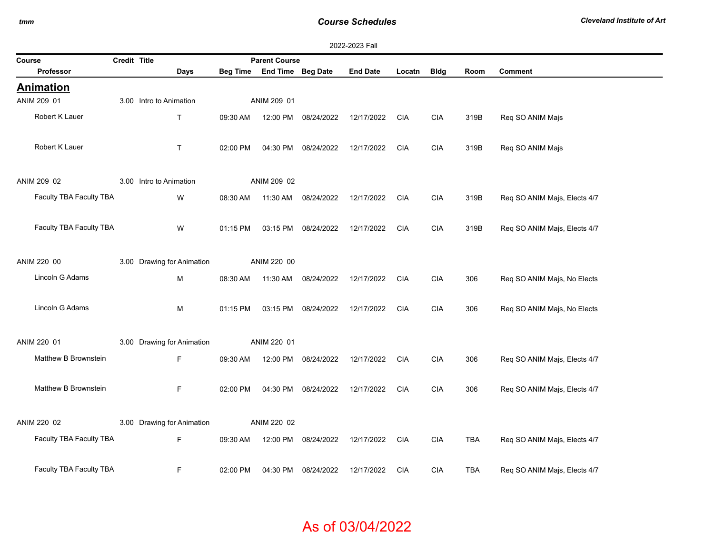## *Course Schedules*

| 2022-2023 Fall          |              |                            |          |                            |                     |                 |            |                |            |                              |  |
|-------------------------|--------------|----------------------------|----------|----------------------------|---------------------|-----------------|------------|----------------|------------|------------------------------|--|
| Course                  | Credit Title |                            |          | <b>Parent Course</b>       |                     |                 |            |                |            |                              |  |
| Professor               |              | Days                       |          | Beg Time End Time Beg Date |                     | <b>End Date</b> | Locatn     | <b>Bldg</b>    | Room       | <b>Comment</b>               |  |
| <b>Animation</b>        |              |                            |          |                            |                     |                 |            |                |            |                              |  |
| ANIM 209 01             |              | 3.00 Intro to Animation    |          | ANIM 209 01                |                     |                 |            |                |            |                              |  |
| Robert K Lauer          |              | $\sf T$                    | 09:30 AM | 12:00 PM                   | 08/24/2022          | 12/17/2022      | <b>CIA</b> | $\mathsf{CIA}$ | 319B       | Req SO ANIM Majs             |  |
| Robert K Lauer          |              | $\mathsf T$                | 02:00 PM | 04:30 PM                   | 08/24/2022          | 12/17/2022      | <b>CIA</b> | <b>CIA</b>     | 319B       | Req SO ANIM Majs             |  |
| ANIM 209 02             |              | 3.00 Intro to Animation    |          | ANIM 209 02                |                     |                 |            |                |            |                              |  |
| Faculty TBA Faculty TBA |              | W                          | 08:30 AM | 11:30 AM                   | 08/24/2022          | 12/17/2022      | CIA        | <b>CIA</b>     | 319B       | Req SO ANIM Majs, Elects 4/7 |  |
| Faculty TBA Faculty TBA |              | W                          | 01:15 PM |                            | 03:15 PM 08/24/2022 | 12/17/2022      | <b>CIA</b> | <b>CIA</b>     | 319B       | Req SO ANIM Majs, Elects 4/7 |  |
| ANIM 220 00             |              | 3.00 Drawing for Animation |          | ANIM 220 00                |                     |                 |            |                |            |                              |  |
| Lincoln G Adams         |              | M                          | 08:30 AM | 11:30 AM                   | 08/24/2022          | 12/17/2022      | <b>CIA</b> | <b>CIA</b>     | 306        | Req SO ANIM Majs, No Elects  |  |
| Lincoln G Adams         |              | M                          | 01:15 PM |                            | 03:15 PM 08/24/2022 | 12/17/2022      | <b>CIA</b> | <b>CIA</b>     | 306        | Req SO ANIM Majs, No Elects  |  |
| ANIM 220 01             |              | 3.00 Drawing for Animation |          | ANIM 220 01                |                     |                 |            |                |            |                              |  |
| Matthew B Brownstein    |              | F                          | 09:30 AM | 12:00 PM                   | 08/24/2022          | 12/17/2022      | <b>CIA</b> | <b>CIA</b>     | 306        | Req SO ANIM Majs, Elects 4/7 |  |
| Matthew B Brownstein    |              | $\mathsf F$                | 02:00 PM | 04:30 PM                   | 08/24/2022          | 12/17/2022      | <b>CIA</b> | <b>CIA</b>     | 306        | Reg SO ANIM Majs, Elects 4/7 |  |
| ANIM 220 02             |              | 3.00 Drawing for Animation |          | ANIM 220 02                |                     |                 |            |                |            |                              |  |
| Faculty TBA Faculty TBA |              | F                          | 09:30 AM | 12:00 PM                   | 08/24/2022          | 12/17/2022      | <b>CIA</b> | <b>CIA</b>     | <b>TBA</b> | Req SO ANIM Majs, Elects 4/7 |  |
| Faculty TBA Faculty TBA |              | F                          | 02:00 PM | 04:30 PM                   | 08/24/2022          | 12/17/2022      | <b>CIA</b> | CIA            | <b>TBA</b> | Req SO ANIM Majs, Elects 4/7 |  |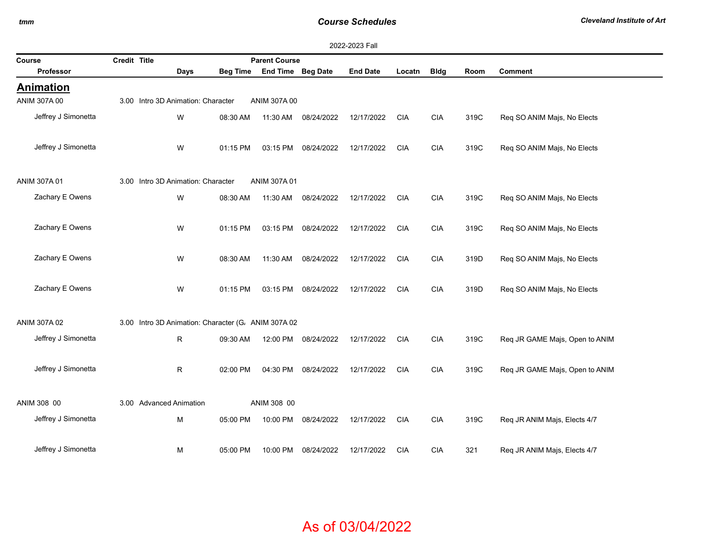### *Course Schedules*

*Cleveland Institute of Art*

| 2022-2023 Fall      |              |                                                     |                 |                      |                     |                 |            |             |      |                                |  |
|---------------------|--------------|-----------------------------------------------------|-----------------|----------------------|---------------------|-----------------|------------|-------------|------|--------------------------------|--|
| Course              | Credit Title |                                                     |                 | <b>Parent Course</b> |                     |                 |            |             |      |                                |  |
| <b>Professor</b>    |              | <b>Days</b>                                         | <b>Beg Time</b> | End Time Beg Date    |                     | <b>End Date</b> | Locatn     | <b>Bldg</b> | Room | <b>Comment</b>                 |  |
| <b>Animation</b>    |              |                                                     |                 |                      |                     |                 |            |             |      |                                |  |
| ANIM 307A 00        |              | 3.00 Intro 3D Animation: Character                  |                 | ANIM 307A 00         |                     |                 |            |             |      |                                |  |
| Jeffrey J Simonetta |              | W                                                   | 08:30 AM        | 11:30 AM             | 08/24/2022          | 12/17/2022      | <b>CIA</b> | <b>CIA</b>  | 319C | Req SO ANIM Majs, No Elects    |  |
| Jeffrey J Simonetta |              | W                                                   | 01:15 PM        | 03:15 PM             | 08/24/2022          | 12/17/2022      | <b>CIA</b> | <b>CIA</b>  | 319C | Req SO ANIM Majs, No Elects    |  |
| ANIM 307A 01        |              | 3.00 Intro 3D Animation: Character                  |                 | ANIM 307A 01         |                     |                 |            |             |      |                                |  |
| Zachary E Owens     |              | W                                                   | 08:30 AM        | 11:30 AM             | 08/24/2022          | 12/17/2022      | <b>CIA</b> | <b>CIA</b>  | 319C | Req SO ANIM Majs, No Elects    |  |
| Zachary E Owens     |              | W                                                   | 01:15 PM        | 03:15 PM             | 08/24/2022          | 12/17/2022      | <b>CIA</b> | <b>CIA</b>  | 319C | Req SO ANIM Majs, No Elects    |  |
| Zachary E Owens     |              | W                                                   | 08:30 AM        | 11:30 AM             | 08/24/2022          | 12/17/2022      | <b>CIA</b> | <b>CIA</b>  | 319D | Req SO ANIM Majs, No Elects    |  |
| Zachary E Owens     |              | W                                                   | 01:15 PM        | 03:15 PM             | 08/24/2022          | 12/17/2022      | <b>CIA</b> | <b>CIA</b>  | 319D | Req SO ANIM Majs, No Elects    |  |
| ANIM 307A 02        |              | 3.00 Intro 3D Animation: Character (G. ANIM 307A 02 |                 |                      |                     |                 |            |             |      |                                |  |
| Jeffrey J Simonetta |              | R.                                                  | 09:30 AM        |                      | 12:00 PM 08/24/2022 | 12/17/2022      | <b>CIA</b> | <b>CIA</b>  | 319C | Req JR GAME Majs, Open to ANIM |  |
| Jeffrey J Simonetta |              | R                                                   | 02:00 PM        | 04:30 PM             | 08/24/2022          | 12/17/2022      | <b>CIA</b> | <b>CIA</b>  | 319C | Req JR GAME Majs, Open to ANIM |  |
| ANIM 308 00         |              | 3.00 Advanced Animation                             |                 | ANIM 308 00          |                     |                 |            |             |      |                                |  |
| Jeffrey J Simonetta |              | M                                                   | 05:00 PM        | 10:00 PM             | 08/24/2022          | 12/17/2022      | <b>CIA</b> | <b>CIA</b>  | 319C | Req JR ANIM Majs, Elects 4/7   |  |
| Jeffrey J Simonetta |              | м                                                   | 05:00 PM        | 10:00 PM             | 08/24/2022          | 12/17/2022      | <b>CIA</b> | <b>CIA</b>  | 321  | Req JR ANIM Majs, Elects 4/7   |  |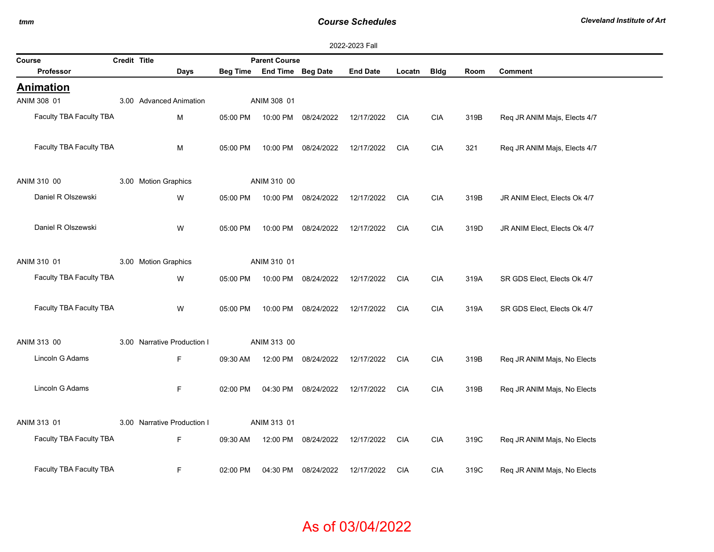### *Course Schedules*

 $\overline{\phantom{a}}$ 

| 2022-2023 Fall          |              |                             |          |                            |            |                 |            |                |      |                              |
|-------------------------|--------------|-----------------------------|----------|----------------------------|------------|-----------------|------------|----------------|------|------------------------------|
| Course                  | Credit Title |                             |          | <b>Parent Course</b>       |            |                 |            |                |      |                              |
| Professor               |              | <b>Days</b>                 |          | Beg Time End Time Beg Date |            | <b>End Date</b> | Locatn     | <b>Bldg</b>    | Room | <b>Comment</b>               |
| <b>Animation</b>        |              |                             |          |                            |            |                 |            |                |      |                              |
| ANIM 308 01             |              | 3.00 Advanced Animation     |          | ANIM 308 01                |            |                 |            |                |      |                              |
| Faculty TBA Faculty TBA |              | M                           | 05:00 PM | 10:00 PM                   | 08/24/2022 | 12/17/2022      | <b>CIA</b> | <b>CIA</b>     | 319B | Req JR ANIM Majs, Elects 4/7 |
| Faculty TBA Faculty TBA |              | M                           | 05:00 PM | 10:00 PM                   | 08/24/2022 | 12/17/2022      | <b>CIA</b> | <b>CIA</b>     | 321  | Req JR ANIM Majs, Elects 4/7 |
| ANIM 310 00             |              | 3.00 Motion Graphics        |          | ANIM 310 00                |            |                 |            |                |      |                              |
| Daniel R Olszewski      |              | W                           | 05:00 PM | 10:00 PM                   | 08/24/2022 | 12/17/2022      | <b>CIA</b> | $\mathsf{CIA}$ | 319B | JR ANIM Elect, Elects Ok 4/7 |
| Daniel R Olszewski      |              | W                           | 05:00 PM | 10:00 PM                   | 08/24/2022 | 12/17/2022      | <b>CIA</b> | $\mathsf{CIA}$ | 319D | JR ANIM Elect, Elects Ok 4/7 |
| ANIM 310 01             |              | 3.00 Motion Graphics        |          | ANIM 310 01                |            |                 |            |                |      |                              |
| Faculty TBA Faculty TBA |              | W                           | 05:00 PM | 10:00 PM                   | 08/24/2022 | 12/17/2022      | <b>CIA</b> | $\mathsf{CIA}$ | 319A | SR GDS Elect, Elects Ok 4/7  |
| Faculty TBA Faculty TBA |              | W                           | 05:00 PM | 10:00 PM                   | 08/24/2022 | 12/17/2022      | <b>CIA</b> | <b>CIA</b>     | 319A | SR GDS Elect, Elects Ok 4/7  |
| ANIM 313 00             |              | 3.00 Narrative Production I |          | ANIM 313 00                |            |                 |            |                |      |                              |
| Lincoln G Adams         |              | $\mathsf F$                 | 09:30 AM | 12:00 PM                   | 08/24/2022 | 12/17/2022      | <b>CIA</b> | <b>CIA</b>     | 319B | Reg JR ANIM Majs, No Elects  |
| Lincoln G Adams         |              | $\mathsf F$                 | 02:00 PM | 04:30 PM                   | 08/24/2022 | 12/17/2022      | <b>CIA</b> | <b>CIA</b>     | 319B | Req JR ANIM Majs, No Elects  |
| ANIM 313 01             |              | 3.00 Narrative Production I |          | ANIM 313 01                |            |                 |            |                |      |                              |
| Faculty TBA Faculty TBA |              | F                           | 09:30 AM | 12:00 PM                   | 08/24/2022 | 12/17/2022      | <b>CIA</b> | <b>CIA</b>     | 319C | Req JR ANIM Majs, No Elects  |
| Faculty TBA Faculty TBA |              | F                           | 02:00 PM | 04:30 PM                   | 08/24/2022 | 12/17/2022      | <b>CIA</b> | <b>CIA</b>     | 319C | Req JR ANIM Majs, No Elects  |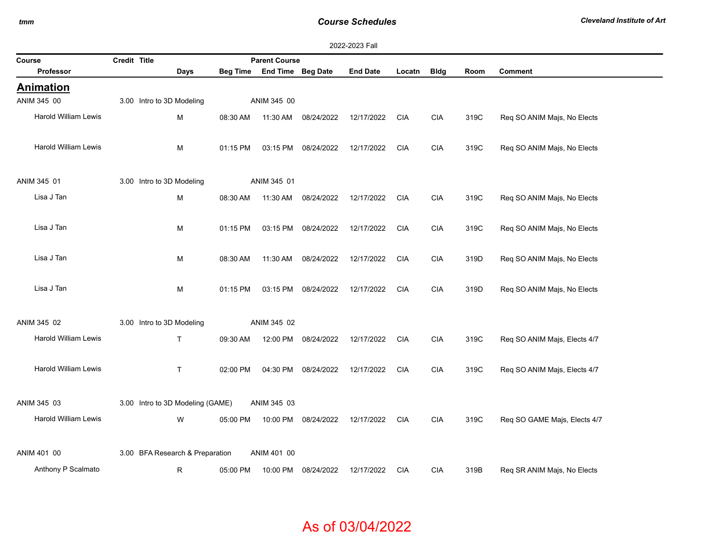### *Course Schedules*

*Cleveland Institute of Art*

| 2022-2023 Fall              |              |                                  |          |                            |                     |                 |            |             |      |                              |  |  |
|-----------------------------|--------------|----------------------------------|----------|----------------------------|---------------------|-----------------|------------|-------------|------|------------------------------|--|--|
| Course                      | Credit Title |                                  |          | <b>Parent Course</b>       |                     |                 |            |             |      |                              |  |  |
| Professor                   |              | <b>Days</b>                      |          | Beg Time End Time Beg Date |                     | <b>End Date</b> | Locatn     | <b>Bldg</b> | Room | <b>Comment</b>               |  |  |
| <b>Animation</b>            |              |                                  |          |                            |                     |                 |            |             |      |                              |  |  |
| ANIM 345 00                 |              | 3.00 Intro to 3D Modeling        |          | ANIM 345 00                |                     |                 |            |             |      |                              |  |  |
| <b>Harold William Lewis</b> |              | M                                | 08:30 AM | 11:30 AM                   | 08/24/2022          | 12/17/2022      | <b>CIA</b> | <b>CIA</b>  | 319C | Req SO ANIM Majs, No Elects  |  |  |
| <b>Harold William Lewis</b> |              | M                                | 01:15 PM |                            | 03:15 PM 08/24/2022 | 12/17/2022      | <b>CIA</b> | <b>CIA</b>  | 319C | Req SO ANIM Majs, No Elects  |  |  |
| ANIM 345 01                 |              | 3.00 Intro to 3D Modeling        |          | ANIM 345 01                |                     |                 |            |             |      |                              |  |  |
| Lisa J Tan                  |              | M                                | 08:30 AM | 11:30 AM                   | 08/24/2022          | 12/17/2022      | <b>CIA</b> | <b>CIA</b>  | 319C | Req SO ANIM Majs, No Elects  |  |  |
| Lisa J Tan                  |              | M                                | 01:15 PM |                            | 03:15 PM 08/24/2022 | 12/17/2022      | <b>CIA</b> | <b>CIA</b>  | 319C | Req SO ANIM Majs, No Elects  |  |  |
| Lisa J Tan                  |              | M                                | 08:30 AM | 11:30 AM                   | 08/24/2022          | 12/17/2022      | <b>CIA</b> | <b>CIA</b>  | 319D | Req SO ANIM Majs, No Elects  |  |  |
| Lisa J Tan                  |              | M                                | 01:15 PM | 03:15 PM                   | 08/24/2022          | 12/17/2022      | <b>CIA</b> | <b>CIA</b>  | 319D | Req SO ANIM Majs, No Elects  |  |  |
| ANIM 345 02                 |              | 3.00 Intro to 3D Modeling        |          | ANIM 345 02                |                     |                 |            |             |      |                              |  |  |
| <b>Harold William Lewis</b> |              | $\mathsf{T}$                     | 09:30 AM |                            | 12:00 PM 08/24/2022 | 12/17/2022      | <b>CIA</b> | <b>CIA</b>  | 319C | Req SO ANIM Majs, Elects 4/7 |  |  |
| <b>Harold William Lewis</b> |              | $\mathsf{T}$                     | 02:00 PM | 04:30 PM                   | 08/24/2022          | 12/17/2022      | <b>CIA</b> | <b>CIA</b>  | 319C | Req SO ANIM Majs, Elects 4/7 |  |  |
| ANIM 345 03                 |              | 3.00 Intro to 3D Modeling (GAME) |          | ANIM 345 03                |                     |                 |            |             |      |                              |  |  |
| <b>Harold William Lewis</b> |              | W                                | 05:00 PM |                            | 10:00 PM 08/24/2022 | 12/17/2022      | <b>CIA</b> | <b>CIA</b>  | 319C | Req SO GAME Majs, Elects 4/7 |  |  |
| ANIM 401 00                 |              | 3.00 BFA Research & Preparation  |          | ANIM 401 00                |                     |                 |            |             |      |                              |  |  |
| Anthony P Scalmato          |              | R                                | 05:00 PM | 10:00 PM                   | 08/24/2022          | 12/17/2022      | <b>CIA</b> | <b>CIA</b>  | 319B | Req SR ANIM Majs, No Elects  |  |  |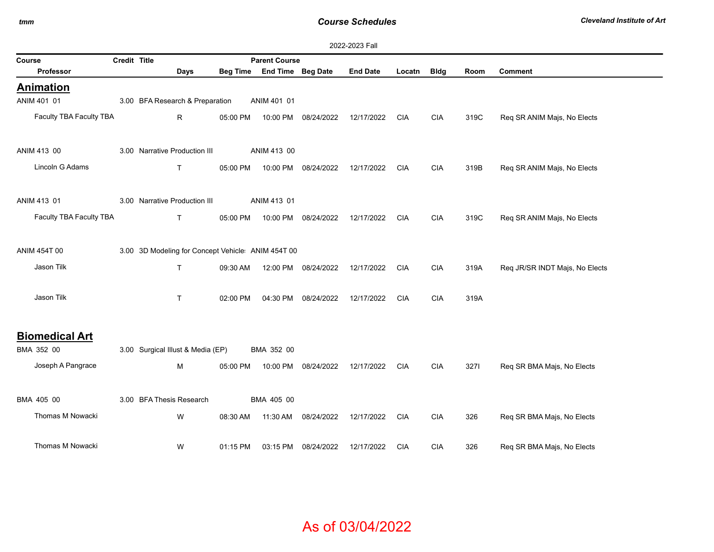## *Course Schedules*

| 2022-2023 Fall |  |
|----------------|--|
|                |  |

| Course                              | Credit Title<br><b>Parent Course</b> |                                                   |          |                            |                     |                 |            |             |      |                                |
|-------------------------------------|--------------------------------------|---------------------------------------------------|----------|----------------------------|---------------------|-----------------|------------|-------------|------|--------------------------------|
| <b>Professor</b>                    |                                      | Days                                              |          | Beg Time End Time Beg Date |                     | <b>End Date</b> | Locatn     | <b>Bldg</b> | Room | Comment                        |
| <b>Animation</b>                    |                                      |                                                   |          |                            |                     |                 |            |             |      |                                |
| ANIM 401 01                         |                                      | 3.00 BFA Research & Preparation                   |          | ANIM 401 01                |                     |                 |            |             |      |                                |
| Faculty TBA Faculty TBA             |                                      | $R_{\parallel}$                                   | 05:00 PM |                            | 10:00 PM 08/24/2022 | 12/17/2022      | <b>CIA</b> | <b>CIA</b>  | 319C | Req SR ANIM Majs, No Elects    |
| ANIM 413 00                         |                                      | 3.00 Narrative Production III                     |          | ANIM 413 00                |                     |                 |            |             |      |                                |
| Lincoln G Adams                     |                                      | $\mathsf{T}$                                      | 05:00 PM |                            | 10:00 PM 08/24/2022 | 12/17/2022      | <b>CIA</b> | <b>CIA</b>  | 319B | Req SR ANIM Majs, No Elects    |
| ANIM 413 01                         |                                      | 3.00 Narrative Production III                     |          | ANIM 413 01                |                     |                 |            |             |      |                                |
| Faculty TBA Faculty TBA             |                                      | T                                                 | 05:00 PM |                            | 10:00 PM 08/24/2022 | 12/17/2022      | CIA        | <b>CIA</b>  | 319C | Req SR ANIM Majs, No Elects    |
| ANIM 454T 00                        |                                      | 3.00 3D Modeling for Concept Vehicle ANIM 454T 00 |          |                            |                     |                 |            |             |      |                                |
| Jason Tilk                          |                                      | $\mathsf{T}$                                      | 09:30 AM |                            | 12:00 PM 08/24/2022 | 12/17/2022      | <b>CIA</b> | <b>CIA</b>  | 319A | Req JR/SR INDT Majs, No Elects |
| Jason Tilk                          |                                      | T                                                 | 02:00 PM |                            | 04:30 PM 08/24/2022 | 12/17/2022      | <b>CIA</b> | <b>CIA</b>  | 319A |                                |
| <b>Biomedical Art</b><br>BMA 352 00 |                                      | 3.00 Surgical Illust & Media (EP)                 |          | BMA 352 00                 |                     |                 |            |             |      |                                |
| Joseph A Pangrace                   |                                      | м                                                 | 05:00 PM |                            | 10:00 PM 08/24/2022 | 12/17/2022      | <b>CIA</b> | <b>CIA</b>  | 3271 | Req SR BMA Majs, No Elects     |
|                                     |                                      |                                                   |          |                            |                     |                 |            |             |      |                                |
| BMA 405 00                          |                                      | 3.00 BFA Thesis Research                          |          | BMA 405 00                 |                     |                 |            |             |      |                                |
| Thomas M Nowacki                    |                                      | W                                                 | 08:30 AM |                            | 11:30 AM 08/24/2022 | 12/17/2022      | <b>CIA</b> | <b>CIA</b>  | 326  | Req SR BMA Majs, No Elects     |
| Thomas M Nowacki                    |                                      | W                                                 | 01:15 PM |                            | 03:15 PM 08/24/2022 | 12/17/2022      | CIA        | <b>CIA</b>  | 326  | Req SR BMA Majs, No Elects     |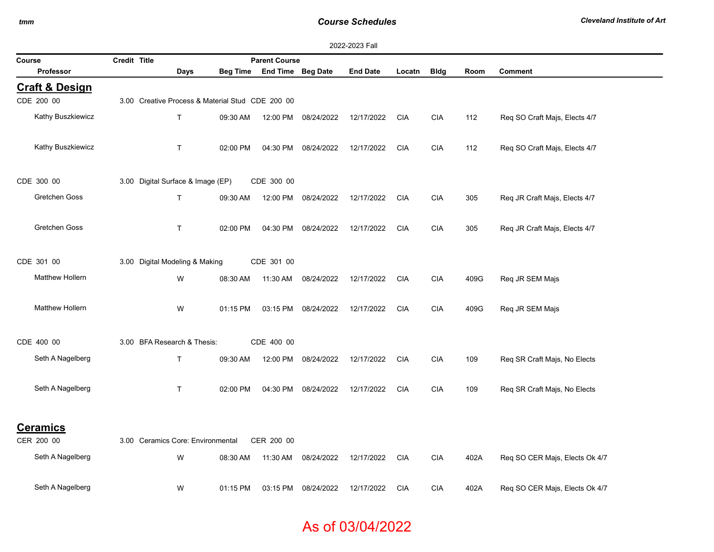### *Course Schedules*

*Cleveland Institute of Art*

| 2022-2023 Fall                |                                   |      |                                                  |                            |            |                 |            |             |      |                                |  |  |
|-------------------------------|-----------------------------------|------|--------------------------------------------------|----------------------------|------------|-----------------|------------|-------------|------|--------------------------------|--|--|
| Course                        | Credit Title                      |      |                                                  | <b>Parent Course</b>       |            |                 |            |             |      |                                |  |  |
| <b>Professor</b>              |                                   | Days |                                                  | Beg Time End Time Beg Date |            | <b>End Date</b> | Locatn     | <b>Bldg</b> | Room | <b>Comment</b>                 |  |  |
| <b>Craft &amp; Design</b>     |                                   |      |                                                  |                            |            |                 |            |             |      |                                |  |  |
| CDE 200 00                    |                                   |      | 3.00 Creative Process & Material Stud CDE 200 00 |                            |            |                 |            |             |      |                                |  |  |
| Kathy Buszkiewicz             |                                   | T.   | 09:30 AM                                         | 12:00 PM                   | 08/24/2022 | 12/17/2022      | <b>CIA</b> | <b>CIA</b>  | 112  | Req SO Craft Majs, Elects 4/7  |  |  |
| Kathy Buszkiewicz             |                                   | T.   | 02:00 PM                                         | 04:30 PM                   | 08/24/2022 | 12/17/2022      | <b>CIA</b> | <b>CIA</b>  | 112  | Req SO Craft Majs, Elects 4/7  |  |  |
| CDE 300 00                    | 3.00 Digital Surface & Image (EP) |      |                                                  | CDE 300 00                 |            |                 |            |             |      |                                |  |  |
| Gretchen Goss                 |                                   | T.   | 09:30 AM                                         | 12:00 PM                   | 08/24/2022 | 12/17/2022      | <b>CIA</b> | <b>CIA</b>  | 305  | Req JR Craft Majs, Elects 4/7  |  |  |
| Gretchen Goss                 |                                   | T.   | 02:00 PM                                         | 04:30 PM                   | 08/24/2022 | 12/17/2022      | <b>CIA</b> | <b>CIA</b>  | 305  | Req JR Craft Majs, Elects 4/7  |  |  |
| CDE 301 00                    | 3.00 Digital Modeling & Making    |      |                                                  | CDE 301 00                 |            |                 |            |             |      |                                |  |  |
| <b>Matthew Hollern</b>        |                                   | W    | 08:30 AM                                         | 11:30 AM                   | 08/24/2022 | 12/17/2022      | <b>CIA</b> | <b>CIA</b>  | 409G | Req JR SEM Majs                |  |  |
| <b>Matthew Hollern</b>        |                                   | W    | 01:15 PM                                         | 03:15 PM                   | 08/24/2022 | 12/17/2022      | <b>CIA</b> | <b>CIA</b>  | 409G | Req JR SEM Majs                |  |  |
| CDE 400 00                    | 3.00 BFA Research & Thesis:       |      |                                                  | CDE 400 00                 |            |                 |            |             |      |                                |  |  |
| Seth A Nagelberg              |                                   | T.   | 09:30 AM                                         | 12:00 PM                   | 08/24/2022 | 12/17/2022      | <b>CIA</b> | <b>CIA</b>  | 109  | Req SR Craft Majs, No Elects   |  |  |
| Seth A Nagelberg              |                                   | T.   | 02:00 PM                                         | 04:30 PM                   | 08/24/2022 | 12/17/2022      | <b>CIA</b> | <b>CIA</b>  | 109  | Req SR Craft Majs, No Elects   |  |  |
| <b>Ceramics</b><br>CER 200 00 | 3.00 Ceramics Core: Environmental |      |                                                  | CER 200 00                 |            |                 |            |             |      |                                |  |  |
|                               |                                   |      |                                                  |                            |            |                 |            |             |      |                                |  |  |
| Seth A Nagelberg              |                                   | W    | 08:30 AM                                         | 11:30 AM                   | 08/24/2022 | 12/17/2022      | <b>CIA</b> | <b>CIA</b>  | 402A | Req SO CER Majs, Elects Ok 4/7 |  |  |
| Seth A Nagelberg              |                                   | W    | 01:15 PM                                         | 03:15 PM                   | 08/24/2022 | 12/17/2022      | <b>CIA</b> | <b>CIA</b>  | 402A | Req SO CER Majs, Elects Ok 4/7 |  |  |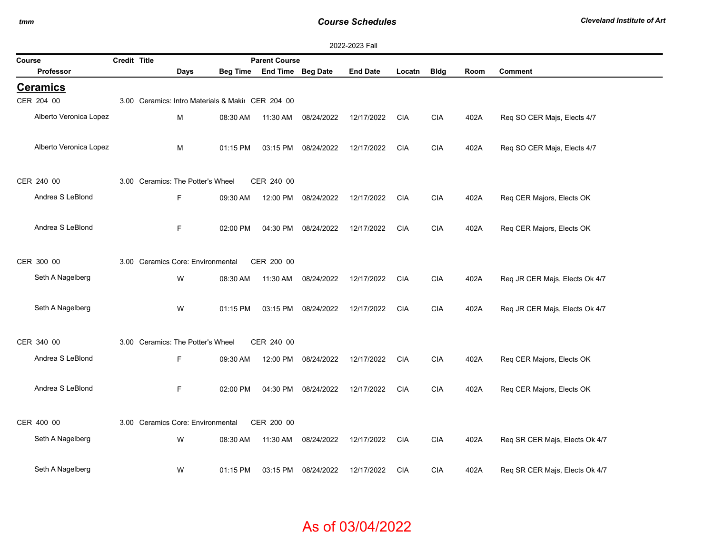### *Course Schedules*

*Cleveland Institute of Art*

|        | 2022-2023 Fall         |              |                                                   |          |                            |            |                 |            |             |      |                                |  |
|--------|------------------------|--------------|---------------------------------------------------|----------|----------------------------|------------|-----------------|------------|-------------|------|--------------------------------|--|
| Course |                        | Credit Title |                                                   |          | <b>Parent Course</b>       |            |                 |            |             |      |                                |  |
|        | <b>Professor</b>       |              | <b>Days</b>                                       |          | Beg Time End Time Beg Date |            | <b>End Date</b> | Locatn     | <b>Bldg</b> | Room | <b>Comment</b>                 |  |
|        | <b>Ceramics</b>        |              |                                                   |          |                            |            |                 |            |             |      |                                |  |
|        | CER 204 00             |              | 3.00 Ceramics: Intro Materials & Makir CER 204 00 |          |                            |            |                 |            |             |      |                                |  |
|        | Alberto Veronica Lopez |              | M                                                 | 08:30 AM | 11:30 AM                   | 08/24/2022 | 12/17/2022      | <b>CIA</b> | <b>CIA</b>  | 402A | Req SO CER Majs, Elects 4/7    |  |
|        | Alberto Veronica Lopez |              | M                                                 | 01:15 PM | 03:15 PM                   | 08/24/2022 | 12/17/2022      | <b>CIA</b> | <b>CIA</b>  | 402A | Req SO CER Majs, Elects 4/7    |  |
|        | CER 240 00             |              | 3.00 Ceramics: The Potter's Wheel                 |          | CER 240 00                 |            |                 |            |             |      |                                |  |
|        | Andrea S LeBlond       |              | F                                                 | 09:30 AM | 12:00 PM                   | 08/24/2022 | 12/17/2022      | <b>CIA</b> | <b>CIA</b>  | 402A | Req CER Majors, Elects OK      |  |
|        | Andrea S LeBlond       |              | F                                                 | 02:00 PM | 04:30 PM                   | 08/24/2022 | 12/17/2022      | <b>CIA</b> | <b>CIA</b>  | 402A | Req CER Majors, Elects OK      |  |
|        | CER 300 00             |              | 3.00 Ceramics Core: Environmental                 |          | CER 200 00                 |            |                 |            |             |      |                                |  |
|        | Seth A Nagelberg       |              | W                                                 | 08:30 AM | 11:30 AM                   | 08/24/2022 | 12/17/2022      | <b>CIA</b> | <b>CIA</b>  | 402A | Req JR CER Majs, Elects Ok 4/7 |  |
|        | Seth A Nagelberg       |              | W                                                 | 01:15 PM | 03:15 PM                   | 08/24/2022 | 12/17/2022      | <b>CIA</b> | <b>CIA</b>  | 402A | Req JR CER Majs, Elects Ok 4/7 |  |
|        | CER 340 00             |              | 3.00 Ceramics: The Potter's Wheel                 |          | CER 240 00                 |            |                 |            |             |      |                                |  |
|        | Andrea S LeBlond       |              | $\mathsf F$                                       | 09:30 AM | 12:00 PM                   | 08/24/2022 | 12/17/2022      | <b>CIA</b> | <b>CIA</b>  | 402A | Req CER Majors, Elects OK      |  |
|        | Andrea S LeBlond       |              | F                                                 | 02:00 PM | 04:30 PM                   | 08/24/2022 | 12/17/2022      | <b>CIA</b> | <b>CIA</b>  | 402A | Req CER Majors, Elects OK      |  |
|        | CER 400 00             |              | 3.00 Ceramics Core: Environmental                 |          | CER 200 00                 |            |                 |            |             |      |                                |  |
|        | Seth A Nagelberg       |              | W                                                 | 08:30 AM | 11:30 AM                   | 08/24/2022 | 12/17/2022      | <b>CIA</b> | <b>CIA</b>  | 402A | Req SR CER Majs, Elects Ok 4/7 |  |
|        | Seth A Nagelberg       |              | W                                                 | 01:15 PM | 03:15 PM                   | 08/24/2022 | 12/17/2022      | <b>CIA</b> | <b>CIA</b>  | 402A | Req SR CER Majs, Elects Ok 4/7 |  |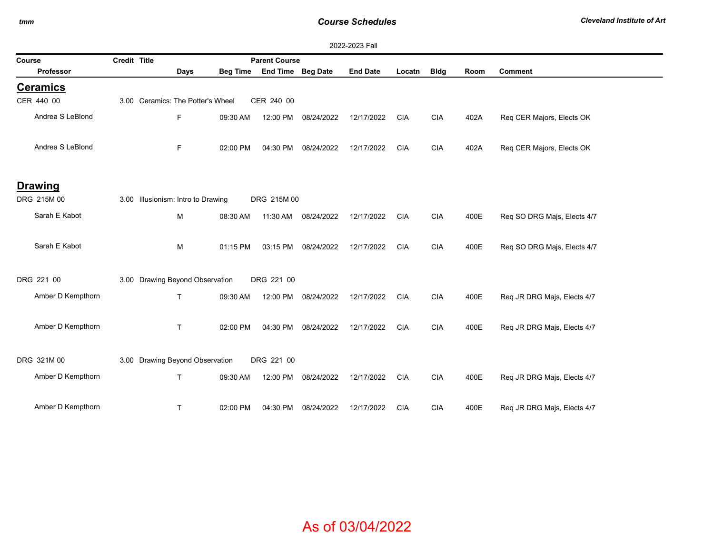## *Course Schedules*

| 2022-2023 Fall    |                     |                                    |                 |                          |            |                 |            |             |      |                             |  |
|-------------------|---------------------|------------------------------------|-----------------|--------------------------|------------|-----------------|------------|-------------|------|-----------------------------|--|
| Course            | <b>Credit Title</b> |                                    |                 | <b>Parent Course</b>     |            |                 |            |             |      |                             |  |
| <b>Professor</b>  |                     | Days                               | <b>Beg Time</b> | <b>End Time Beg Date</b> |            | <b>End Date</b> | Locatn     | <b>Bldg</b> | Room | <b>Comment</b>              |  |
| <b>Ceramics</b>   |                     |                                    |                 |                          |            |                 |            |             |      |                             |  |
| CER 440 00        |                     | 3.00 Ceramics: The Potter's Wheel  |                 | CER 240 00               |            |                 |            |             |      |                             |  |
| Andrea S LeBlond  |                     | F                                  | 09:30 AM        | 12:00 PM                 | 08/24/2022 | 12/17/2022      | <b>CIA</b> | <b>CIA</b>  | 402A | Req CER Majors, Elects OK   |  |
| Andrea S LeBlond  |                     | F                                  | 02:00 PM        | 04:30 PM                 | 08/24/2022 | 12/17/2022      | <b>CIA</b> | <b>CIA</b>  | 402A | Req CER Majors, Elects OK   |  |
| <b>Drawing</b>    |                     |                                    |                 |                          |            |                 |            |             |      |                             |  |
| DRG 215M 00       |                     | 3.00 Illusionism: Intro to Drawing |                 | DRG 215M 00              |            |                 |            |             |      |                             |  |
| Sarah E Kabot     |                     | M                                  | 08:30 AM        | 11:30 AM                 | 08/24/2022 | 12/17/2022      | <b>CIA</b> | <b>CIA</b>  | 400E | Req SO DRG Majs, Elects 4/7 |  |
| Sarah E Kabot     |                     | M                                  | 01:15 PM        | 03:15 PM                 | 08/24/2022 | 12/17/2022      | <b>CIA</b> | <b>CIA</b>  | 400E | Req SO DRG Majs, Elects 4/7 |  |
| DRG 221 00        |                     | 3.00 Drawing Beyond Observation    |                 | DRG 221 00               |            |                 |            |             |      |                             |  |
| Amber D Kempthorn |                     | T.                                 | 09:30 AM        | 12:00 PM                 | 08/24/2022 | 12/17/2022      | <b>CIA</b> | <b>CIA</b>  | 400E | Req JR DRG Majs, Elects 4/7 |  |
| Amber D Kempthorn |                     | $\mathsf{T}$                       | 02:00 PM        | 04:30 PM                 | 08/24/2022 | 12/17/2022      | <b>CIA</b> | <b>CIA</b>  | 400E | Req JR DRG Majs, Elects 4/7 |  |
| DRG 321M 00       |                     | 3.00 Drawing Beyond Observation    |                 | DRG 221 00               |            |                 |            |             |      |                             |  |
| Amber D Kempthorn |                     | $\mathsf{T}$                       | 09:30 AM        | 12:00 PM                 | 08/24/2022 | 12/17/2022      | <b>CIA</b> | <b>CIA</b>  | 400E | Req JR DRG Majs, Elects 4/7 |  |
| Amber D Kempthorn |                     | $\top$                             | 02:00 PM        | 04:30 PM                 | 08/24/2022 | 12/17/2022      | <b>CIA</b> | <b>CIA</b>  | 400E | Req JR DRG Majs, Elects 4/7 |  |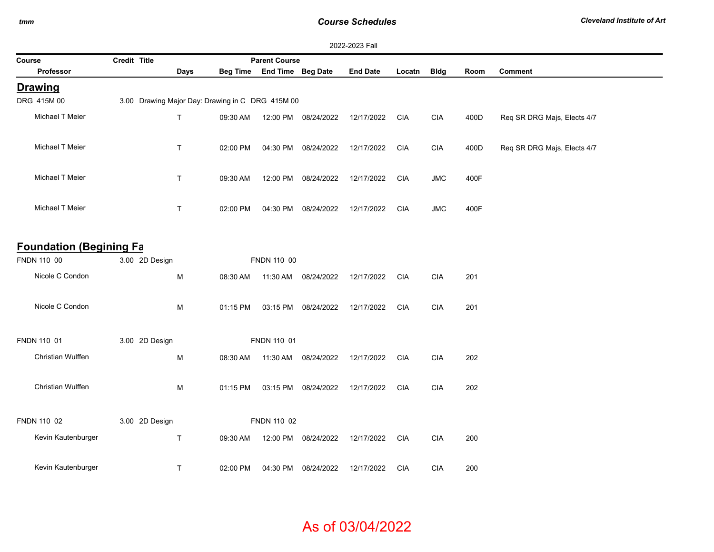## *Course Schedules*

| Course                         | Credit Title                                     |              |          | <b>Parent Course</b>       |                      |                 |            |             |      |                             |
|--------------------------------|--------------------------------------------------|--------------|----------|----------------------------|----------------------|-----------------|------------|-------------|------|-----------------------------|
| Professor                      |                                                  | Days         |          | Beg Time End Time Beg Date |                      | <b>End Date</b> | Locatn     | <b>Bldg</b> | Room | <b>Comment</b>              |
| <b>Drawing</b>                 |                                                  |              |          |                            |                      |                 |            |             |      |                             |
| DRG 415M 00                    | 3.00 Drawing Major Day: Drawing in C DRG 415M 00 |              |          |                            |                      |                 |            |             |      |                             |
| Michael T Meier                |                                                  | $\mathsf{T}$ | 09:30 AM |                            | 12:00 PM 08/24/2022  | 12/17/2022      | CIA        | <b>CIA</b>  | 400D | Req SR DRG Majs, Elects 4/7 |
| Michael T Meier                |                                                  | $\mathsf{T}$ | 02:00 PM |                            | 04:30 PM 08/24/2022  | 12/17/2022      | <b>CIA</b> | <b>CIA</b>  | 400D | Req SR DRG Majs, Elects 4/7 |
| Michael T Meier                |                                                  | $\mathsf{T}$ | 09:30 AM |                            | 12:00 PM 08/24/2022  | 12/17/2022      | <b>CIA</b> | <b>JMC</b>  | 400F |                             |
| Michael T Meier                |                                                  | $\mathsf{T}$ | 02:00 PM |                            | 04:30 PM 08/24/2022  | 12/17/2022      | <b>CIA</b> | <b>JMC</b>  | 400F |                             |
| <b>Foundation (Begining Fa</b> |                                                  |              |          |                            |                      |                 |            |             |      |                             |
| FNDN 110 00                    | 3.00 2D Design                                   |              |          | FNDN 110 00                |                      |                 |            |             |      |                             |
| Nicole C Condon                |                                                  | M            | 08:30 AM |                            | 11:30 AM  08/24/2022 | 12/17/2022      | <b>CIA</b> | <b>CIA</b>  | 201  |                             |
| Nicole C Condon                |                                                  | M            | 01:15 PM |                            | 03:15 PM 08/24/2022  | 12/17/2022      | <b>CIA</b> | <b>CIA</b>  | 201  |                             |
| FNDN 110 01                    | 3.00 2D Design                                   |              |          | FNDN 110 01                |                      |                 |            |             |      |                             |
| Christian Wulffen              |                                                  | M            | 08:30 AM |                            | 11:30 AM 08/24/2022  | 12/17/2022      | <b>CIA</b> | <b>CIA</b>  | 202  |                             |
| Christian Wulffen              |                                                  | М            | 01:15 PM |                            | 03:15 PM 08/24/2022  | 12/17/2022      | <b>CIA</b> | <b>CIA</b>  | 202  |                             |
| FNDN 110 02                    | 3.00 2D Design                                   |              |          | FNDN 110 02                |                      |                 |            |             |      |                             |
| Kevin Kautenburger             |                                                  | T.           | 09:30 AM |                            | 12:00 PM 08/24/2022  | 12/17/2022      | <b>CIA</b> | <b>CIA</b>  | 200  |                             |
| Kevin Kautenburger             |                                                  | T.           | 02:00 PM | 04:30 PM                   | 08/24/2022           | 12/17/2022      | <b>CIA</b> | <b>CIA</b>  | 200  |                             |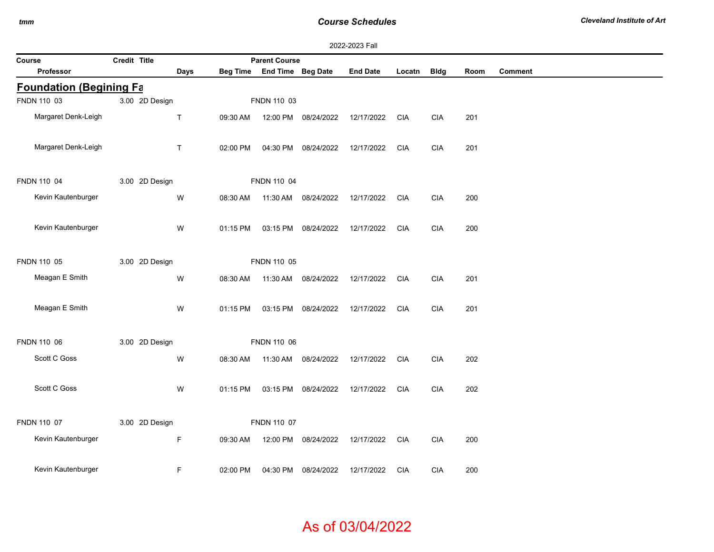## *Course Schedules*

| 2022-2023 Fall                 |                |              |          |                            |                     |                 |            |             |      |                |  |
|--------------------------------|----------------|--------------|----------|----------------------------|---------------------|-----------------|------------|-------------|------|----------------|--|
| Course                         | Credit Title   |              |          | <b>Parent Course</b>       |                     |                 |            |             |      |                |  |
| Professor                      |                | Days         |          | Beg Time End Time Beg Date |                     | <b>End Date</b> | Locatn     | <b>Bldg</b> | Room | <b>Comment</b> |  |
| <b>Foundation (Begining Fa</b> |                |              |          |                            |                     |                 |            |             |      |                |  |
| FNDN 110 03                    | 3.00 2D Design |              |          | FNDN 110 03                |                     |                 |            |             |      |                |  |
| Margaret Denk-Leigh            |                | $\mathsf T$  | 09:30 AM |                            | 12:00 PM 08/24/2022 | 12/17/2022      | <b>CIA</b> | <b>CIA</b>  | 201  |                |  |
| Margaret Denk-Leigh            |                | $\mathsf{T}$ | 02:00 PM |                            | 04:30 PM 08/24/2022 | 12/17/2022      | <b>CIA</b> | CIA         | 201  |                |  |
| FNDN 110 04                    | 3.00 2D Design |              |          | FNDN 110 04                |                     |                 |            |             |      |                |  |
| Kevin Kautenburger             |                | W            | 08:30 AM | 11:30 AM                   | 08/24/2022          | 12/17/2022      | <b>CIA</b> | <b>CIA</b>  | 200  |                |  |
| Kevin Kautenburger             |                | W            | 01:15 PM |                            | 03:15 PM 08/24/2022 | 12/17/2022      | <b>CIA</b> | <b>CIA</b>  | 200  |                |  |
| FNDN 110 05                    | 3.00 2D Design |              |          | FNDN 110 05                |                     |                 |            |             |      |                |  |
| Meagan E Smith                 |                | W            | 08:30 AM |                            | 11:30 AM 08/24/2022 | 12/17/2022      | <b>CIA</b> | <b>CIA</b>  | 201  |                |  |
| Meagan E Smith                 |                | W            | 01:15 PM |                            | 03:15 PM 08/24/2022 | 12/17/2022      | <b>CIA</b> | <b>CIA</b>  | 201  |                |  |
| FNDN 110 06                    | 3.00 2D Design |              |          | FNDN 110 06                |                     |                 |            |             |      |                |  |
| Scott C Goss                   |                | W            | 08:30 AM |                            | 11:30 AM 08/24/2022 | 12/17/2022      | <b>CIA</b> | <b>CIA</b>  | 202  |                |  |
| Scott C Goss                   |                | W            | 01:15 PM |                            | 03:15 PM 08/24/2022 | 12/17/2022      | <b>CIA</b> | <b>CIA</b>  | 202  |                |  |
| FNDN 110 07                    | 3.00 2D Design |              |          | FNDN 110 07                |                     |                 |            |             |      |                |  |
| Kevin Kautenburger             |                | F            | 09:30 AM |                            | 12:00 PM 08/24/2022 | 12/17/2022      | <b>CIA</b> | <b>CIA</b>  | 200  |                |  |
| Kevin Kautenburger             |                | F            | 02:00 PM |                            | 04:30 PM 08/24/2022 | 12/17/2022      | CIA        | <b>CIA</b>  | 200  |                |  |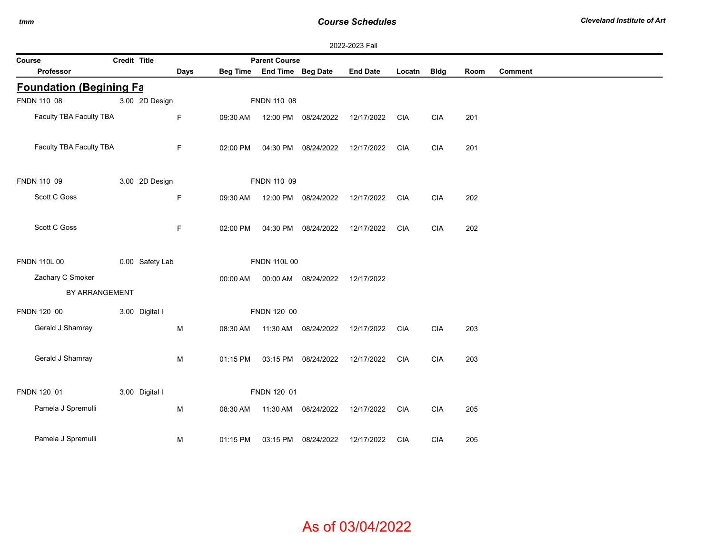## *Course Schedules*

|                                |                 |             |          |                            |                     | 2022-2023 Fall  |            |                |      |                |
|--------------------------------|-----------------|-------------|----------|----------------------------|---------------------|-----------------|------------|----------------|------|----------------|
| Course                         | Credit Title    |             |          | <b>Parent Course</b>       |                     |                 |            |                |      |                |
| Professor                      |                 | Days        |          | Beg Time End Time Beg Date |                     | <b>End Date</b> | Locatn     | <b>Bldg</b>    | Room | <b>Comment</b> |
| <b>Foundation (Begining Fa</b> |                 |             |          |                            |                     |                 |            |                |      |                |
| FNDN 110 08                    | 3.00 2D Design  |             |          | FNDN 110 08                |                     |                 |            |                |      |                |
| Faculty TBA Faculty TBA        |                 | F           | 09:30 AM |                            | 12:00 PM 08/24/2022 | 12/17/2022      | CIA        | <b>CIA</b>     | 201  |                |
| Faculty TBA Faculty TBA        |                 | F           | 02:00 PM |                            | 04:30 PM 08/24/2022 | 12/17/2022      | <b>CIA</b> | <b>CIA</b>     | 201  |                |
| FNDN 110 09                    | 3.00 2D Design  |             |          | FNDN 110 09                |                     |                 |            |                |      |                |
| Scott C Goss                   |                 | $\mathsf F$ | 09:30 AM | 12:00 PM                   | 08/24/2022          | 12/17/2022      | <b>CIA</b> | $\mathsf{CIA}$ | 202  |                |
| Scott C Goss                   |                 | F           | 02:00 PM | 04:30 PM                   | 08/24/2022          | 12/17/2022      | <b>CIA</b> | <b>CIA</b>     | 202  |                |
| FNDN 110L 00                   | 0.00 Safety Lab |             |          | <b>FNDN 110L 00</b>        |                     |                 |            |                |      |                |
| Zachary C Smoker               |                 |             | 00:00 AM |                            | 00:00 AM 08/24/2022 | 12/17/2022      |            |                |      |                |
| BY ARRANGEMENT                 |                 |             |          |                            |                     |                 |            |                |      |                |
| FNDN 120 00                    | 3.00 Digital I  |             |          | FNDN 120 00                |                     |                 |            |                |      |                |
| Gerald J Shamray               |                 | M           | 08:30 AM | 11:30 AM                   | 08/24/2022          | 12/17/2022      | <b>CIA</b> | <b>CIA</b>     | 203  |                |
| Gerald J Shamray               |                 | M           | 01:15 PM | 03:15 PM                   | 08/24/2022          | 12/17/2022      | <b>CIA</b> | <b>CIA</b>     | 203  |                |
| FNDN 120 01                    | 3.00 Digital I  |             |          | FNDN 120 01                |                     |                 |            |                |      |                |
| Pamela J Spremulli             |                 | M           | 08:30 AM |                            | 11:30 AM 08/24/2022 | 12/17/2022      | <b>CIA</b> | <b>CIA</b>     | 205  |                |
| Pamela J Spremulli             |                 | M           | 01:15 PM | 03:15 PM                   | 08/24/2022          | 12/17/2022      | <b>CIA</b> | <b>CIA</b>     | 205  |                |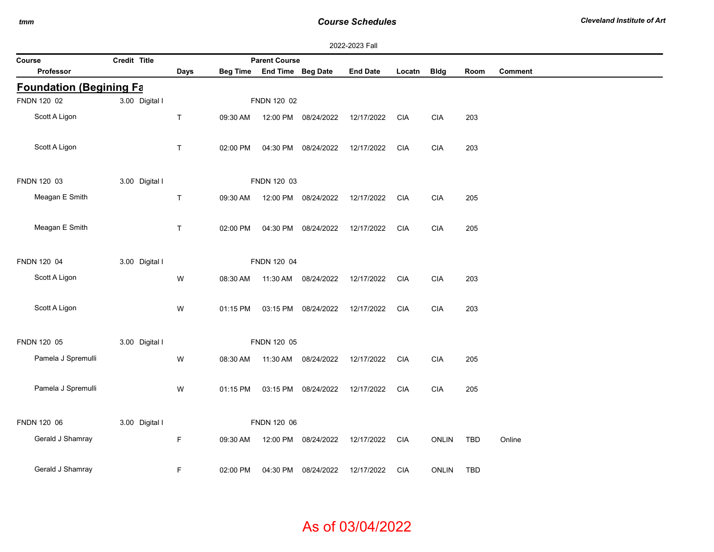### *Course Schedules*

| 2022-2023 Fall                                 |                               |             |          |                            |                      |                 |            |              |      |                |  |  |
|------------------------------------------------|-------------------------------|-------------|----------|----------------------------|----------------------|-----------------|------------|--------------|------|----------------|--|--|
| Credit Title<br><b>Parent Course</b><br>Course |                               |             |          |                            |                      |                 |            |              |      |                |  |  |
| Professor                                      |                               | <b>Days</b> |          | Beg Time End Time Beg Date |                      | <b>End Date</b> | Locatn     | <b>Bldg</b>  | Room | <b>Comment</b> |  |  |
| <b>Foundation (Begining Fa</b>                 |                               |             |          |                            |                      |                 |            |              |      |                |  |  |
| FNDN 120 02                                    | 3.00 Digital I                |             |          | FNDN 120 02                |                      |                 |            |              |      |                |  |  |
| Scott A Ligon                                  |                               | $\top$      | 09:30 AM |                            | 12:00 PM 08/24/2022  | 12/17/2022      | <b>CIA</b> | <b>CIA</b>   | 203  |                |  |  |
| Scott A Ligon                                  |                               | T           | 02:00 PM |                            | 04:30 PM 08/24/2022  | 12/17/2022      | <b>CIA</b> | <b>CIA</b>   | 203  |                |  |  |
| FNDN 120 03                                    | 3.00 Digital I<br>FNDN 120 03 |             |          |                            |                      |                 |            |              |      |                |  |  |
| Meagan E Smith                                 |                               | $\sf T$     | 09:30 AM |                            | 12:00 PM 08/24/2022  | 12/17/2022      | <b>CIA</b> | <b>CIA</b>   | 205  |                |  |  |
| Meagan E Smith                                 |                               | T           | 02:00 PM |                            | 04:30 PM 08/24/2022  | 12/17/2022      | <b>CIA</b> | <b>CIA</b>   | 205  |                |  |  |
| FNDN 120 04                                    | 3.00 Digital I                |             |          | FNDN 120 04                |                      |                 |            |              |      |                |  |  |
| Scott A Ligon                                  |                               | W           | 08:30 AM |                            | 11:30 AM 08/24/2022  | 12/17/2022      | <b>CIA</b> | <b>CIA</b>   | 203  |                |  |  |
| Scott A Ligon                                  |                               | W           | 01:15 PM |                            | 03:15 PM 08/24/2022  | 12/17/2022      | <b>CIA</b> | <b>CIA</b>   | 203  |                |  |  |
| FNDN 120 05                                    | 3.00 Digital I                |             |          | FNDN 120 05                |                      |                 |            |              |      |                |  |  |
| Pamela J Spremulli                             |                               | W           | 08:30 AM |                            | 11:30 AM  08/24/2022 | 12/17/2022      | <b>CIA</b> | <b>CIA</b>   | 205  |                |  |  |
| Pamela J Spremulli                             |                               | W           | 01:15 PM |                            | 03:15 PM 08/24/2022  | 12/17/2022      | <b>CIA</b> | <b>CIA</b>   | 205  |                |  |  |
| FNDN 120 06                                    | 3.00 Digital I                |             |          | FNDN 120 06                |                      |                 |            |              |      |                |  |  |
| Gerald J Shamray                               |                               | F           | 09:30 AM |                            | 12:00 PM 08/24/2022  | 12/17/2022      | CIA        | ONLIN        | TBD  | Online         |  |  |
| Gerald J Shamray                               |                               | F           | 02:00 PM |                            | 04:30 PM 08/24/2022  | 12/17/2022      | <b>CIA</b> | <b>ONLIN</b> | TBD  |                |  |  |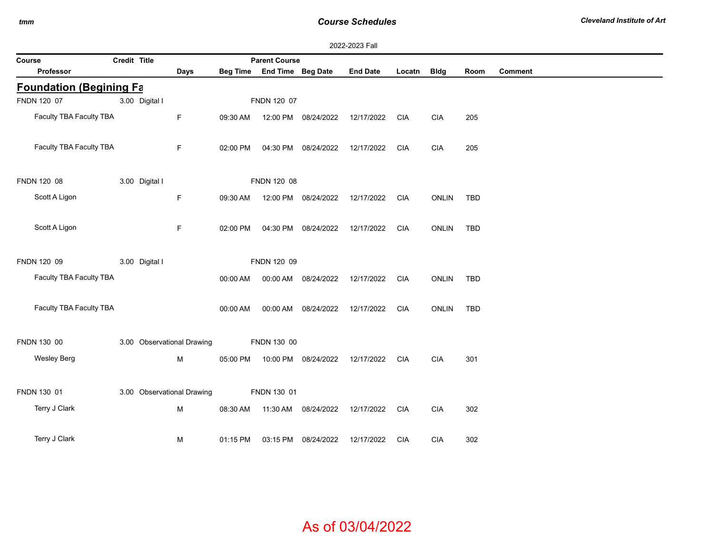## *Course Schedules*

| 2022-2023 Fall                 |              |                            |          |                            |                                |                 |            |              |            |         |  |
|--------------------------------|--------------|----------------------------|----------|----------------------------|--------------------------------|-----------------|------------|--------------|------------|---------|--|
| Course                         | Credit Title |                            |          | <b>Parent Course</b>       |                                |                 |            |              |            |         |  |
| Professor                      |              | <b>Days</b>                |          | Beg Time End Time Beg Date |                                | <b>End Date</b> | Locatn     | <b>Bldg</b>  | Room       | Comment |  |
| <b>Foundation (Begining Fa</b> |              |                            |          |                            |                                |                 |            |              |            |         |  |
| FNDN 120 07                    |              | 3.00 Digital I             |          | FNDN 120 07                |                                |                 |            |              |            |         |  |
| Faculty TBA Faculty TBA        |              | F                          | 09:30 AM |                            | 12:00 PM 08/24/2022            | 12/17/2022      | <b>CIA</b> | <b>CIA</b>   | 205        |         |  |
| Faculty TBA Faculty TBA        |              | F                          | 02:00 PM |                            | 04:30 PM 08/24/2022            | 12/17/2022      | <b>CIA</b> | <b>CIA</b>   | 205        |         |  |
| FNDN 120 08                    |              | 3.00 Digital I             |          | FNDN 120 08                |                                |                 |            |              |            |         |  |
| Scott A Ligon                  |              | F                          | 09:30 AM |                            | 12:00 PM 08/24/2022            | 12/17/2022      | <b>CIA</b> | <b>ONLIN</b> | <b>TBD</b> |         |  |
| Scott A Ligon                  |              | F                          | 02:00 PM |                            | 04:30 PM 08/24/2022            | 12/17/2022      | <b>CIA</b> | <b>ONLIN</b> | <b>TBD</b> |         |  |
| FNDN 120 09                    |              | 3.00 Digital I             |          | FNDN 120 09                |                                |                 |            |              |            |         |  |
| Faculty TBA Faculty TBA        |              |                            | 00:00 AM |                            | 00:00 AM 08/24/2022            | 12/17/2022      | CIA        | <b>ONLIN</b> | <b>TBD</b> |         |  |
| Faculty TBA Faculty TBA        |              |                            | 00:00 AM |                            | 00:00 AM 08/24/2022            | 12/17/2022      | <b>CIA</b> | <b>ONLIN</b> | <b>TBD</b> |         |  |
| FNDN 130 00                    |              | 3.00 Observational Drawing |          | FNDN 130 00                |                                |                 |            |              |            |         |  |
| Wesley Berg                    |              | M                          |          |                            | 05:00 PM  10:00 PM  08/24/2022 | 12/17/2022      | <b>CIA</b> | <b>CIA</b>   | 301        |         |  |
| FNDN 130 01                    |              | 3.00 Observational Drawing |          | FNDN 130 01                |                                |                 |            |              |            |         |  |
| Terry J Clark                  |              | M                          | 08:30 AM |                            | 11:30 AM 08/24/2022            | 12/17/2022      | <b>CIA</b> | <b>CIA</b>   | 302        |         |  |
| Terry J Clark                  |              | M                          | 01:15 PM |                            | 03:15 PM 08/24/2022            | 12/17/2022      | <b>CIA</b> | <b>CIA</b>   | 302        |         |  |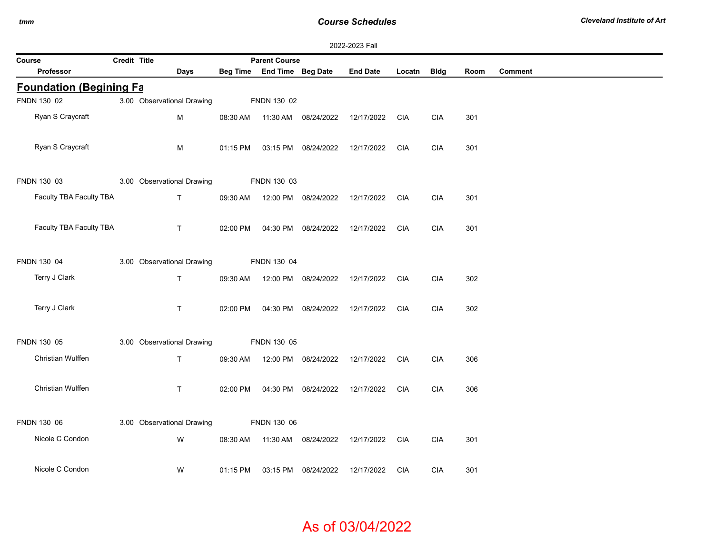## *Course Schedules*

| 2022-2023 Fall                 |              |                            |          |                            |                      |                 |            |             |      |                |  |
|--------------------------------|--------------|----------------------------|----------|----------------------------|----------------------|-----------------|------------|-------------|------|----------------|--|
| Course                         | Credit Title |                            |          | <b>Parent Course</b>       |                      |                 |            |             |      |                |  |
| Professor                      |              | Days                       |          | Beg Time End Time Beg Date |                      | <b>End Date</b> | Locatn     | <b>Bldg</b> | Room | <b>Comment</b> |  |
| <b>Foundation (Begining Fa</b> |              |                            |          |                            |                      |                 |            |             |      |                |  |
| FNDN 130 02                    |              | 3.00 Observational Drawing |          | FNDN 130 02                |                      |                 |            |             |      |                |  |
| Ryan S Craycraft               |              | M                          | 08:30 AM | 11:30 AM                   | 08/24/2022           | 12/17/2022      | <b>CIA</b> | <b>CIA</b>  | 301  |                |  |
| Ryan S Craycraft               |              | M                          | 01:15 PM |                            | 03:15 PM 08/24/2022  | 12/17/2022      | <b>CIA</b> | <b>CIA</b>  | 301  |                |  |
| FNDN 130 03                    |              | 3.00 Observational Drawing |          | FNDN 130 03                |                      |                 |            |             |      |                |  |
| Faculty TBA Faculty TBA        |              | $\mathsf T$                | 09:30 AM | 12:00 PM                   | 08/24/2022           | 12/17/2022      | <b>CIA</b> | <b>CIA</b>  | 301  |                |  |
| Faculty TBA Faculty TBA        |              | T                          | 02:00 PM | 04:30 PM                   | 08/24/2022           | 12/17/2022      | <b>CIA</b> | <b>CIA</b>  | 301  |                |  |
| FNDN 130 04                    |              | 3.00 Observational Drawing |          | FNDN 130 04                |                      |                 |            |             |      |                |  |
| Terry J Clark                  |              | $\mathsf T$                | 09:30 AM | 12:00 PM                   | 08/24/2022           | 12/17/2022      | <b>CIA</b> | <b>CIA</b>  | 302  |                |  |
| Terry J Clark                  |              | $\mathsf T$                | 02:00 PM | 04:30 PM                   | 08/24/2022           | 12/17/2022      | <b>CIA</b> | <b>CIA</b>  | 302  |                |  |
| FNDN 130 05                    |              | 3.00 Observational Drawing |          | FNDN 130 05                |                      |                 |            |             |      |                |  |
| Christian Wulffen              |              | $\mathsf T$                | 09:30 AM |                            | 12:00 PM 08/24/2022  | 12/17/2022      | CIA        | <b>CIA</b>  | 306  |                |  |
| Christian Wulffen              |              | $\mathsf T$                | 02:00 PM |                            | 04:30 PM 08/24/2022  | 12/17/2022      | <b>CIA</b> | <b>CIA</b>  | 306  |                |  |
| FNDN 130 06                    |              | 3.00 Observational Drawing |          | FNDN 130 06                |                      |                 |            |             |      |                |  |
| Nicole C Condon                |              | W                          | 08:30 AM |                            | 11:30 AM  08/24/2022 | 12/17/2022      | CIA        | <b>CIA</b>  | 301  |                |  |
| Nicole C Condon                |              | W                          | 01:15 PM | 03:15 PM                   | 08/24/2022           | 12/17/2022      | <b>CIA</b> | <b>CIA</b>  | 301  |                |  |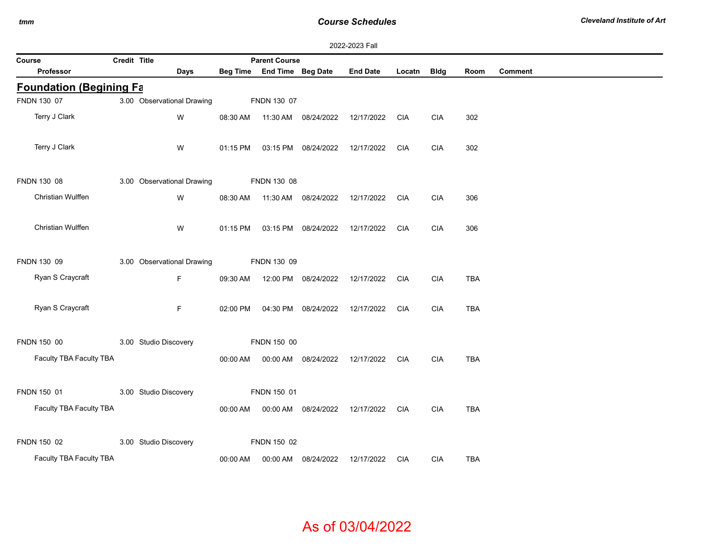## *Course Schedules*

| 2022-2023 Fall                                 |  |                            |          |                            |                     |                                  |            |             |            |                |  |
|------------------------------------------------|--|----------------------------|----------|----------------------------|---------------------|----------------------------------|------------|-------------|------------|----------------|--|
| Credit Title<br><b>Parent Course</b><br>Course |  |                            |          |                            |                     |                                  |            |             |            |                |  |
| Professor                                      |  | Days                       |          | Beg Time End Time Beg Date |                     | <b>End Date</b>                  | Locatn     | <b>Bldg</b> | Room       | <b>Comment</b> |  |
| <b>Foundation (Begining Fa</b>                 |  |                            |          |                            |                     |                                  |            |             |            |                |  |
| FNDN 130 07                                    |  | 3.00 Observational Drawing |          | FNDN 130 07                |                     |                                  |            |             |            |                |  |
| Terry J Clark                                  |  | W                          | 08:30 AM |                            | 11:30 AM 08/24/2022 | 12/17/2022                       | CIA        | <b>CIA</b>  | 302        |                |  |
| Terry J Clark                                  |  | W                          | 01:15 PM |                            | 03:15 PM 08/24/2022 | 12/17/2022                       | CIA        | <b>CIA</b>  | 302        |                |  |
| FNDN 130 08                                    |  | 3.00 Observational Drawing |          | FNDN 130 08                |                     |                                  |            |             |            |                |  |
| Christian Wulffen                              |  | W                          | 08:30 AM |                            | 11:30 AM 08/24/2022 | 12/17/2022                       | <b>CIA</b> | <b>CIA</b>  | 306        |                |  |
| Christian Wulffen                              |  | W                          | 01:15 PM |                            | 03:15 PM 08/24/2022 | 12/17/2022                       | <b>CIA</b> | <b>CIA</b>  | 306        |                |  |
| FNDN 130 09                                    |  | 3.00 Observational Drawing |          | FNDN 130 09                |                     |                                  |            |             |            |                |  |
| Ryan S Craycraft                               |  | F.                         | 09:30 AM |                            | 12:00 PM 08/24/2022 | 12/17/2022 CIA                   |            | <b>CIA</b>  | <b>TBA</b> |                |  |
| Ryan S Craycraft                               |  | F.                         | 02:00 PM |                            | 04:30 PM 08/24/2022 | 12/17/2022                       | <b>CIA</b> | <b>CIA</b>  | <b>TBA</b> |                |  |
| FNDN 150 00                                    |  | 3.00 Studio Discovery      |          | FNDN 150 00                |                     |                                  |            |             |            |                |  |
| Faculty TBA Faculty TBA                        |  |                            | 00:00 AM |                            |                     | 00:00 AM  08/24/2022  12/17/2022 | CIA        | <b>CIA</b>  | <b>TBA</b> |                |  |
| FNDN 150 01                                    |  | 3.00 Studio Discovery      |          | FNDN 150 01                |                     |                                  |            |             |            |                |  |
| Faculty TBA Faculty TBA                        |  |                            | 00:00 AM |                            | 00:00 AM 08/24/2022 | 12/17/2022 CIA                   |            | <b>CIA</b>  | <b>TBA</b> |                |  |
| FNDN 150 02                                    |  | 3.00 Studio Discovery      |          | FNDN 150 02                |                     |                                  |            |             |            |                |  |
| Faculty TBA Faculty TBA                        |  |                            | 00:00 AM |                            | 00:00 AM 08/24/2022 | 12/17/2022                       | CIA        | <b>CIA</b>  | <b>TBA</b> |                |  |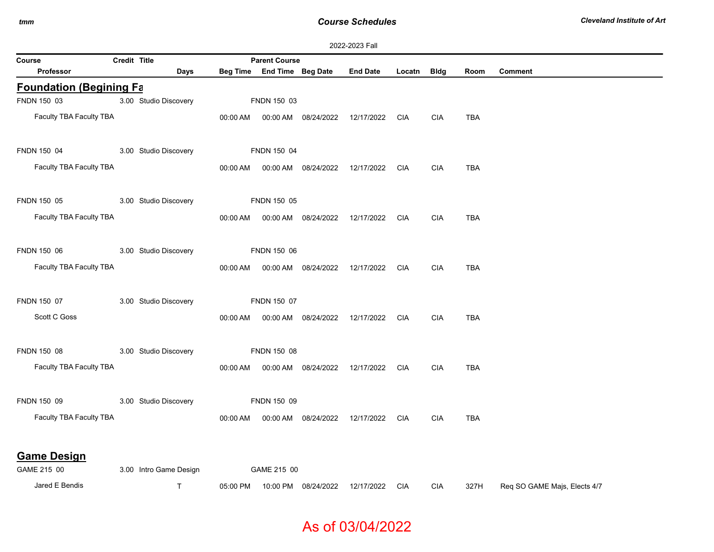## *Course Schedules*

| 2022-2023 Fall                 |              |                        |          |                            |                     |                                       |            |             |            |                              |
|--------------------------------|--------------|------------------------|----------|----------------------------|---------------------|---------------------------------------|------------|-------------|------------|------------------------------|
| Course                         | Credit Title |                        |          | <b>Parent Course</b>       |                     |                                       |            |             |            |                              |
| <b>Professor</b>               |              | Days                   |          | Beg Time End Time Beg Date |                     | <b>End Date</b>                       | Locatn     | <b>Bldg</b> | Room       | Comment                      |
| <b>Foundation (Begining Fa</b> |              |                        |          |                            |                     |                                       |            |             |            |                              |
| FNDN 150 03                    |              | 3.00 Studio Discovery  |          | FNDN 150 03                |                     |                                       |            |             |            |                              |
| Faculty TBA Faculty TBA        |              |                        | 00:00 AM |                            | 00:00 AM 08/24/2022 | 12/17/2022 CIA                        |            | <b>CIA</b>  | <b>TBA</b> |                              |
| FNDN 150 04                    |              | 3.00 Studio Discovery  |          | FNDN 150 04                |                     |                                       |            |             |            |                              |
| Faculty TBA Faculty TBA        |              |                        | 00:00 AM |                            | 00:00 AM 08/24/2022 | 12/17/2022                            | <b>CIA</b> | <b>CIA</b>  | <b>TBA</b> |                              |
| FNDN 150 05                    |              | 3.00 Studio Discovery  |          | FNDN 150 05                |                     |                                       |            |             |            |                              |
| Faculty TBA Faculty TBA        |              |                        | 00:00 AM |                            | 00:00 AM 08/24/2022 | 12/17/2022 CIA                        |            | <b>CIA</b>  | <b>TBA</b> |                              |
| FNDN 150 06                    |              | 3.00 Studio Discovery  |          | FNDN 150 06                |                     |                                       |            |             |            |                              |
| Faculty TBA Faculty TBA        |              |                        | 00:00 AM |                            | 00:00 AM 08/24/2022 | 12/17/2022 CIA                        |            | <b>CIA</b>  | <b>TBA</b> |                              |
| FNDN 150 07                    |              | 3.00 Studio Discovery  |          | FNDN 150 07                |                     |                                       |            |             |            |                              |
| Scott C Goss                   |              |                        | 00:00 AM |                            | 00:00 AM 08/24/2022 | 12/17/2022 CIA                        |            | <b>CIA</b>  | <b>TBA</b> |                              |
| FNDN 150 08                    |              | 3.00 Studio Discovery  |          | FNDN 150 08                |                     |                                       |            |             |            |                              |
| Faculty TBA Faculty TBA        |              |                        | 00:00 AM |                            | 00:00 AM 08/24/2022 | 12/17/2022 CIA                        |            | <b>CIA</b>  | <b>TBA</b> |                              |
| FNDN 150 09                    |              | 3.00 Studio Discovery  |          | FNDN 150 09                |                     |                                       |            |             |            |                              |
| Faculty TBA Faculty TBA        |              |                        | 00:00 AM |                            |                     | 00:00 AM  08/24/2022  12/17/2022  CIA |            | <b>CIA</b>  | <b>TBA</b> |                              |
| <b>Game Design</b>             |              |                        |          |                            |                     |                                       |            |             |            |                              |
| GAME 215 00                    |              | 3.00 Intro Game Design |          | GAME 215 00                |                     |                                       |            |             |            |                              |
| Jared E Bendis                 |              | $\mathsf{T}$           | 05:00 PM |                            | 10:00 PM 08/24/2022 | 12/17/2022 CIA                        |            | <b>CIA</b>  | 327H       | Req SO GAME Majs, Elects 4/7 |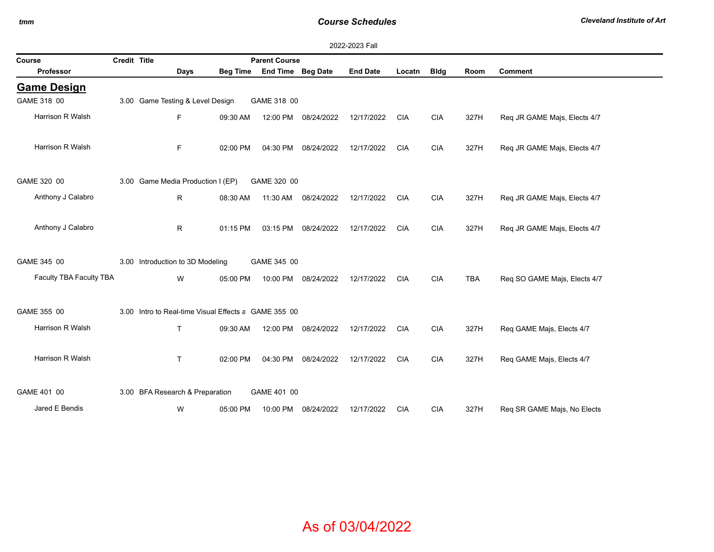## *Course Schedules*

| 2022-2023 Fall          |              |                                                      |                 |                      |                     |                 |            |                |            |                              |  |  |  |
|-------------------------|--------------|------------------------------------------------------|-----------------|----------------------|---------------------|-----------------|------------|----------------|------------|------------------------------|--|--|--|
| Course                  | Credit Title |                                                      |                 | <b>Parent Course</b> |                     |                 |            |                |            |                              |  |  |  |
| Professor               |              | Days                                                 | <b>Beg Time</b> | End Time Beg Date    |                     | <b>End Date</b> | Locatn     | <b>Bldg</b>    | Room       | <b>Comment</b>               |  |  |  |
| <b>Game Design</b>      |              |                                                      |                 |                      |                     |                 |            |                |            |                              |  |  |  |
| GAME 318 00             |              | 3.00 Game Testing & Level Design                     |                 | GAME 318 00          |                     |                 |            |                |            |                              |  |  |  |
| Harrison R Walsh        |              | F                                                    | 09:30 AM        | 12:00 PM             | 08/24/2022          | 12/17/2022      | <b>CIA</b> | $\mathsf{CIA}$ | 327H       | Req JR GAME Majs, Elects 4/7 |  |  |  |
| Harrison R Walsh        |              | $\mathsf F$                                          | 02:00 PM        | 04:30 PM             | 08/24/2022          | 12/17/2022      | <b>CIA</b> | <b>CIA</b>     | 327H       | Req JR GAME Majs, Elects 4/7 |  |  |  |
| GAME 320 00             |              | 3.00 Game Media Production I (EP)<br>GAME 320 00     |                 |                      |                     |                 |            |                |            |                              |  |  |  |
| Anthony J Calabro       |              | R                                                    | 08:30 AM        | 11:30 AM             | 08/24/2022          | 12/17/2022      | <b>CIA</b> | <b>CIA</b>     | 327H       | Req JR GAME Majs, Elects 4/7 |  |  |  |
| Anthony J Calabro       |              | R                                                    | 01:15 PM        |                      | 03:15 PM 08/24/2022 | 12/17/2022      | <b>CIA</b> | <b>CIA</b>     | 327H       | Req JR GAME Majs, Elects 4/7 |  |  |  |
| GAME 345 00             |              | 3.00 Introduction to 3D Modeling                     |                 | GAME 345 00          |                     |                 |            |                |            |                              |  |  |  |
| Faculty TBA Faculty TBA |              | W                                                    | 05:00 PM        |                      | 10:00 PM 08/24/2022 | 12/17/2022      | <b>CIA</b> | <b>CIA</b>     | <b>TBA</b> | Req SO GAME Majs, Elects 4/7 |  |  |  |
| GAME 355 00             |              | 3.00 Intro to Real-time Visual Effects a GAME 355 00 |                 |                      |                     |                 |            |                |            |                              |  |  |  |
| Harrison R Walsh        |              | $\mathsf{T}$                                         | 09:30 AM        |                      | 12:00 PM 08/24/2022 | 12/17/2022      | <b>CIA</b> | <b>CIA</b>     | 327H       | Req GAME Majs, Elects 4/7    |  |  |  |
| Harrison R Walsh        |              | $\mathsf{T}$                                         | 02:00 PM        | 04:30 PM             | 08/24/2022          | 12/17/2022      | <b>CIA</b> | <b>CIA</b>     | 327H       | Req GAME Majs, Elects 4/7    |  |  |  |
| GAME 401 00             |              | 3.00 BFA Research & Preparation                      |                 | GAME 401 00          |                     |                 |            |                |            |                              |  |  |  |
| Jared E Bendis          |              | W                                                    | 05:00 PM        | 10:00 PM             | 08/24/2022          | 12/17/2022      | <b>CIA</b> | <b>CIA</b>     | 327H       | Req SR GAME Majs, No Elects  |  |  |  |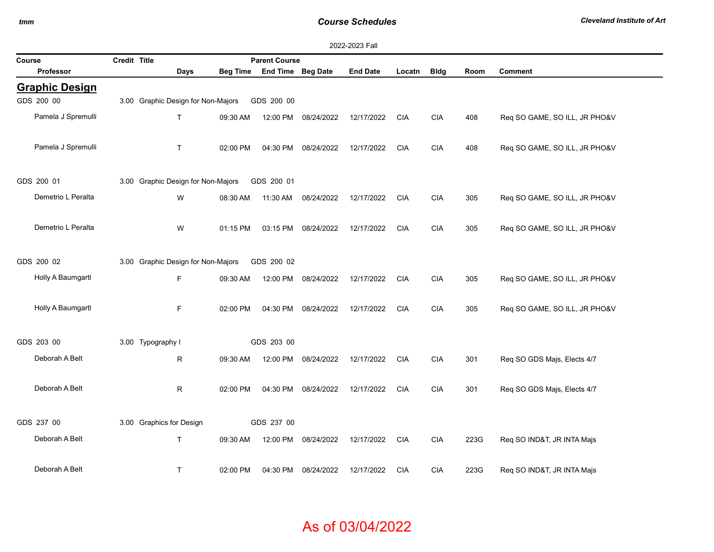### *Course Schedules*

*Cleveland Institute of Art*

| 2022-2023 Fall                                 |  |                                    |                 |                   |            |                 |            |             |      |                               |  |
|------------------------------------------------|--|------------------------------------|-----------------|-------------------|------------|-----------------|------------|-------------|------|-------------------------------|--|
| Credit Title<br>Course<br><b>Parent Course</b> |  |                                    |                 |                   |            |                 |            |             |      |                               |  |
| Professor                                      |  | Days                               | <b>Beg Time</b> | End Time Beg Date |            | <b>End Date</b> | Locatn     | <b>Bldg</b> | Room | <b>Comment</b>                |  |
| <b>Graphic Design</b>                          |  |                                    |                 |                   |            |                 |            |             |      |                               |  |
| GDS 200 00                                     |  | 3.00 Graphic Design for Non-Majors |                 | GDS 200 00        |            |                 |            |             |      |                               |  |
| Pamela J Spremulli                             |  | $\mathsf{T}$                       | 09:30 AM        | 12:00 PM          | 08/24/2022 | 12/17/2022      | <b>CIA</b> | <b>CIA</b>  | 408  | Req SO GAME, SO ILL, JR PHO&V |  |
| Pamela J Spremulli                             |  | T                                  | 02:00 PM        | 04:30 PM          | 08/24/2022 | 12/17/2022      | <b>CIA</b> | <b>CIA</b>  | 408  | Req SO GAME, SO ILL, JR PHO&V |  |
| GDS 200 01                                     |  | 3.00 Graphic Design for Non-Majors |                 | GDS 200 01        |            |                 |            |             |      |                               |  |
| Demetrio L Peralta                             |  | W                                  | 08:30 AM        | 11:30 AM          | 08/24/2022 | 12/17/2022      | CIA        | <b>CIA</b>  | 305  | Req SO GAME, SO ILL, JR PHO&V |  |
| Demetrio L Peralta                             |  | W                                  | 01:15 PM        | 03:15 PM          | 08/24/2022 | 12/17/2022      | <b>CIA</b> | <b>CIA</b>  | 305  | Req SO GAME, SO ILL, JR PHO&V |  |
| GDS 200 02                                     |  | 3.00 Graphic Design for Non-Majors |                 | GDS 200 02        |            |                 |            |             |      |                               |  |
| Holly A Baumgartl                              |  | F                                  | 09:30 AM        | 12:00 PM          | 08/24/2022 | 12/17/2022      | <b>CIA</b> | <b>CIA</b>  | 305  | Req SO GAME, SO ILL, JR PHO&V |  |
| Holly A Baumgartl                              |  | F                                  | 02:00 PM        | 04:30 PM          | 08/24/2022 | 12/17/2022      | <b>CIA</b> | <b>CIA</b>  | 305  | Req SO GAME, SO ILL, JR PHO&V |  |
| GDS 203 00                                     |  | 3.00 Typography I                  |                 | GDS 203 00        |            |                 |            |             |      |                               |  |
| Deborah A Belt                                 |  | $\mathsf{R}$                       | 09:30 AM        | 12:00 PM          | 08/24/2022 | 12/17/2022      | <b>CIA</b> | <b>CIA</b>  | 301  | Req SO GDS Majs, Elects 4/7   |  |
| Deborah A Belt                                 |  | R                                  | 02:00 PM        | 04:30 PM          | 08/24/2022 | 12/17/2022      | <b>CIA</b> | <b>CIA</b>  | 301  | Req SO GDS Majs, Elects 4/7   |  |
| GDS 237 00                                     |  | 3.00 Graphics for Design           |                 | GDS 237 00        |            |                 |            |             |      |                               |  |
| Deborah A Belt                                 |  | $\mathsf T$                        | 09:30 AM        | 12:00 PM          | 08/24/2022 | 12/17/2022      | <b>CIA</b> | <b>CIA</b>  | 223G | Req SO IND&T, JR INTA Majs    |  |
| Deborah A Belt                                 |  | $\mathsf{T}$                       | 02:00 PM        | 04:30 PM          | 08/24/2022 | 12/17/2022      | <b>CIA</b> | <b>CIA</b>  | 223G | Req SO IND&T, JR INTA Majs    |  |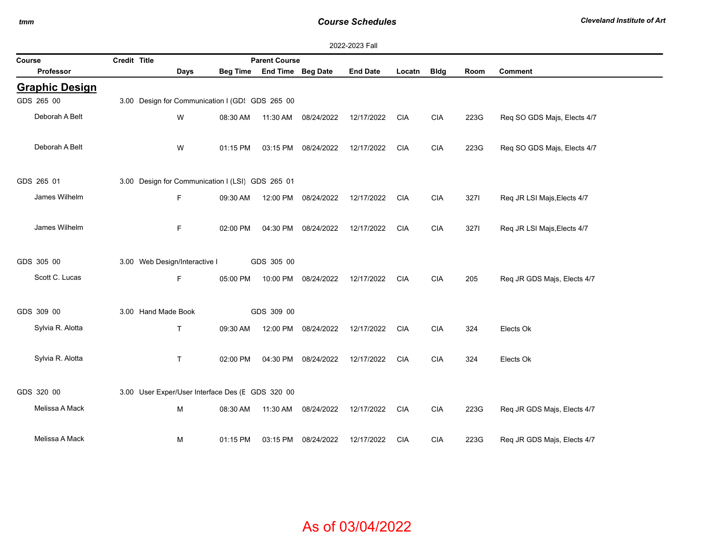### *Course Schedules*

*Cleveland Institute of Art*

|                       |              |                                                  |                 |                      |                     | 2022-2023 Fall  |            |             |      |                             |
|-----------------------|--------------|--------------------------------------------------|-----------------|----------------------|---------------------|-----------------|------------|-------------|------|-----------------------------|
| Course                | Credit Title |                                                  |                 | <b>Parent Course</b> |                     |                 |            |             |      |                             |
| Professor             |              | Days                                             | <b>Beg Time</b> | End Time Beg Date    |                     | <b>End Date</b> | Locatn     | <b>Bldg</b> | Room | Comment                     |
| <b>Graphic Design</b> |              |                                                  |                 |                      |                     |                 |            |             |      |                             |
| GDS 265 00            |              | 3.00 Design for Communication I (GD: GDS 265 00  |                 |                      |                     |                 |            |             |      |                             |
| Deborah A Belt        |              | W                                                | 08:30 AM        | 11:30 AM             | 08/24/2022          | 12/17/2022      | <b>CIA</b> | <b>CIA</b>  | 223G | Req SO GDS Majs, Elects 4/7 |
| Deborah A Belt        |              | W                                                | 01:15 PM        |                      | 03:15 PM 08/24/2022 | 12/17/2022      | <b>CIA</b> | <b>CIA</b>  | 223G | Req SO GDS Majs, Elects 4/7 |
| GDS 265 01            |              | 3.00 Design for Communication I (LSI) GDS 265 01 |                 |                      |                     |                 |            |             |      |                             |
| James Wilhelm         |              | $\mathsf F$                                      | 09:30 AM        |                      | 12:00 PM 08/24/2022 | 12/17/2022      | <b>CIA</b> | <b>CIA</b>  | 3271 | Req JR LSI Majs, Elects 4/7 |
| James Wilhelm         |              | F                                                | 02:00 PM        | 04:30 PM             | 08/24/2022          | 12/17/2022      | <b>CIA</b> | <b>CIA</b>  | 3271 | Req JR LSI Majs, Elects 4/7 |
| GDS 305 00            |              | 3.00 Web Design/Interactive I                    |                 | GDS 305 00           |                     |                 |            |             |      |                             |
| Scott C. Lucas        |              | F                                                | 05:00 PM        |                      | 10:00 PM 08/24/2022 | 12/17/2022      | <b>CIA</b> | <b>CIA</b>  | 205  | Req JR GDS Majs, Elects 4/7 |
| GDS 309 00            |              | 3.00 Hand Made Book                              |                 | GDS 309 00           |                     |                 |            |             |      |                             |
| Sylvia R. Alotta      |              | $\mathsf T$                                      | 09:30 AM        |                      | 12:00 PM 08/24/2022 | 12/17/2022      | <b>CIA</b> | <b>CIA</b>  | 324  | Elects Ok                   |
| Sylvia R. Alotta      |              | T                                                | 02:00 PM        | 04:30 PM             | 08/24/2022          | 12/17/2022      | <b>CIA</b> | <b>CIA</b>  | 324  | Elects Ok                   |
| GDS 320 00            |              | 3.00 User Exper/User Interface Des (E GDS 320 00 |                 |                      |                     |                 |            |             |      |                             |
| Melissa A Mack        |              | M                                                | 08:30 AM        | 11:30 AM             | 08/24/2022          | 12/17/2022      | CIA        | <b>CIA</b>  | 223G | Req JR GDS Majs, Elects 4/7 |
| Melissa A Mack        |              | м                                                | 01:15 PM        |                      | 03:15 PM 08/24/2022 | 12/17/2022      | <b>CIA</b> | <b>CIA</b>  | 223G | Req JR GDS Majs, Elects 4/7 |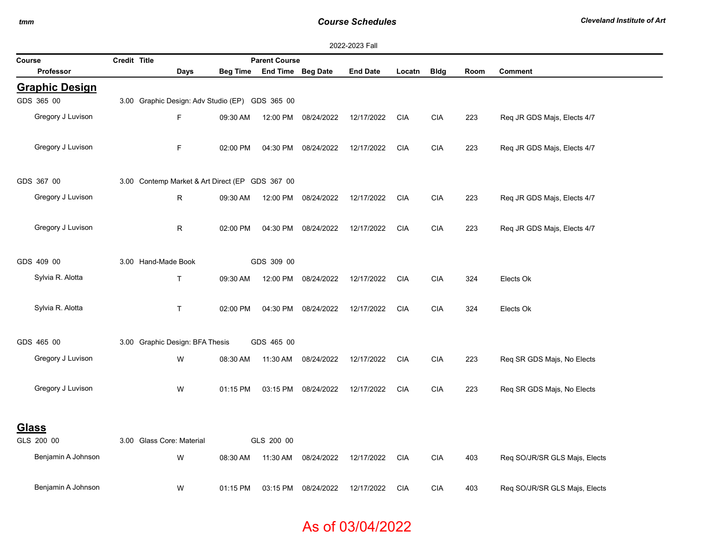### *Course Schedules*

|              | 2022-2023 Fall<br>Credit Title |  |                                                 |                 |                      |            |                 |            |             |      |                               |  |
|--------------|--------------------------------|--|-------------------------------------------------|-----------------|----------------------|------------|-----------------|------------|-------------|------|-------------------------------|--|
| Course       |                                |  |                                                 |                 | <b>Parent Course</b> |            |                 |            |             |      |                               |  |
|              | Professor                      |  | Days                                            | <b>Beg Time</b> | End Time Beg Date    |            | <b>End Date</b> | Locatn     | <b>Bldg</b> | Room | <b>Comment</b>                |  |
|              | <b>Graphic Design</b>          |  |                                                 |                 |                      |            |                 |            |             |      |                               |  |
|              | GDS 365 00                     |  | 3.00 Graphic Design: Adv Studio (EP) GDS 365 00 |                 |                      |            |                 |            |             |      |                               |  |
|              | Gregory J Luvison              |  | F                                               | 09:30 AM        | 12:00 PM             | 08/24/2022 | 12/17/2022      | <b>CIA</b> | <b>CIA</b>  | 223  | Req JR GDS Majs, Elects 4/7   |  |
|              | Gregory J Luvison              |  | F                                               | 02:00 PM        | 04:30 PM             | 08/24/2022 | 12/17/2022      | <b>CIA</b> | <b>CIA</b>  | 223  | Req JR GDS Majs, Elects 4/7   |  |
|              | GDS 367 00                     |  | 3.00 Contemp Market & Art Direct (EP GDS 367 00 |                 |                      |            |                 |            |             |      |                               |  |
|              | Gregory J Luvison              |  | $\mathsf{R}$                                    | 09:30 AM        | 12:00 PM             | 08/24/2022 | 12/17/2022      | <b>CIA</b> | <b>CIA</b>  | 223  | Req JR GDS Majs, Elects 4/7   |  |
|              | Gregory J Luvison              |  | ${\sf R}$                                       | 02:00 PM        | 04:30 PM             | 08/24/2022 | 12/17/2022      | <b>CIA</b> | <b>CIA</b>  | 223  | Req JR GDS Majs, Elects 4/7   |  |
|              | GDS 409 00                     |  | 3.00 Hand-Made Book                             |                 | GDS 309 00           |            |                 |            |             |      |                               |  |
|              | Sylvia R. Alotta               |  | T                                               | 09:30 AM        | 12:00 PM             | 08/24/2022 | 12/17/2022      | <b>CIA</b> | <b>CIA</b>  | 324  | Elects Ok                     |  |
|              | Sylvia R. Alotta               |  | $\top$                                          | 02:00 PM        | 04:30 PM             | 08/24/2022 | 12/17/2022      | <b>CIA</b> | <b>CIA</b>  | 324  | Elects Ok                     |  |
|              | GDS 465 00                     |  | 3.00 Graphic Design: BFA Thesis                 |                 | GDS 465 00           |            |                 |            |             |      |                               |  |
|              | Gregory J Luvison              |  | W                                               | 08:30 AM        | 11:30 AM             | 08/24/2022 | 12/17/2022      | <b>CIA</b> | <b>CIA</b>  | 223  | Req SR GDS Majs, No Elects    |  |
|              | Gregory J Luvison              |  | W                                               | 01:15 PM        | 03:15 PM             | 08/24/2022 | 12/17/2022      | <b>CIA</b> | <b>CIA</b>  | 223  | Req SR GDS Majs, No Elects    |  |
| <b>Glass</b> |                                |  |                                                 |                 |                      |            |                 |            |             |      |                               |  |
|              | GLS 200 00                     |  | 3.00 Glass Core: Material                       |                 | GLS 200 00           |            |                 |            |             |      |                               |  |
|              | Benjamin A Johnson             |  | W                                               | 08:30 AM        | 11:30 AM             | 08/24/2022 | 12/17/2022      | <b>CIA</b> | <b>CIA</b>  | 403  | Req SO/JR/SR GLS Majs, Elects |  |
|              | Benjamin A Johnson             |  | W                                               | 01:15 PM        | 03:15 PM             | 08/24/2022 | 12/17/2022      | <b>CIA</b> | <b>CIA</b>  | 403  | Req SO/JR/SR GLS Majs, Elects |  |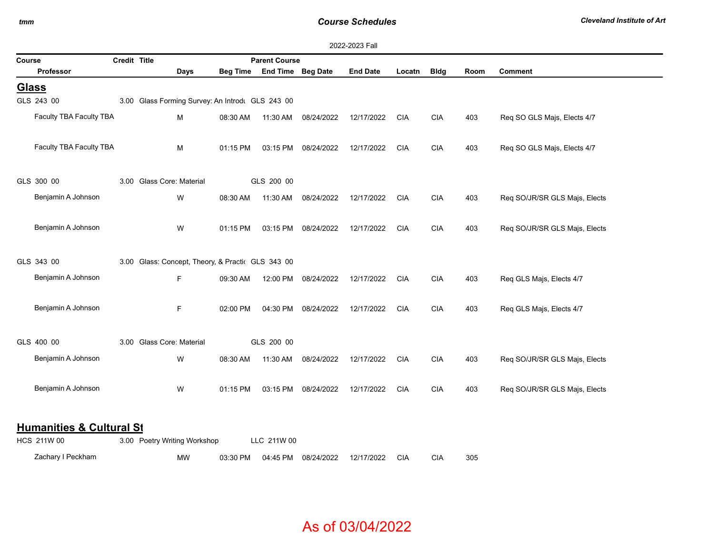## *Course Schedules*

|                                                    |              |                                                   |                 |                      |            | 2022-2023 Fall  |            |             |      |                               |
|----------------------------------------------------|--------------|---------------------------------------------------|-----------------|----------------------|------------|-----------------|------------|-------------|------|-------------------------------|
| Course                                             | Credit Title |                                                   |                 | <b>Parent Course</b> |            |                 |            |             |      |                               |
| Professor                                          |              | Days                                              | <b>Beg Time</b> | End Time Beg Date    |            | <b>End Date</b> | Locatn     | <b>Bldg</b> | Room | <b>Comment</b>                |
| <b>Glass</b>                                       |              |                                                   |                 |                      |            |                 |            |             |      |                               |
| GLS 243 00                                         |              | 3.00 Glass Forming Survey: An Introdu GLS 243 00  |                 |                      |            |                 |            |             |      |                               |
| Faculty TBA Faculty TBA                            |              | M                                                 | 08:30 AM        | 11:30 AM             | 08/24/2022 | 12/17/2022      | <b>CIA</b> | <b>CIA</b>  | 403  | Req SO GLS Majs, Elects 4/7   |
| Faculty TBA Faculty TBA                            |              | M                                                 | 01:15 PM        | 03:15 PM             | 08/24/2022 | 12/17/2022      | <b>CIA</b> | <b>CIA</b>  | 403  | Req SO GLS Majs, Elects 4/7   |
| GLS 300 00                                         |              | 3.00 Glass Core: Material                         |                 | GLS 200 00           |            |                 |            |             |      |                               |
| Benjamin A Johnson                                 |              | W                                                 | 08:30 AM        | 11:30 AM             | 08/24/2022 | 12/17/2022      | <b>CIA</b> | <b>CIA</b>  | 403  | Req SO/JR/SR GLS Majs, Elects |
| Benjamin A Johnson                                 |              | W                                                 | 01:15 PM        | 03:15 PM             | 08/24/2022 | 12/17/2022      | <b>CIA</b> | <b>CIA</b>  | 403  | Req SO/JR/SR GLS Majs, Elects |
| GLS 343 00                                         |              | 3.00 Glass: Concept, Theory, & Practic GLS 343 00 |                 |                      |            |                 |            |             |      |                               |
| Benjamin A Johnson                                 |              | $\mathsf F$                                       | 09:30 AM        | 12:00 PM             | 08/24/2022 | 12/17/2022      | <b>CIA</b> | <b>CIA</b>  | 403  | Req GLS Majs, Elects 4/7      |
| Benjamin A Johnson                                 |              | F                                                 | 02:00 PM        | 04:30 PM             | 08/24/2022 | 12/17/2022      | <b>CIA</b> | <b>CIA</b>  | 403  | Req GLS Majs, Elects 4/7      |
| GLS 400 00                                         |              | 3.00 Glass Core: Material                         |                 | GLS 200 00           |            |                 |            |             |      |                               |
| Benjamin A Johnson                                 |              | W                                                 | 08:30 AM        | 11:30 AM             | 08/24/2022 | 12/17/2022      | <b>CIA</b> | <b>CIA</b>  | 403  | Req SO/JR/SR GLS Majs, Elects |
| Benjamin A Johnson                                 |              | W                                                 | 01:15 PM        | 03:15 PM             | 08/24/2022 | 12/17/2022      | <b>CIA</b> | <b>CIA</b>  | 403  | Req SO/JR/SR GLS Majs, Elects |
| <b>Humanities &amp; Cultural St</b><br>HCS 211W 00 |              | 3.00 Poetry Writing Workshop                      |                 | LLC 211W 00          |            |                 |            |             |      |                               |
| Zachary I Peckham                                  |              | MW                                                | 03:30 PM        | 04:45 PM             | 08/24/2022 | 12/17/2022      | <b>CIA</b> | <b>CIA</b>  | 305  |                               |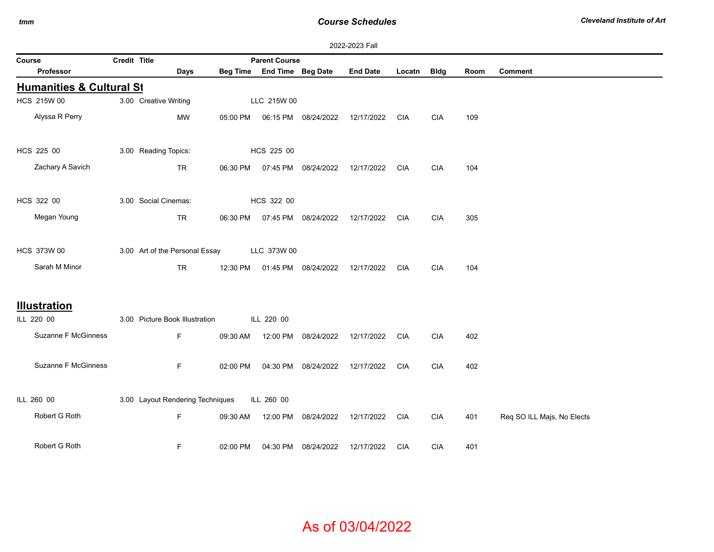## *Course Schedules*

 $\overline{\phantom{a}}$ 

|                                     |              |                                  |          |                            |                     | 2022-2023 Fall  |            |             |      |                            |
|-------------------------------------|--------------|----------------------------------|----------|----------------------------|---------------------|-----------------|------------|-------------|------|----------------------------|
| Course                              | Credit Title |                                  |          | <b>Parent Course</b>       |                     |                 |            |             |      |                            |
| Professor                           |              | <b>Days</b>                      |          | Beg Time End Time Beg Date |                     | <b>End Date</b> | Locatn     | <b>Bldg</b> | Room | <b>Comment</b>             |
| <b>Humanities &amp; Cultural St</b> |              |                                  |          |                            |                     |                 |            |             |      |                            |
| HCS 215W 00                         |              | 3.00 Creative Writing            |          | LLC 215W 00                |                     |                 |            |             |      |                            |
| Alyssa R Perry                      |              | <b>MW</b>                        | 05:00 PM |                            | 06:15 PM 08/24/2022 | 12/17/2022      | <b>CIA</b> | <b>CIA</b>  | 109  |                            |
| HCS 225 00                          |              | 3.00 Reading Topics:             |          | HCS 225 00                 |                     |                 |            |             |      |                            |
| Zachary A Savich                    |              | <b>TR</b>                        | 06:30 PM | 07:45 PM                   | 08/24/2022          | 12/17/2022      | CIA        | <b>CIA</b>  | 104  |                            |
| HCS 322 00                          |              | 3.00 Social Cinemas:             |          | HCS 322 00                 |                     |                 |            |             |      |                            |
| Megan Young                         |              | <b>TR</b>                        | 06:30 PM |                            | 07:45 PM 08/24/2022 | 12/17/2022      | <b>CIA</b> | <b>CIA</b>  | 305  |                            |
| HCS 373W 00                         |              | 3.00 Art of the Personal Essay   |          | LLC 373W 00                |                     |                 |            |             |      |                            |
| Sarah M Minor                       |              | <b>TR</b>                        | 12:30 PM | 01:45 PM                   | 08/24/2022          | 12/17/2022      | <b>CIA</b> | <b>CIA</b>  | 104  |                            |
| <b>Illustration</b>                 |              |                                  |          |                            |                     |                 |            |             |      |                            |
| ILL 220 00                          |              | 3.00 Picture Book Illustration   |          | ILL 220 00                 |                     |                 |            |             |      |                            |
| <b>Suzanne F McGinness</b>          |              | F                                | 09:30 AM | 12:00 PM                   | 08/24/2022          | 12/17/2022      | <b>CIA</b> | <b>CIA</b>  | 402  |                            |
| <b>Suzanne F McGinness</b>          |              | F                                | 02:00 PM | 04:30 PM                   | 08/24/2022          | 12/17/2022      | <b>CIA</b> | <b>CIA</b>  | 402  |                            |
| ILL 260 00                          |              | 3.00 Layout Rendering Techniques |          | ILL 260 00                 |                     |                 |            |             |      |                            |
| Robert G Roth                       |              | $\mathsf F$                      | 09:30 AM | 12:00 PM                   | 08/24/2022          | 12/17/2022      | <b>CIA</b> | <b>CIA</b>  | 401  | Req SO ILL Majs, No Elects |
| Robert G Roth                       |              | F                                | 02:00 PM | 04:30 PM                   | 08/24/2022          | 12/17/2022      | CIA        | <b>CIA</b>  | 401  |                            |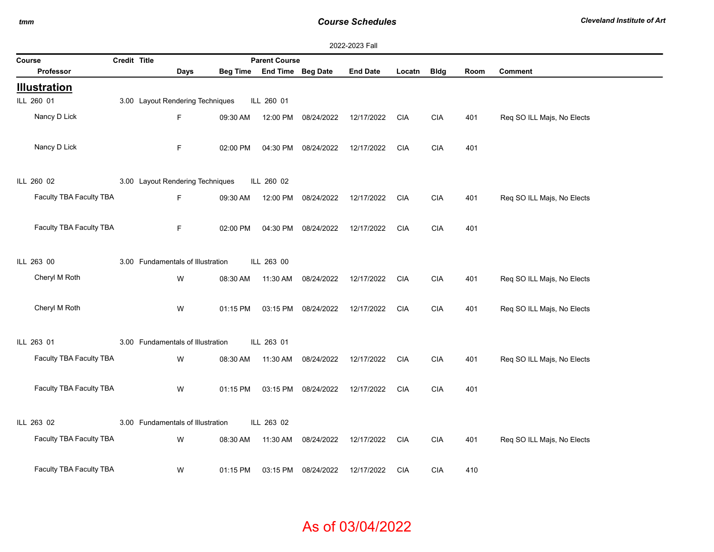### *Course Schedules*

| 2022-2023 Fall          |              |                                   |                 |                      |            |                 |            |             |      |                            |  |  |
|-------------------------|--------------|-----------------------------------|-----------------|----------------------|------------|-----------------|------------|-------------|------|----------------------------|--|--|
| Course                  | Credit Title |                                   |                 | <b>Parent Course</b> |            |                 |            |             |      |                            |  |  |
| <b>Professor</b>        |              | Days                              | <b>Beg Time</b> | End Time Beg Date    |            | <b>End Date</b> | Locatn     | <b>Bldg</b> | Room | <b>Comment</b>             |  |  |
| <b>Illustration</b>     |              |                                   |                 |                      |            |                 |            |             |      |                            |  |  |
| ILL 260 01              |              | 3.00 Layout Rendering Techniques  |                 | ILL 260 01           |            |                 |            |             |      |                            |  |  |
| Nancy D Lick            |              | F                                 | 09:30 AM        | 12:00 PM             | 08/24/2022 | 12/17/2022      | CIA        | CIA         | 401  | Req SO ILL Majs, No Elects |  |  |
| Nancy D Lick            |              | F.                                | 02:00 PM        | 04:30 PM             | 08/24/2022 | 12/17/2022      | <b>CIA</b> | <b>CIA</b>  | 401  |                            |  |  |
| ILL 260 02              |              | 3.00 Layout Rendering Techniques  |                 | ILL 260 02           |            |                 |            |             |      |                            |  |  |
| Faculty TBA Faculty TBA |              | F.                                | 09:30 AM        | 12:00 PM             | 08/24/2022 | 12/17/2022      | CIA        | CIA         | 401  | Req SO ILL Majs, No Elects |  |  |
| Faculty TBA Faculty TBA |              | F                                 | 02:00 PM        | 04:30 PM             | 08/24/2022 | 12/17/2022      | <b>CIA</b> | <b>CIA</b>  | 401  |                            |  |  |
| ILL 263 00              |              | 3.00 Fundamentals of Illustration |                 | ILL 263 00           |            |                 |            |             |      |                            |  |  |
| Cheryl M Roth           |              | W                                 | 08:30 AM        | 11:30 AM             | 08/24/2022 | 12/17/2022      | <b>CIA</b> | <b>CIA</b>  | 401  | Req SO ILL Majs, No Elects |  |  |
| Cheryl M Roth           |              | W                                 | 01:15 PM        | 03:15 PM             | 08/24/2022 | 12/17/2022      | <b>CIA</b> | CIA         | 401  | Req SO ILL Majs, No Elects |  |  |
| ILL 263 01              |              | 3.00 Fundamentals of Illustration |                 | ILL 263 01           |            |                 |            |             |      |                            |  |  |
| Faculty TBA Faculty TBA |              | W                                 | 08:30 AM        | 11:30 AM             | 08/24/2022 | 12/17/2022      | <b>CIA</b> | <b>CIA</b>  | 401  | Req SO ILL Majs, No Elects |  |  |
| Faculty TBA Faculty TBA |              | W                                 | 01:15 PM        | 03:15 PM             | 08/24/2022 | 12/17/2022      | <b>CIA</b> | <b>CIA</b>  | 401  |                            |  |  |
| ILL 263 02              | 3.00         | Fundamentals of Illustration      |                 | ILL 263 02           |            |                 |            |             |      |                            |  |  |
| Faculty TBA Faculty TBA |              | W                                 | 08:30 AM        | 11:30 AM             | 08/24/2022 | 12/17/2022      | <b>CIA</b> | CIA         | 401  | Req SO ILL Majs, No Elects |  |  |
| Faculty TBA Faculty TBA |              | W                                 | 01:15 PM        | 03:15 PM             | 08/24/2022 | 12/17/2022      | <b>CIA</b> | <b>CIA</b>  | 410  |                            |  |  |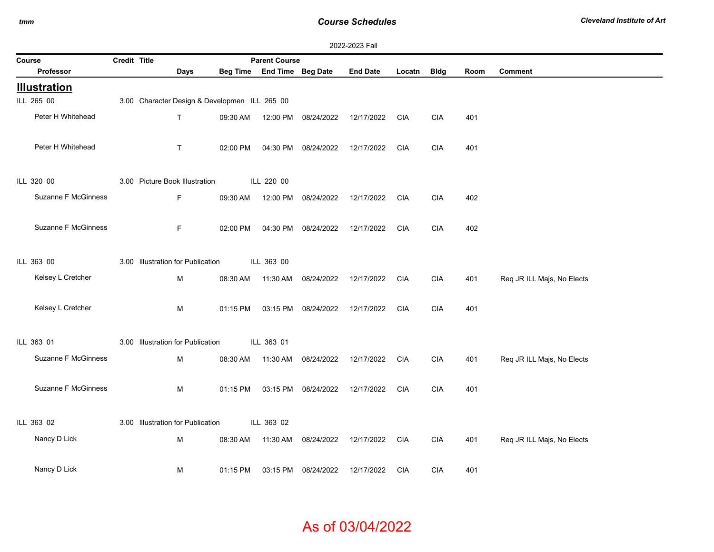### *Course Schedules*

|                            |              |                                               |          |                            |                     | 2022-2023 Fall  |            |                |      |                            |
|----------------------------|--------------|-----------------------------------------------|----------|----------------------------|---------------------|-----------------|------------|----------------|------|----------------------------|
| Course                     | Credit Title |                                               |          | <b>Parent Course</b>       |                     |                 |            |                |      |                            |
| <b>Professor</b>           |              | Days                                          |          | Beg Time End Time Beg Date |                     | <b>End Date</b> | Locatn     | <b>Bldg</b>    | Room | <b>Comment</b>             |
| <b>Illustration</b>        |              |                                               |          |                            |                     |                 |            |                |      |                            |
| ILL 265 00                 |              | 3.00 Character Design & Developmen ILL 265 00 |          |                            |                     |                 |            |                |      |                            |
| Peter H Whitehead          |              | T                                             | 09:30 AM |                            | 12:00 PM 08/24/2022 | 12/17/2022      | <b>CIA</b> | <b>CIA</b>     | 401  |                            |
| Peter H Whitehead          |              | $\mathsf{T}$                                  | 02:00 PM |                            | 04:30 PM 08/24/2022 | 12/17/2022      | <b>CIA</b> | $\mathsf{CIA}$ | 401  |                            |
| ILL 320 00                 |              | 3.00 Picture Book Illustration                |          | ILL 220 00                 |                     |                 |            |                |      |                            |
| <b>Suzanne F McGinness</b> |              | F                                             | 09:30 AM |                            | 12:00 PM 08/24/2022 | 12/17/2022      | <b>CIA</b> | $\mathsf{CIA}$ | 402  |                            |
| <b>Suzanne F McGinness</b> |              | F.                                            | 02:00 PM |                            | 04:30 PM 08/24/2022 | 12/17/2022      | <b>CIA</b> | $\mathsf{CIA}$ | 402  |                            |
| ILL 363 00                 |              | 3.00 Illustration for Publication             |          | ILL 363 00                 |                     |                 |            |                |      |                            |
| Kelsey L Cretcher          |              | M                                             | 08:30 AM | 11:30 AM                   | 08/24/2022          | 12/17/2022      | <b>CIA</b> | <b>CIA</b>     | 401  | Req JR ILL Majs, No Elects |
| Kelsey L Cretcher          |              | M                                             | 01:15 PM |                            | 03:15 PM 08/24/2022 | 12/17/2022      | <b>CIA</b> | <b>CIA</b>     | 401  |                            |
| ILL 363 01                 |              | 3.00 Illustration for Publication             |          | ILL 363 01                 |                     |                 |            |                |      |                            |
| <b>Suzanne F McGinness</b> |              | M                                             | 08:30 AM | 11:30 AM                   | 08/24/2022          | 12/17/2022      | CIA        | <b>CIA</b>     | 401  | Req JR ILL Majs, No Elects |
| <b>Suzanne F McGinness</b> |              | M                                             | 01:15 PM |                            | 03:15 PM 08/24/2022 | 12/17/2022      | <b>CIA</b> | $\mathsf{CIA}$ | 401  |                            |
| ILL 363 02                 |              | 3.00 Illustration for Publication             |          | ILL 363 02                 |                     |                 |            |                |      |                            |
| Nancy D Lick               |              | M                                             | 08:30 AM | 11:30 AM                   | 08/24/2022          | 12/17/2022      | <b>CIA</b> | <b>CIA</b>     | 401  | Req JR ILL Majs, No Elects |
| Nancy D Lick               |              | M                                             | 01:15 PM |                            | 03:15 PM 08/24/2022 | 12/17/2022      | <b>CIA</b> | <b>CIA</b>     | 401  |                            |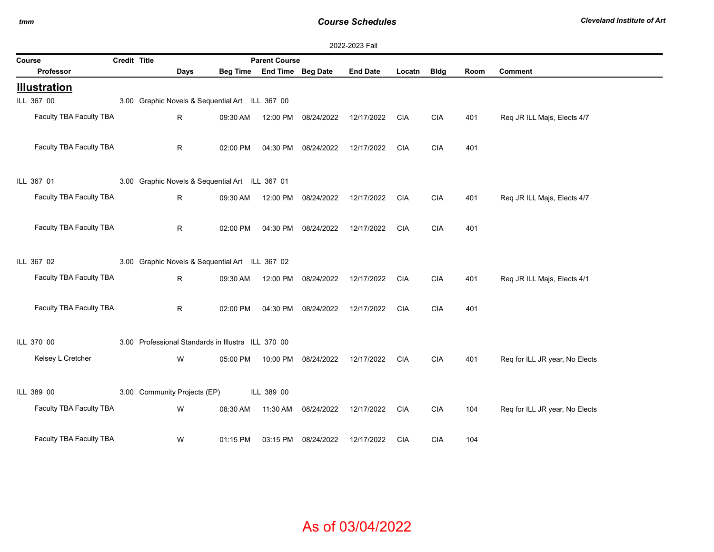### *Course Schedules*

| 2022-2023 Fall          |              |                                                    |          |                            |                     |                 |            |             |      |                                |  |  |
|-------------------------|--------------|----------------------------------------------------|----------|----------------------------|---------------------|-----------------|------------|-------------|------|--------------------------------|--|--|
| Course                  | Credit Title |                                                    |          | <b>Parent Course</b>       |                     |                 |            |             |      |                                |  |  |
| Professor               |              | Days                                               |          | Beg Time End Time Beg Date |                     | <b>End Date</b> | Locatn     | <b>Bldg</b> | Room | <b>Comment</b>                 |  |  |
| <b>Illustration</b>     |              |                                                    |          |                            |                     |                 |            |             |      |                                |  |  |
| ILL 367 00              |              | 3.00 Graphic Novels & Sequential Art ILL 367 00    |          |                            |                     |                 |            |             |      |                                |  |  |
| Faculty TBA Faculty TBA |              | R                                                  | 09:30 AM | 12:00 PM                   | 08/24/2022          | 12/17/2022      | <b>CIA</b> | <b>CIA</b>  | 401  | Req JR ILL Majs, Elects 4/7    |  |  |
| Faculty TBA Faculty TBA |              | R                                                  | 02:00 PM |                            | 04:30 PM 08/24/2022 | 12/17/2022      | <b>CIA</b> | <b>CIA</b>  | 401  |                                |  |  |
| ILL 367 01              |              | 3.00 Graphic Novels & Sequential Art ILL 367 01    |          |                            |                     |                 |            |             |      |                                |  |  |
| Faculty TBA Faculty TBA |              | R                                                  | 09:30 AM | 12:00 PM                   | 08/24/2022          | 12/17/2022      | <b>CIA</b> | <b>CIA</b>  | 401  | Req JR ILL Majs, Elects 4/7    |  |  |
| Faculty TBA Faculty TBA |              | $\mathsf{R}$                                       | 02:00 PM |                            | 04:30 PM 08/24/2022 | 12/17/2022      | <b>CIA</b> | <b>CIA</b>  | 401  |                                |  |  |
| ILL 367 02              |              | 3.00 Graphic Novels & Sequential Art ILL 367 02    |          |                            |                     |                 |            |             |      |                                |  |  |
| Faculty TBA Faculty TBA |              | R                                                  | 09:30 AM | 12:00 PM                   | 08/24/2022          | 12/17/2022      | <b>CIA</b> | <b>CIA</b>  | 401  | Req JR ILL Majs, Elects 4/1    |  |  |
| Faculty TBA Faculty TBA |              | R                                                  | 02:00 PM |                            | 04:30 PM 08/24/2022 | 12/17/2022      | <b>CIA</b> | <b>CIA</b>  | 401  |                                |  |  |
| ILL 370 00              |              | 3.00 Professional Standards in Illustra ILL 370 00 |          |                            |                     |                 |            |             |      |                                |  |  |
| Kelsey L Cretcher       |              | W                                                  | 05:00 PM | 10:00 PM                   | 08/24/2022          | 12/17/2022      | <b>CIA</b> | <b>CIA</b>  | 401  | Req for ILL JR year, No Elects |  |  |
| ILL 389 00              |              | 3.00 Community Projects (EP)                       |          | ILL 389 00                 |                     |                 |            |             |      |                                |  |  |
| Faculty TBA Faculty TBA |              | W                                                  | 08:30 AM | 11:30 AM                   | 08/24/2022          | 12/17/2022      | <b>CIA</b> | <b>CIA</b>  | 104  | Req for ILL JR year, No Elects |  |  |
| Faculty TBA Faculty TBA |              | W                                                  | 01:15 PM | 03:15 PM                   | 08/24/2022          | 12/17/2022      | <b>CIA</b> | <b>CIA</b>  | 104  |                                |  |  |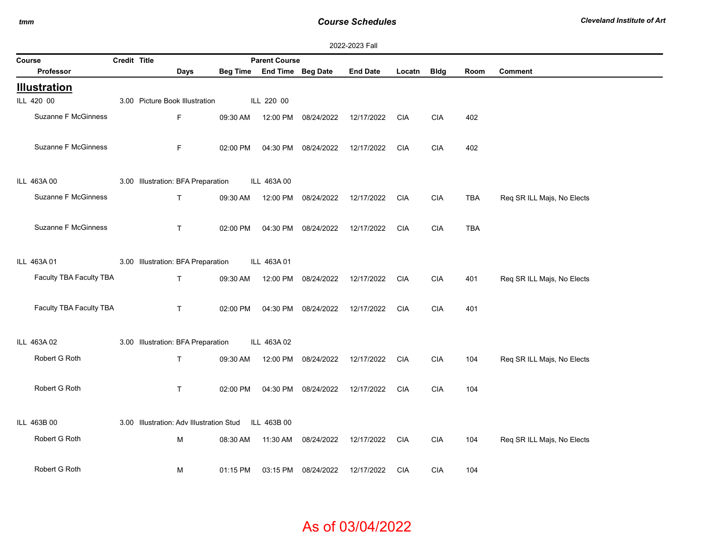### *Course Schedules*

|                            |              |                                          |          |                            |            | 2022-2023 Fall  |            |                |            |                            |
|----------------------------|--------------|------------------------------------------|----------|----------------------------|------------|-----------------|------------|----------------|------------|----------------------------|
| Course                     | Credit Title |                                          |          | <b>Parent Course</b>       |            |                 |            |                |            |                            |
| Professor                  |              | Days                                     |          | Beg Time End Time Beg Date |            | <b>End Date</b> | Locatn     | <b>Bldg</b>    | Room       | <b>Comment</b>             |
| <b>Illustration</b>        |              |                                          |          |                            |            |                 |            |                |            |                            |
| ILL 420 00                 |              | 3.00 Picture Book Illustration           |          | ILL 220 00                 |            |                 |            |                |            |                            |
| <b>Suzanne F McGinness</b> |              | F                                        | 09:30 AM | 12:00 PM                   | 08/24/2022 | 12/17/2022      | <b>CIA</b> | <b>CIA</b>     | 402        |                            |
| <b>Suzanne F McGinness</b> |              | F                                        | 02:00 PM | 04:30 PM                   | 08/24/2022 | 12/17/2022      | <b>CIA</b> | <b>CIA</b>     | 402        |                            |
| ILL 463A 00                |              | 3.00 Illustration: BFA Preparation       |          | ILL 463A 00                |            |                 |            |                |            |                            |
| <b>Suzanne F McGinness</b> |              | $\mathsf{T}$                             | 09:30 AM | 12:00 PM                   | 08/24/2022 | 12/17/2022      | <b>CIA</b> | <b>CIA</b>     | <b>TBA</b> | Req SR ILL Majs, No Elects |
| <b>Suzanne F McGinness</b> |              | $\mathsf{T}$                             | 02:00 PM | 04:30 PM                   | 08/24/2022 | 12/17/2022      | <b>CIA</b> | $\mathsf{CIA}$ | <b>TBA</b> |                            |
| ILL 463A 01                |              | 3.00 Illustration: BFA Preparation       |          | ILL 463A 01                |            |                 |            |                |            |                            |
| Faculty TBA Faculty TBA    |              | $\mathsf{T}$                             | 09:30 AM | 12:00 PM                   | 08/24/2022 | 12/17/2022      | <b>CIA</b> | <b>CIA</b>     | 401        | Req SR ILL Majs, No Elects |
| Faculty TBA Faculty TBA    |              | $\mathsf{T}$                             | 02:00 PM | 04:30 PM                   | 08/24/2022 | 12/17/2022      | <b>CIA</b> | <b>CIA</b>     | 401        |                            |
| ILL 463A 02                |              | 3.00 Illustration: BFA Preparation       |          | ILL 463A 02                |            |                 |            |                |            |                            |
| Robert G Roth              |              | $\mathsf{T}$                             | 09:30 AM | 12:00 PM                   | 08/24/2022 | 12/17/2022      | <b>CIA</b> | <b>CIA</b>     | 104        | Req SR ILL Majs, No Elects |
| Robert G Roth              |              | $\mathsf{T}$                             | 02:00 PM | 04:30 PM                   | 08/24/2022 | 12/17/2022      | <b>CIA</b> | <b>CIA</b>     | 104        |                            |
| ILL 463B 00                |              | 3.00 Illustration: Adv Illustration Stud |          | ILL 463B 00                |            |                 |            |                |            |                            |
| Robert G Roth              |              | M                                        | 08:30 AM | 11:30 AM                   | 08/24/2022 | 12/17/2022      | <b>CIA</b> | <b>CIA</b>     | 104        | Req SR ILL Majs, No Elects |
| Robert G Roth              |              | M                                        | 01:15 PM | 03:15 PM                   | 08/24/2022 | 12/17/2022      | <b>CIA</b> | <b>CIA</b>     | 104        |                            |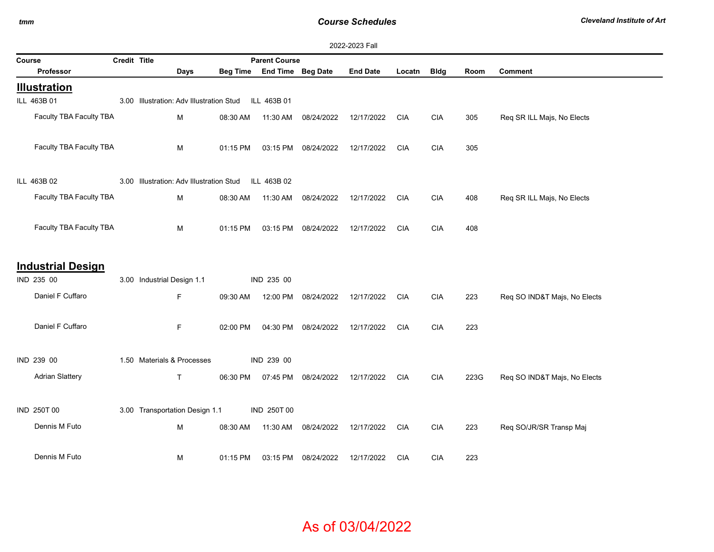### *Course Schedules*

 $\sim$ 

| 2022-2023 Fall           |              |                                          |                 |                      |            |                 |            |             |      |                              |  |  |
|--------------------------|--------------|------------------------------------------|-----------------|----------------------|------------|-----------------|------------|-------------|------|------------------------------|--|--|
| Course                   | Credit Title |                                          |                 | <b>Parent Course</b> |            |                 |            |             |      |                              |  |  |
| Professor                |              | <b>Days</b>                              | <b>Beg Time</b> | End Time Beg Date    |            | <b>End Date</b> | Locatn     | <b>Bldg</b> | Room | Comment                      |  |  |
| <b>Illustration</b>      |              |                                          |                 |                      |            |                 |            |             |      |                              |  |  |
| ILL 463B 01              |              | 3.00 Illustration: Adv Illustration Stud |                 | ILL 463B 01          |            |                 |            |             |      |                              |  |  |
| Faculty TBA Faculty TBA  |              | М                                        | 08:30 AM        | 11:30 AM             | 08/24/2022 | 12/17/2022      | <b>CIA</b> | <b>CIA</b>  | 305  | Req SR ILL Majs, No Elects   |  |  |
| Faculty TBA Faculty TBA  |              | M                                        | 01:15 PM        | 03:15 PM             | 08/24/2022 | 12/17/2022      | <b>CIA</b> | <b>CIA</b>  | 305  |                              |  |  |
| ILL 463B 02              |              | 3.00 Illustration: Adv Illustration Stud |                 | ILL 463B 02          |            |                 |            |             |      |                              |  |  |
| Faculty TBA Faculty TBA  |              | M                                        | 08:30 AM        | 11:30 AM             | 08/24/2022 | 12/17/2022      | <b>CIA</b> | <b>CIA</b>  | 408  | Req SR ILL Majs, No Elects   |  |  |
| Faculty TBA Faculty TBA  |              | М                                        | 01:15 PM        | 03:15 PM             | 08/24/2022 | 12/17/2022      | <b>CIA</b> | <b>CIA</b>  | 408  |                              |  |  |
| <b>Industrial Design</b> |              |                                          |                 |                      |            |                 |            |             |      |                              |  |  |
| IND 235 00               |              | 3.00 Industrial Design 1.1               |                 | IND 235 00           |            |                 |            |             |      |                              |  |  |
| Daniel F Cuffaro         |              | F                                        | 09:30 AM        | 12:00 PM             | 08/24/2022 | 12/17/2022      | <b>CIA</b> | <b>CIA</b>  | 223  | Req SO IND&T Majs, No Elects |  |  |
| Daniel F Cuffaro         |              | $\mathsf F$                              | 02:00 PM        | 04:30 PM             | 08/24/2022 | 12/17/2022      | <b>CIA</b> | <b>CIA</b>  | 223  |                              |  |  |
| IND 239 00               |              | 1.50 Materials & Processes               |                 | IND 239 00           |            |                 |            |             |      |                              |  |  |
| <b>Adrian Slattery</b>   |              | $\mathsf T$                              | 06:30 PM        | 07:45 PM             | 08/24/2022 | 12/17/2022      | <b>CIA</b> | <b>CIA</b>  | 223G | Req SO IND&T Majs, No Elects |  |  |
| IND 250T 00              |              | 3.00 Transportation Design 1.1           |                 | IND 250T 00          |            |                 |            |             |      |                              |  |  |
| Dennis M Futo            |              | M                                        | 08:30 AM        | 11:30 AM             | 08/24/2022 | 12/17/2022      | <b>CIA</b> | <b>CIA</b>  | 223  | Req SO/JR/SR Transp Maj      |  |  |
| Dennis M Futo            |              | м                                        | 01:15 PM        | 03:15 PM             | 08/24/2022 | 12/17/2022      | <b>CIA</b> | CIA         | 223  |                              |  |  |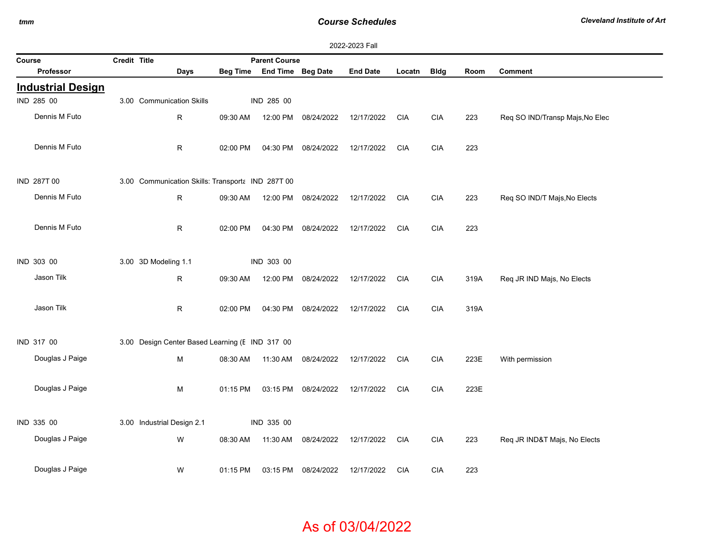### *Course Schedules*

|                          |              |                                                   |                 |                      |                     | 2022-2023 Fall  |            |             |      |                                 |
|--------------------------|--------------|---------------------------------------------------|-----------------|----------------------|---------------------|-----------------|------------|-------------|------|---------------------------------|
| Course                   | Credit Title |                                                   |                 | <b>Parent Course</b> |                     |                 |            |             |      |                                 |
| Professor                |              | Days                                              | <b>Beg Time</b> | End Time Beg Date    |                     | <b>End Date</b> | Locatn     | <b>Bldg</b> | Room | <b>Comment</b>                  |
| <b>Industrial Design</b> |              |                                                   |                 |                      |                     |                 |            |             |      |                                 |
| IND 285 00               |              | 3.00 Communication Skills                         |                 | IND 285 00           |                     |                 |            |             |      |                                 |
| Dennis M Futo            |              | R                                                 | 09:30 AM        | 12:00 PM             | 08/24/2022          | 12/17/2022      | <b>CIA</b> | <b>CIA</b>  | 223  | Req SO IND/Transp Majs, No Elec |
| Dennis M Futo            |              | R                                                 | 02:00 PM        | 04:30 PM             | 08/24/2022          | 12/17/2022      | <b>CIA</b> | <b>CIA</b>  | 223  |                                 |
| IND 287T 00              |              | 3.00 Communication Skills: Transporta IND 287T 00 |                 |                      |                     |                 |            |             |      |                                 |
| Dennis M Futo            |              | R                                                 | 09:30 AM        | 12:00 PM             | 08/24/2022          | 12/17/2022      | CIA        | <b>CIA</b>  | 223  | Req SO IND/T Majs, No Elects    |
| Dennis M Futo            |              | R                                                 | 02:00 PM        | 04:30 PM             | 08/24/2022          | 12/17/2022      | <b>CIA</b> | <b>CIA</b>  | 223  |                                 |
| IND 303 00               |              | 3.00 3D Modeling 1.1                              |                 | IND 303 00           |                     |                 |            |             |      |                                 |
| Jason Tilk               |              | $\mathsf{R}$                                      | 09:30 AM        | 12:00 PM             | 08/24/2022          | 12/17/2022      | <b>CIA</b> | <b>CIA</b>  | 319A | Req JR IND Majs, No Elects      |
| Jason Tilk               |              | R                                                 | 02:00 PM        | 04:30 PM             | 08/24/2022          | 12/17/2022      | <b>CIA</b> | <b>CIA</b>  | 319A |                                 |
| IND 317 00               |              | 3.00 Design Center Based Learning (E IND 317 00   |                 |                      |                     |                 |            |             |      |                                 |
| Douglas J Paige          |              | M                                                 | 08:30 AM        | 11:30 AM             | 08/24/2022          | 12/17/2022      | <b>CIA</b> | <b>CIA</b>  | 223E | With permission                 |
| Douglas J Paige          |              | M                                                 | 01:15 PM        |                      | 03:15 PM 08/24/2022 | 12/17/2022      | <b>CIA</b> | <b>CIA</b>  | 223E |                                 |
| IND 335 00               |              | 3.00 Industrial Design 2.1                        |                 | IND 335 00           |                     |                 |            |             |      |                                 |
| Douglas J Paige          |              | W                                                 | 08:30 AM        | 11:30 AM             | 08/24/2022          | 12/17/2022      | <b>CIA</b> | <b>CIA</b>  | 223  | Req JR IND&T Majs, No Elects    |
| Douglas J Paige          |              | W                                                 | 01:15 PM        | 03:15 PM             | 08/24/2022          | 12/17/2022      | <b>CIA</b> | <b>CIA</b>  | 223  |                                 |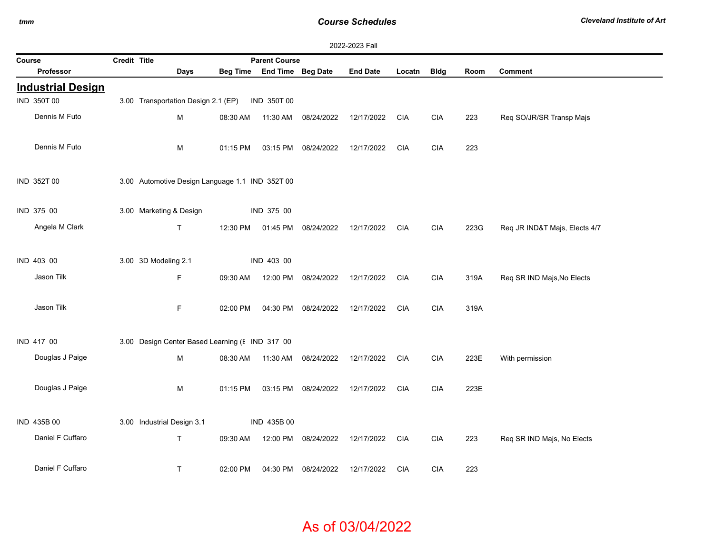### *Course Schedules*

|        | 2022-2023 Fall                                                 |              |                                                 |          |                            |            |                 |            |             |      |                               |  |  |
|--------|----------------------------------------------------------------|--------------|-------------------------------------------------|----------|----------------------------|------------|-----------------|------------|-------------|------|-------------------------------|--|--|
| Course |                                                                | Credit Title |                                                 |          | <b>Parent Course</b>       |            |                 |            |             |      |                               |  |  |
|        | Professor                                                      |              | Days                                            |          | Beg Time End Time Beg Date |            | <b>End Date</b> | Locatn     | <b>Bldg</b> | Room | <b>Comment</b>                |  |  |
|        | <b>Industrial Design</b>                                       |              |                                                 |          |                            |            |                 |            |             |      |                               |  |  |
|        | IND 350T 00                                                    |              | 3.00 Transportation Design 2.1 (EP)             |          | IND 350T 00                |            |                 |            |             |      |                               |  |  |
|        | Dennis M Futo                                                  |              | M                                               | 08:30 AM | 11:30 AM                   | 08/24/2022 | 12/17/2022      | <b>CIA</b> | <b>CIA</b>  | 223  | Req SO/JR/SR Transp Majs      |  |  |
|        |                                                                |              |                                                 |          |                            |            |                 |            |             |      |                               |  |  |
|        | Dennis M Futo                                                  |              | M                                               | 01:15 PM | 03:15 PM                   | 08/24/2022 | 12/17/2022      | <b>CIA</b> | <b>CIA</b>  | 223  |                               |  |  |
|        |                                                                |              |                                                 |          |                            |            |                 |            |             |      |                               |  |  |
|        | IND 352T 00<br>3.00 Automotive Design Language 1.1 IND 352T 00 |              |                                                 |          |                            |            |                 |            |             |      |                               |  |  |
|        |                                                                |              |                                                 |          |                            |            |                 |            |             |      |                               |  |  |
|        | IND 375 00                                                     |              | 3.00 Marketing & Design                         |          | IND 375 00                 |            |                 |            |             |      |                               |  |  |
|        | Angela M Clark                                                 |              | $\mathsf T$                                     | 12:30 PM | 01:45 PM                   | 08/24/2022 | 12/17/2022      | <b>CIA</b> | <b>CIA</b>  | 223G | Req JR IND&T Majs, Elects 4/7 |  |  |
|        |                                                                |              |                                                 |          |                            |            |                 |            |             |      |                               |  |  |
|        | IND 403 00                                                     |              | 3.00 3D Modeling 2.1                            |          | IND 403 00                 |            |                 |            |             |      |                               |  |  |
|        | Jason Tilk                                                     |              | F                                               | 09:30 AM | 12:00 PM                   | 08/24/2022 | 12/17/2022      | <b>CIA</b> | <b>CIA</b>  | 319A | Req SR IND Majs, No Elects    |  |  |
|        |                                                                |              |                                                 |          |                            |            |                 |            |             |      |                               |  |  |
|        | Jason Tilk                                                     |              | F                                               | 02:00 PM | 04:30 PM                   | 08/24/2022 | 12/17/2022      | <b>CIA</b> | <b>CIA</b>  | 319A |                               |  |  |
|        |                                                                |              |                                                 |          |                            |            |                 |            |             |      |                               |  |  |
|        | IND 417 00                                                     |              | 3.00 Design Center Based Learning (E IND 317 00 |          |                            |            |                 |            |             |      |                               |  |  |
|        | Douglas J Paige                                                |              | M                                               | 08:30 AM | 11:30 AM                   | 08/24/2022 | 12/17/2022      | <b>CIA</b> | <b>CIA</b>  | 223E | With permission               |  |  |
|        |                                                                |              |                                                 |          |                            |            |                 |            |             |      |                               |  |  |
|        | Douglas J Paige                                                |              | M                                               | 01:15 PM | 03:15 PM                   | 08/24/2022 | 12/17/2022      | <b>CIA</b> | <b>CIA</b>  | 223E |                               |  |  |
|        |                                                                |              |                                                 |          |                            |            |                 |            |             |      |                               |  |  |
|        | IND 435B 00                                                    |              | 3.00 Industrial Design 3.1                      |          | IND 435B 00                |            |                 |            |             |      |                               |  |  |
|        | Daniel F Cuffaro                                               |              |                                                 |          |                            |            |                 |            |             |      |                               |  |  |
|        |                                                                |              | T                                               | 09:30 AM | 12:00 PM                   | 08/24/2022 | 12/17/2022      | CIA        | <b>CIA</b>  | 223  | Req SR IND Majs, No Elects    |  |  |
|        | Daniel F Cuffaro                                               |              | T.                                              | 02:00 PM | 04:30 PM                   | 08/24/2022 | 12/17/2022      | <b>CIA</b> | <b>CIA</b>  | 223  |                               |  |  |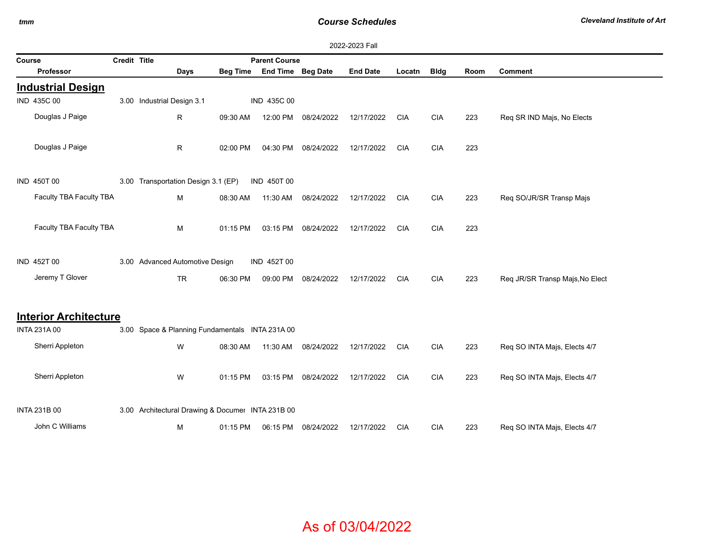## *Course Schedules*

|                              | 2022-2023 Fall |                                                   |          |                            |            |                 |            |             |      |                                 |  |  |  |
|------------------------------|----------------|---------------------------------------------------|----------|----------------------------|------------|-----------------|------------|-------------|------|---------------------------------|--|--|--|
| Course                       | Credit Title   |                                                   |          | <b>Parent Course</b>       |            |                 |            |             |      |                                 |  |  |  |
| Professor                    |                | Days                                              |          | Beg Time End Time Beg Date |            | <b>End Date</b> | Locatn     | <b>Bldg</b> | Room | <b>Comment</b>                  |  |  |  |
| <b>Industrial Design</b>     |                |                                                   |          |                            |            |                 |            |             |      |                                 |  |  |  |
| IND 435C 00                  |                | 3.00 Industrial Design 3.1                        |          | IND 435C 00                |            |                 |            |             |      |                                 |  |  |  |
| Douglas J Paige              |                | $\mathsf{R}$                                      | 09:30 AM | 12:00 PM                   | 08/24/2022 | 12/17/2022      | <b>CIA</b> | <b>CIA</b>  | 223  | Req SR IND Majs, No Elects      |  |  |  |
| Douglas J Paige              |                | $\mathsf{R}$                                      | 02:00 PM | 04:30 PM                   | 08/24/2022 | 12/17/2022      | <b>CIA</b> | <b>CIA</b>  | 223  |                                 |  |  |  |
| IND 450T 00                  |                | 3.00 Transportation Design 3.1 (EP)               |          | IND 450T 00                |            |                 |            |             |      |                                 |  |  |  |
| Faculty TBA Faculty TBA      |                | M                                                 | 08:30 AM | 11:30 AM                   | 08/24/2022 | 12/17/2022      | <b>CIA</b> | <b>CIA</b>  | 223  | Req SO/JR/SR Transp Majs        |  |  |  |
| Faculty TBA Faculty TBA      |                | M                                                 | 01:15 PM | 03:15 PM                   | 08/24/2022 | 12/17/2022      | <b>CIA</b> | <b>CIA</b>  | 223  |                                 |  |  |  |
| IND 452T 00                  |                | 3.00 Advanced Automotive Design                   |          | IND 452T 00                |            |                 |            |             |      |                                 |  |  |  |
| Jeremy T Glover              |                | <b>TR</b>                                         | 06:30 PM | 09:00 PM                   | 08/24/2022 | 12/17/2022      | <b>CIA</b> | <b>CIA</b>  | 223  | Req JR/SR Transp Majs, No Elect |  |  |  |
| <b>Interior Architecture</b> |                |                                                   |          |                            |            |                 |            |             |      |                                 |  |  |  |
| <b>INTA 231A 00</b>          |                | 3.00 Space & Planning Fundamentals INTA 231A 00   |          |                            |            |                 |            |             |      |                                 |  |  |  |
| Sherri Appleton              |                | W                                                 | 08:30 AM | 11:30 AM                   | 08/24/2022 | 12/17/2022      | <b>CIA</b> | <b>CIA</b>  | 223  | Req SO INTA Majs, Elects 4/7    |  |  |  |
| Sherri Appleton              |                | W                                                 | 01:15 PM | 03:15 PM                   | 08/24/2022 | 12/17/2022      | <b>CIA</b> | <b>CIA</b>  | 223  | Req SO INTA Majs, Elects 4/7    |  |  |  |
| <b>INTA 231B 00</b>          |                | 3.00 Architectural Drawing & Documer INTA 231B 00 |          |                            |            |                 |            |             |      |                                 |  |  |  |
| John C Williams              |                | M                                                 | 01:15 PM | 06:15 PM                   | 08/24/2022 | 12/17/2022      | <b>CIA</b> | <b>CIA</b>  | 223  | Req SO INTA Majs, Elects 4/7    |  |  |  |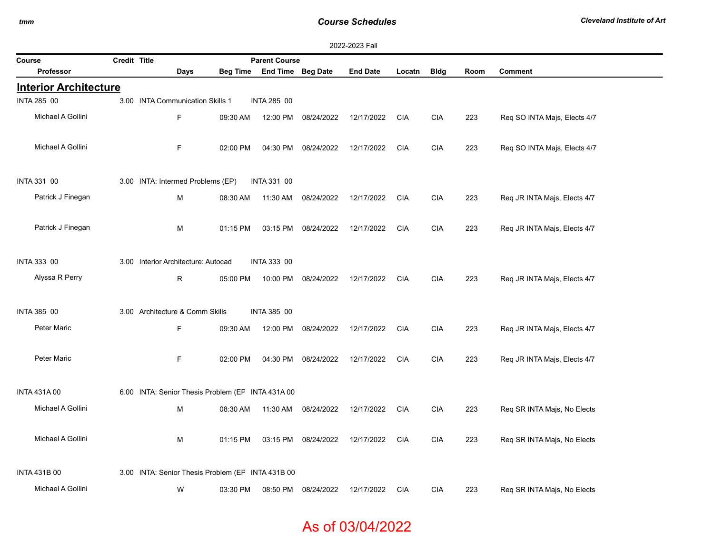### *Course Schedules*

 $\sim$ 

| 2022-2023 Fall               |              |                                                   |                 |                      |            |                 |            |             |      |                              |  |
|------------------------------|--------------|---------------------------------------------------|-----------------|----------------------|------------|-----------------|------------|-------------|------|------------------------------|--|
| Course                       | Credit Title |                                                   |                 | <b>Parent Course</b> |            |                 |            |             |      |                              |  |
| Professor                    |              | Days                                              | <b>Beg Time</b> | End Time Beg Date    |            | <b>End Date</b> | Locatn     | <b>Bldg</b> | Room | <b>Comment</b>               |  |
| <b>Interior Architecture</b> |              |                                                   |                 |                      |            |                 |            |             |      |                              |  |
| <b>INTA 285 00</b>           |              | 3.00 INTA Communication Skills 1                  |                 | <b>INTA 285 00</b>   |            |                 |            |             |      |                              |  |
| Michael A Gollini            |              | $\mathsf F$                                       | 09:30 AM        | 12:00 PM             | 08/24/2022 | 12/17/2022      | <b>CIA</b> | <b>CIA</b>  | 223  | Req SO INTA Majs, Elects 4/7 |  |
| Michael A Gollini            |              | $\mathsf F$                                       | 02:00 PM        | 04:30 PM             | 08/24/2022 | 12/17/2022      | <b>CIA</b> | <b>CIA</b>  | 223  | Req SO INTA Majs, Elects 4/7 |  |
| <b>INTA 331 00</b>           |              | 3.00 INTA: Intermed Problems (EP)                 |                 | <b>INTA 331 00</b>   |            |                 |            |             |      |                              |  |
| Patrick J Finegan            |              | M                                                 | 08:30 AM        | 11:30 AM             | 08/24/2022 | 12/17/2022      | <b>CIA</b> | <b>CIA</b>  | 223  | Req JR INTA Majs, Elects 4/7 |  |
| Patrick J Finegan            |              | M                                                 | 01:15 PM        | 03:15 PM             | 08/24/2022 | 12/17/2022      | <b>CIA</b> | <b>CIA</b>  | 223  | Req JR INTA Majs, Elects 4/7 |  |
| <b>INTA 333 00</b>           |              | 3.00 Interior Architecture: Autocad               |                 | <b>INTA 333 00</b>   |            |                 |            |             |      |                              |  |
| Alyssa R Perry               |              | $\mathsf{R}$                                      | 05:00 PM        | 10:00 PM             | 08/24/2022 | 12/17/2022      | <b>CIA</b> | <b>CIA</b>  | 223  | Req JR INTA Majs, Elects 4/7 |  |
| <b>INTA 385 00</b>           |              | 3.00 Architecture & Comm Skills                   |                 | <b>INTA 385 00</b>   |            |                 |            |             |      |                              |  |
| Peter Maric                  |              | F                                                 | 09:30 AM        | 12:00 PM             | 08/24/2022 | 12/17/2022      | <b>CIA</b> | <b>CIA</b>  | 223  | Req JR INTA Majs, Elects 4/7 |  |
| Peter Maric                  |              | $\mathsf F$                                       | 02:00 PM        | 04:30 PM             | 08/24/2022 | 12/17/2022      | <b>CIA</b> | <b>CIA</b>  | 223  | Req JR INTA Majs, Elects 4/7 |  |
| <b>INTA 431A 00</b>          | 6.00         | INTA: Senior Thesis Problem (EF INTA 431A 00      |                 |                      |            |                 |            |             |      |                              |  |
| Michael A Gollini            |              | M                                                 | 08:30 AM        | 11:30 AM             | 08/24/2022 | 12/17/2022      | <b>CIA</b> | <b>CIA</b>  | 223  | Req SR INTA Majs, No Elects  |  |
| Michael A Gollini            |              | M                                                 | 01:15 PM        | 03:15 PM             | 08/24/2022 | 12/17/2022      | <b>CIA</b> | <b>CIA</b>  | 223  | Req SR INTA Majs, No Elects  |  |
| <b>INTA 431B 00</b>          |              | 3.00 INTA: Senior Thesis Problem (EF INTA 431B 00 |                 |                      |            |                 |            |             |      |                              |  |
| Michael A Gollini            |              | W                                                 | 03:30 PM        | 08:50 PM             | 08/24/2022 | 12/17/2022      | <b>CIA</b> | <b>CIA</b>  | 223  | Req SR INTA Majs, No Elects  |  |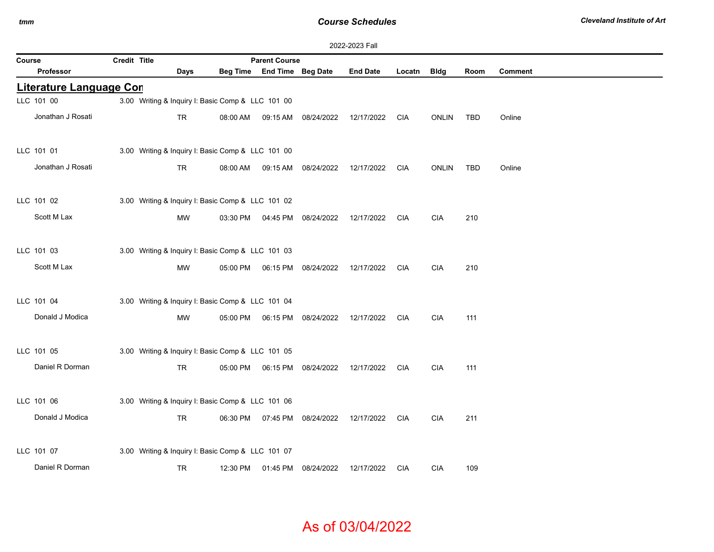### *Course Schedules*

| 2022-2023 Fall |  |
|----------------|--|
|----------------|--|

| Course                         | Credit Title |                                                   |           |          | <b>Parent Course</b>       |                                                 |                 |            |              |      |                |
|--------------------------------|--------------|---------------------------------------------------|-----------|----------|----------------------------|-------------------------------------------------|-----------------|------------|--------------|------|----------------|
| Professor                      |              |                                                   | Days      |          | Beg Time End Time Beg Date |                                                 | <b>End Date</b> | Locatn     | <b>Bldg</b>  | Room | <b>Comment</b> |
| <b>Literature Language Con</b> |              |                                                   |           |          |                            |                                                 |                 |            |              |      |                |
| LLC 101 00                     |              | 3.00 Writing & Inquiry I: Basic Comp & LLC 101 00 |           |          |                            |                                                 |                 |            |              |      |                |
| Jonathan J Rosati              |              |                                                   | <b>TR</b> | 08:00 AM |                            | 09:15 AM  08/24/2022                            | 12/17/2022      | CIA        | <b>ONLIN</b> | TBD  | Online         |
| LLC 101 01                     |              | 3.00 Writing & Inquiry I: Basic Comp & LLC 101 00 |           |          |                            |                                                 |                 |            |              |      |                |
| Jonathan J Rosati              |              |                                                   | TR.       | 08:00 AM |                            | 09:15 AM  08/24/2022                            | 12/17/2022      | CIA        | <b>ONLIN</b> | TBD  | Online         |
| LLC 101 02                     |              | 3.00 Writing & Inquiry I: Basic Comp & LLC 101 02 |           |          |                            |                                                 |                 |            |              |      |                |
| Scott M Lax                    |              |                                                   | MW        |          |                            | 03:30 PM  04:45 PM  08/24/2022  12/17/2022  CIA |                 |            | <b>CIA</b>   | 210  |                |
| LLC 101 03                     |              | 3.00 Writing & Inquiry I: Basic Comp & LLC 101 03 |           |          |                            |                                                 |                 |            |              |      |                |
| Scott M Lax                    |              |                                                   | <b>MW</b> |          |                            | 05:00 PM   06:15 PM   08/24/2022                | 12/17/2022      | <b>CIA</b> | <b>CIA</b>   | 210  |                |
| LLC 101 04                     |              | 3.00 Writing & Inquiry I: Basic Comp & LLC 101 04 |           |          |                            |                                                 |                 |            |              |      |                |
| Donald J Modica                |              |                                                   | <b>MW</b> |          |                            |                                                 |                 |            | <b>CIA</b>   | 111  |                |
| LLC 101 05                     |              | 3.00 Writing & Inquiry I: Basic Comp & LLC 101 05 |           |          |                            |                                                 |                 |            |              |      |                |
| Daniel R Dorman                |              |                                                   | <b>TR</b> |          |                            | 05:00 PM   06:15 PM   08/24/2022                | 12/17/2022 CIA  |            | <b>CIA</b>   | 111  |                |
| LLC 101 06                     |              | 3.00 Writing & Inquiry I: Basic Comp & LLC 101 06 |           |          |                            |                                                 |                 |            |              |      |                |
| Donald J Modica                |              |                                                   | <b>TR</b> |          |                            | 06:30 PM 07:45 PM 08/24/2022 12/17/2022 CIA     |                 |            | <b>CIA</b>   | 211  |                |
| LLC 101 07                     |              | 3.00 Writing & Inquiry I: Basic Comp & LLC 101 07 |           |          |                            |                                                 |                 |            |              |      |                |
| Daniel R Dorman                |              |                                                   | <b>TR</b> |          | 12:30 PM 01:45 PM          | 08/24/2022                                      | 12/17/2022      | <b>CIA</b> | <b>CIA</b>   | 109  |                |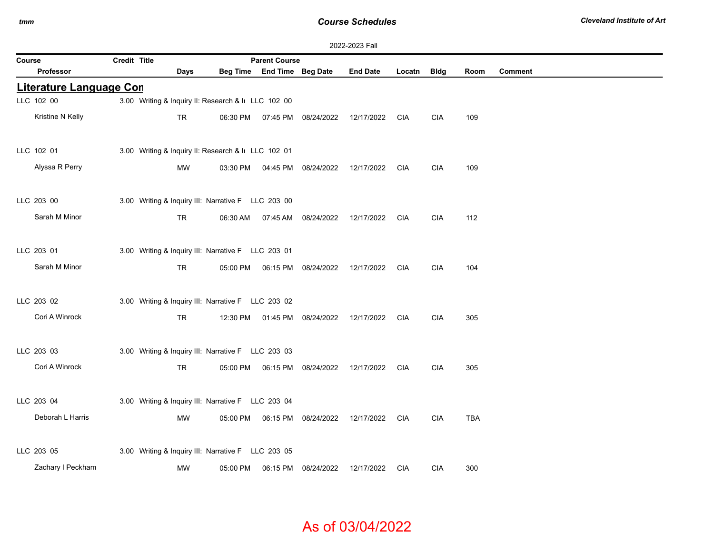## *Course Schedules*

| 2022-2023 Fall                 |              |                                                     |          |                            |                      |                 |            |             |            |                |  |  |
|--------------------------------|--------------|-----------------------------------------------------|----------|----------------------------|----------------------|-----------------|------------|-------------|------------|----------------|--|--|
| Course                         | Credit Title |                                                     |          | <b>Parent Course</b>       |                      |                 |            |             |            |                |  |  |
| Professor                      |              | <b>Days</b>                                         |          | Beg Time End Time Beg Date |                      | <b>End Date</b> | Locatn     | <b>Bldg</b> | Room       | <b>Comment</b> |  |  |
| <b>Literature Language Con</b> |              |                                                     |          |                            |                      |                 |            |             |            |                |  |  |
| LLC 102 00                     |              | 3.00 Writing & Inquiry II: Research & Iı LLC 102 00 |          |                            |                      |                 |            |             |            |                |  |  |
| Kristine N Kelly               |              | <b>TR</b>                                           | 06:30 PM |                            | 07:45 PM 08/24/2022  | 12/17/2022      | <b>CIA</b> | <b>CIA</b>  | 109        |                |  |  |
| LLC 102 01                     |              | 3.00 Writing & Inquiry II: Research & Iı LLC 102 01 |          |                            |                      |                 |            |             |            |                |  |  |
| Alyssa R Perry                 |              | MW                                                  | 03:30 PM |                            | 04:45 PM 08/24/2022  | 12/17/2022      | CIA        | <b>CIA</b>  | 109        |                |  |  |
| LLC 203 00                     |              | 3.00 Writing & Inquiry III: Narrative F LLC 203 00  |          |                            |                      |                 |            |             |            |                |  |  |
| Sarah M Minor                  |              | <b>TR</b>                                           | 06:30 AM |                            | 07:45 AM  08/24/2022 | 12/17/2022      | CIA        | <b>CIA</b>  | 112        |                |  |  |
| LLC 203 01                     |              | 3.00 Writing & Inquiry III: Narrative F LLC 203 01  |          |                            |                      |                 |            |             |            |                |  |  |
| Sarah M Minor                  |              | <b>TR</b>                                           | 05:00 PM |                            | 06:15 PM 08/24/2022  | 12/17/2022      | <b>CIA</b> | <b>CIA</b>  | 104        |                |  |  |
| LLC 203 02                     |              | 3.00 Writing & Inquiry III: Narrative F LLC 203 02  |          |                            |                      |                 |            |             |            |                |  |  |
| Cori A Winrock                 |              | <b>TR</b>                                           | 12:30 PM |                            | 01:45 PM 08/24/2022  | 12/17/2022      | CIA        | <b>CIA</b>  | 305        |                |  |  |
| LLC 203 03                     |              | 3.00 Writing & Inquiry III: Narrative F LLC 203 03  |          |                            |                      |                 |            |             |            |                |  |  |
| Cori A Winrock                 |              | <b>TR</b>                                           | 05:00 PM |                            | 06:15 PM 08/24/2022  | 12/17/2022      | CIA        | <b>CIA</b>  | 305        |                |  |  |
| LLC 203 04                     |              | 3.00 Writing & Inquiry III: Narrative F LLC 203 04  |          |                            |                      |                 |            |             |            |                |  |  |
| Deborah L Harris               |              | MW                                                  | 05:00 PM |                            | 06:15 PM 08/24/2022  | 12/17/2022      | <b>CIA</b> | <b>CIA</b>  | <b>TBA</b> |                |  |  |
| LLC 203 05                     |              | 3.00 Writing & Inquiry III: Narrative F LLC 203 05  |          |                            |                      |                 |            |             |            |                |  |  |
| Zachary I Peckham              |              | МW                                                  | 05:00 PM | 06:15 PM                   | 08/24/2022           | 12/17/2022      | <b>CIA</b> | <b>CIA</b>  | 300        |                |  |  |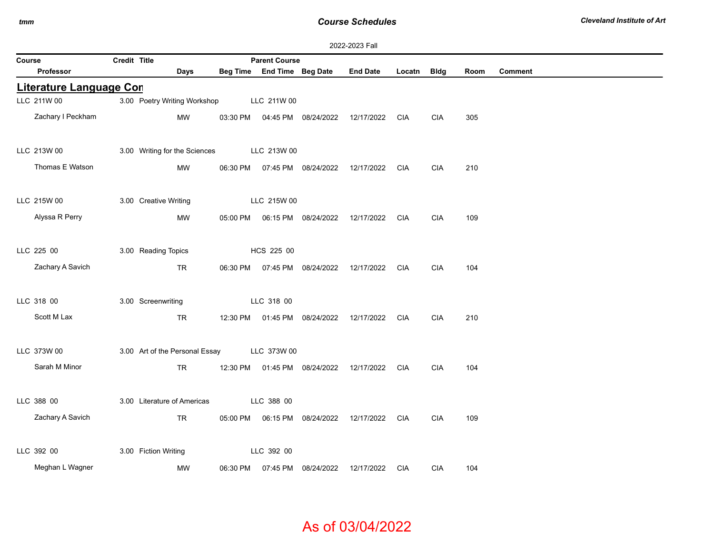## *Course Schedules*

| 2022-2023 Fall          |              |                                |          |                            |                                  |                 |        |            |      |                |  |  |
|-------------------------|--------------|--------------------------------|----------|----------------------------|----------------------------------|-----------------|--------|------------|------|----------------|--|--|
| Course                  | Credit Title |                                |          | <b>Parent Course</b>       |                                  |                 |        |            |      |                |  |  |
| Professor               |              | Days                           |          | Beg Time End Time Beg Date |                                  | <b>End Date</b> | Locatn | Bldg       | Room | <b>Comment</b> |  |  |
| Literature Language Con |              |                                |          |                            |                                  |                 |        |            |      |                |  |  |
| LLC 211W 00             |              | 3.00 Poetry Writing Workshop   |          | LLC 211W 00                |                                  |                 |        |            |      |                |  |  |
| Zachary I Peckham       |              | <b>MW</b>                      |          |                            | 03:30 PM  04:45 PM  08/24/2022   | 12/17/2022      | CIA    | <b>CIA</b> | 305  |                |  |  |
| LLC 213W 00             |              | 3.00 Writing for the Sciences  |          | LLC 213W 00                |                                  |                 |        |            |      |                |  |  |
| Thomas E Watson         |              | MW                             |          |                            | 06:30 PM  07:45 PM  08/24/2022   | 12/17/2022      | CIA    | <b>CIA</b> | 210  |                |  |  |
| LLC 215W 00             |              | 3.00 Creative Writing          |          | LLC 215W 00                |                                  |                 |        |            |      |                |  |  |
| Alyssa R Perry          |              | MW                             |          |                            | 05:00 PM   06:15 PM   08/24/2022 | 12/17/2022      | CIA    | <b>CIA</b> | 109  |                |  |  |
| LLC 225 00              |              | 3.00 Reading Topics            |          | HCS 225 00                 |                                  |                 |        |            |      |                |  |  |
| Zachary A Savich        |              | <b>TR</b>                      |          |                            | 06:30 PM 07:45 PM 08/24/2022     | 12/17/2022      | CIA    | <b>CIA</b> | 104  |                |  |  |
| LLC 318 00              |              | 3.00 Screenwriting             |          | LLC 318 00                 |                                  |                 |        |            |      |                |  |  |
| Scott M Lax             |              | <b>TR</b>                      |          | 12:30 PM 01:45 PM          | 08/24/2022                       | 12/17/2022 CIA  |        | <b>CIA</b> | 210  |                |  |  |
| LLC 373W 00             |              | 3.00 Art of the Personal Essay |          | LLC 373W 00                |                                  |                 |        |            |      |                |  |  |
| Sarah M Minor           |              | TR                             |          |                            | 12:30 PM  01:45 PM  08/24/2022   | 12/17/2022      | CIA    | <b>CIA</b> | 104  |                |  |  |
| LLC 388 00              |              | 3.00 Literature of Americas    |          | LLC 388 00                 |                                  |                 |        |            |      |                |  |  |
| Zachary A Savich        |              | TR                             | 05:00 PM |                            | 06:15 PM 08/24/2022              | 12/17/2022      | CIA    | <b>CIA</b> | 109  |                |  |  |
| LLC 392 00              |              | 3.00 Fiction Writing           |          | LLC 392 00                 |                                  |                 |        |            |      |                |  |  |
| Meghan L Wagner         |              | <b>MW</b>                      | 06:30 PM | 07:45 PM                   | 08/24/2022                       | 12/17/2022      | CIA    | <b>CIA</b> | 104  |                |  |  |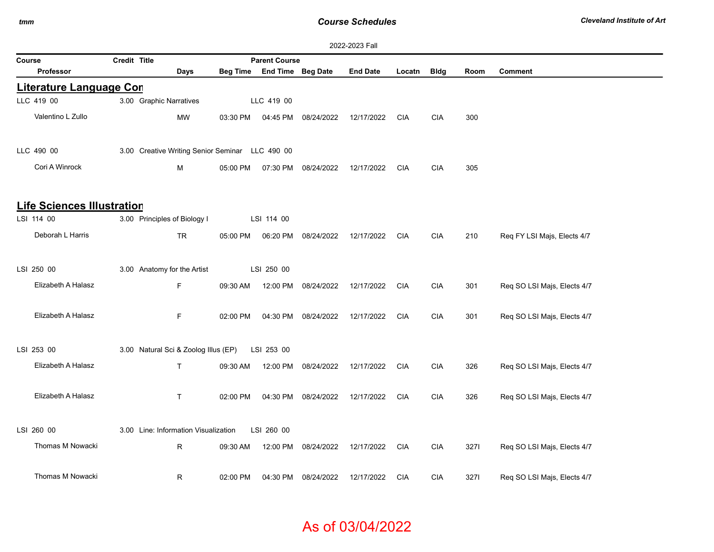## *Course Schedules*

|                                   |                                                 |           |          |                            |                     | 2022-2023 Fall  |            |             |      |                             |
|-----------------------------------|-------------------------------------------------|-----------|----------|----------------------------|---------------------|-----------------|------------|-------------|------|-----------------------------|
| Course                            | Credit Title                                    |           |          | <b>Parent Course</b>       |                     |                 |            |             |      |                             |
| Professor                         |                                                 | Days      |          | Beg Time End Time Beg Date |                     | <b>End Date</b> | Locatn     | <b>Bldg</b> | Room | <b>Comment</b>              |
| <b>Literature Language Con</b>    |                                                 |           |          |                            |                     |                 |            |             |      |                             |
| LLC 419 00                        | 3.00 Graphic Narratives                         |           |          | LLC 419 00                 |                     |                 |            |             |      |                             |
| Valentino L Zullo                 |                                                 | <b>MW</b> | 03:30 PM |                            | 04:45 PM 08/24/2022 | 12/17/2022      | <b>CIA</b> | <b>CIA</b>  | 300  |                             |
| LLC 490 00                        | 3.00 Creative Writing Senior Seminar LLC 490 00 |           |          |                            |                     |                 |            |             |      |                             |
| Cori A Winrock                    |                                                 | M         | 05:00 PM |                            | 07:30 PM 08/24/2022 | 12/17/2022      | <b>CIA</b> | <b>CIA</b>  | 305  |                             |
| <b>Life Sciences Illustration</b> |                                                 |           |          |                            |                     |                 |            |             |      |                             |
| LSI 114 00                        | 3.00 Principles of Biology I                    |           |          | LSI 114 00                 |                     |                 |            |             |      |                             |
| Deborah L Harris                  |                                                 | <b>TR</b> | 05:00 PM | 06:20 PM                   | 08/24/2022          | 12/17/2022      | <b>CIA</b> | <b>CIA</b>  | 210  | Req FY LSI Majs, Elects 4/7 |
| LSI 250 00                        | 3.00 Anatomy for the Artist                     |           |          | LSI 250 00                 |                     |                 |            |             |      |                             |
| Elizabeth A Halasz                |                                                 | F         | 09:30 AM |                            | 12:00 PM 08/24/2022 | 12/17/2022      | <b>CIA</b> | <b>CIA</b>  | 301  | Req SO LSI Majs, Elects 4/7 |
| Elizabeth A Halasz                |                                                 | F         | 02:00 PM |                            | 04:30 PM 08/24/2022 | 12/17/2022      | <b>CIA</b> | <b>CIA</b>  | 301  | Req SO LSI Majs, Elects 4/7 |
| LSI 253 00                        | 3.00 Natural Sci & Zoolog Illus (EP)            |           |          | LSI 253 00                 |                     |                 |            |             |      |                             |
| Elizabeth A Halasz                |                                                 | T.        | 09:30 AM |                            | 12:00 PM 08/24/2022 | 12/17/2022      | <b>CIA</b> | <b>CIA</b>  | 326  | Req SO LSI Majs, Elects 4/7 |
| Elizabeth A Halasz                |                                                 | T         | 02:00 PM |                            | 04:30 PM 08/24/2022 | 12/17/2022      | <b>CIA</b> | <b>CIA</b>  | 326  | Req SO LSI Majs, Elects 4/7 |
| LSI 260 00                        | 3.00 Line: Information Visualization            |           |          | LSI 260 00                 |                     |                 |            |             |      |                             |
| Thomas M Nowacki                  |                                                 | R         | 09:30 AM |                            | 12:00 PM 08/24/2022 | 12/17/2022      | <b>CIA</b> | CIA         | 3271 | Req SO LSI Majs, Elects 4/7 |
| Thomas M Nowacki                  |                                                 | R         | 02:00 PM |                            | 04:30 PM 08/24/2022 | 12/17/2022      | <b>CIA</b> | <b>CIA</b>  | 3271 | Req SO LSI Majs, Elects 4/7 |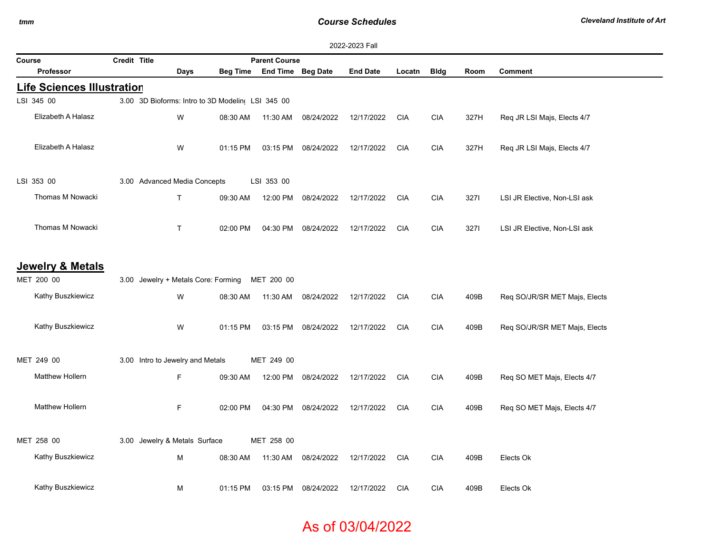### *Course Schedules*

| 2022-2023 Fall                     |                                     |      |                                                   |                      |            |                 |            |             |      |                               |  |  |
|------------------------------------|-------------------------------------|------|---------------------------------------------------|----------------------|------------|-----------------|------------|-------------|------|-------------------------------|--|--|
| Course                             | Credit Title                        |      |                                                   | <b>Parent Course</b> |            |                 |            |             |      |                               |  |  |
| <b>Professor</b>                   |                                     | Days | <b>Beg Time</b>                                   | End Time Beg Date    |            | <b>End Date</b> | Locatn     | <b>Bldg</b> | Room | <b>Comment</b>                |  |  |
| <u> Life Sciences Illustration</u> |                                     |      |                                                   |                      |            |                 |            |             |      |                               |  |  |
| LSI 345 00                         |                                     |      | 3.00 3D Bioforms: Intro to 3D Modeling LSI 345 00 |                      |            |                 |            |             |      |                               |  |  |
| Elizabeth A Halasz                 |                                     | W    | 08:30 AM                                          | 11:30 AM             | 08/24/2022 | 12/17/2022      | CIA        | <b>CIA</b>  | 327H | Req JR LSI Majs, Elects 4/7   |  |  |
|                                    |                                     |      |                                                   |                      |            |                 |            |             |      |                               |  |  |
| Elizabeth A Halasz                 |                                     | W    | 01:15 PM                                          | 03:15 PM             | 08/24/2022 | 12/17/2022      | CIA        | CIA         | 327H | Req JR LSI Majs, Elects 4/7   |  |  |
| LSI 353 00                         | 3.00 Advanced Media Concepts        |      |                                                   | LSI 353 00           |            |                 |            |             |      |                               |  |  |
| <b>Thomas M Nowacki</b>            |                                     | Τ    | 09:30 AM                                          | 12:00 PM             | 08/24/2022 | 12/17/2022      | CIA        | <b>CIA</b>  | 3271 | LSI JR Elective, Non-LSI ask  |  |  |
|                                    |                                     |      |                                                   |                      |            |                 |            |             |      |                               |  |  |
| Thomas M Nowacki                   |                                     | T.   | 02:00 PM                                          | 04:30 PM             | 08/24/2022 | 12/17/2022      | <b>CIA</b> | <b>CIA</b>  | 3271 | LSI JR Elective, Non-LSI ask  |  |  |
|                                    |                                     |      |                                                   |                      |            |                 |            |             |      |                               |  |  |
| Jewelry & Metals                   |                                     |      |                                                   |                      |            |                 |            |             |      |                               |  |  |
| MET 200 00                         | 3.00 Jewelry + Metals Core: Forming |      |                                                   | MET 200 00           |            |                 |            |             |      |                               |  |  |
| Kathy Buszkiewicz                  |                                     | W    | 08:30 AM                                          | 11:30 AM             | 08/24/2022 | 12/17/2022      | <b>CIA</b> | <b>CIA</b>  | 409B | Req SO/JR/SR MET Majs, Elects |  |  |
|                                    |                                     |      |                                                   |                      |            |                 |            |             |      |                               |  |  |
| Kathy Buszkiewicz                  |                                     | W    | 01:15 PM                                          | 03:15 PM             | 08/24/2022 | 12/17/2022      | <b>CIA</b> | <b>CIA</b>  | 409B | Req SO/JR/SR MET Majs, Elects |  |  |
|                                    |                                     |      |                                                   |                      |            |                 |            |             |      |                               |  |  |
| MET 249 00                         | 3.00 Intro to Jewelry and Metals    |      |                                                   | MET 249 00           |            |                 |            |             |      |                               |  |  |
| <b>Matthew Hollern</b>             |                                     | F    | 09:30 AM                                          | 12:00 PM             | 08/24/2022 | 12/17/2022      | <b>CIA</b> | <b>CIA</b>  | 409B | Req SO MET Majs, Elects 4/7   |  |  |
| Matthew Hollern                    |                                     | F.   |                                                   |                      |            |                 |            |             |      |                               |  |  |
|                                    |                                     |      | 02:00 PM                                          | 04:30 PM             | 08/24/2022 | 12/17/2022      | <b>CIA</b> | <b>CIA</b>  | 409B | Req SO MET Majs, Elects 4/7   |  |  |
| MET 258 00                         | 3.00 Jewelry & Metals Surface       |      |                                                   | MET 258 00           |            |                 |            |             |      |                               |  |  |
| Kathy Buszkiewicz                  |                                     | M    | 08:30 AM                                          | 11:30 AM             | 08/24/2022 | 12/17/2022      | <b>CIA</b> | <b>CIA</b>  | 409B | Elects Ok                     |  |  |
|                                    |                                     |      |                                                   |                      |            |                 |            |             |      |                               |  |  |
| Kathy Buszkiewicz                  |                                     | м    | 01:15 PM                                          | 03:15 PM             | 08/24/2022 | 12/17/2022      | <b>CIA</b> | <b>CIA</b>  | 409B | Elects Ok                     |  |  |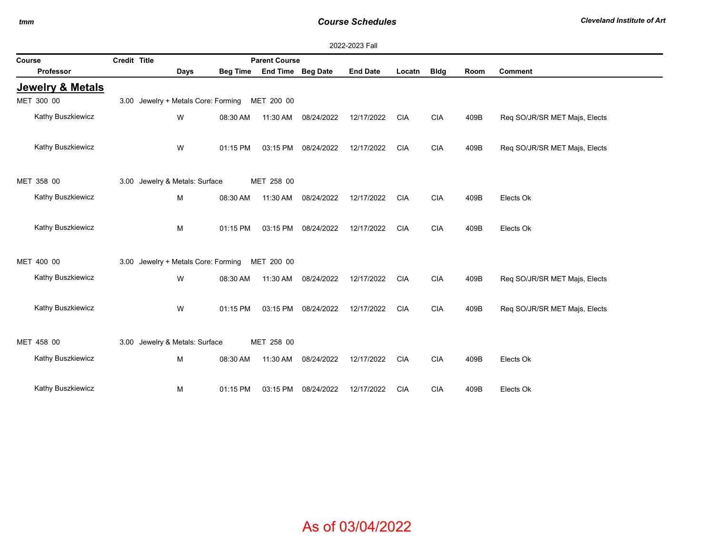## *Course Schedules*

 $\sim$ 

| 2022-2023 Fall                                 |  |                                     |                 |                   |            |                 |            |             |      |                               |  |
|------------------------------------------------|--|-------------------------------------|-----------------|-------------------|------------|-----------------|------------|-------------|------|-------------------------------|--|
| Credit Title<br><b>Parent Course</b><br>Course |  |                                     |                 |                   |            |                 |            |             |      |                               |  |
| Professor                                      |  | Days                                | <b>Beg Time</b> | End Time Beg Date |            | <b>End Date</b> | Locatn     | <b>Bldg</b> | Room | <b>Comment</b>                |  |
| <b>Jewelry &amp; Metals</b>                    |  |                                     |                 |                   |            |                 |            |             |      |                               |  |
| MET 300 00                                     |  | 3.00 Jewelry + Metals Core: Forming |                 | MET 200 00        |            |                 |            |             |      |                               |  |
| Kathy Buszkiewicz                              |  | W                                   | 08:30 AM        | 11:30 AM          | 08/24/2022 | 12/17/2022      | <b>CIA</b> | <b>CIA</b>  | 409B | Req SO/JR/SR MET Majs, Elects |  |
| Kathy Buszkiewicz                              |  | W                                   | 01:15 PM        | 03:15 PM          | 08/24/2022 | 12/17/2022      | <b>CIA</b> | <b>CIA</b>  | 409B | Req SO/JR/SR MET Majs, Elects |  |
| MET 358 00                                     |  | 3.00 Jewelry & Metals: Surface      |                 | MET 258 00        |            |                 |            |             |      |                               |  |
| Kathy Buszkiewicz                              |  | M                                   | 08:30 AM        | 11:30 AM          | 08/24/2022 | 12/17/2022      | <b>CIA</b> | <b>CIA</b>  | 409B | Elects Ok                     |  |
| Kathy Buszkiewicz                              |  | M                                   | 01:15 PM        | 03:15 PM          | 08/24/2022 | 12/17/2022      | <b>CIA</b> | <b>CIA</b>  | 409B | Elects Ok                     |  |
| MET 400 00                                     |  | 3.00 Jewelry + Metals Core: Forming |                 | MET 200 00        |            |                 |            |             |      |                               |  |
| Kathy Buszkiewicz                              |  | W                                   | 08:30 AM        | 11:30 AM          | 08/24/2022 | 12/17/2022      | <b>CIA</b> | <b>CIA</b>  | 409B | Req SO/JR/SR MET Majs, Elects |  |
| Kathy Buszkiewicz                              |  | W                                   | 01:15 PM        | 03:15 PM          | 08/24/2022 | 12/17/2022      | <b>CIA</b> | <b>CIA</b>  | 409B | Req SO/JR/SR MET Majs, Elects |  |
| MET 458 00                                     |  | 3.00 Jewelry & Metals: Surface      |                 | MET 258 00        |            |                 |            |             |      |                               |  |
| Kathy Buszkiewicz                              |  | M                                   | 08:30 AM        | 11:30 AM          | 08/24/2022 | 12/17/2022      | <b>CIA</b> | <b>CIA</b>  | 409B | Elects Ok                     |  |
| Kathy Buszkiewicz                              |  | M                                   | 01:15 PM        | 03:15 PM          | 08/24/2022 | 12/17/2022      | <b>CIA</b> | <b>CIA</b>  | 409B | Elects Ok                     |  |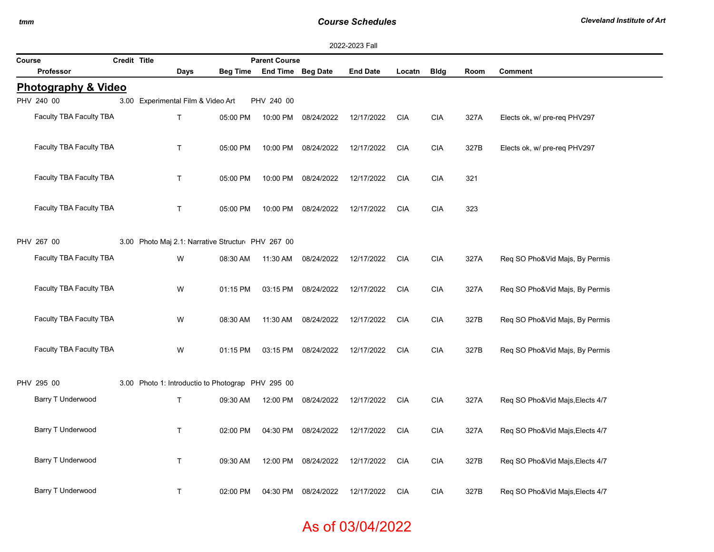### *Course Schedules*

 $\sim$ 

|        | 2022-2023 Fall                 |              |                                                   |                 |                      |            |                 |            |             |      |                                 |  |
|--------|--------------------------------|--------------|---------------------------------------------------|-----------------|----------------------|------------|-----------------|------------|-------------|------|---------------------------------|--|
| Course |                                | Credit Title |                                                   |                 | <b>Parent Course</b> |            |                 |            |             |      |                                 |  |
|        | <b>Professor</b>               |              | Days                                              | <b>Beg Time</b> | End Time Beg Date    |            | <b>End Date</b> | Locatn     | <b>Bldg</b> | Room | <b>Comment</b>                  |  |
|        | <b>Photography &amp; Video</b> |              |                                                   |                 |                      |            |                 |            |             |      |                                 |  |
|        | PHV 240 00                     |              | 3.00 Experimental Film & Video Art                |                 | PHV 240 00           |            |                 |            |             |      |                                 |  |
|        | Faculty TBA Faculty TBA        |              | $\mathsf T$                                       | 05:00 PM        | 10:00 PM             | 08/24/2022 | 12/17/2022      | <b>CIA</b> | <b>CIA</b>  | 327A | Elects ok, w/ pre-req PHV297    |  |
|        | Faculty TBA Faculty TBA        |              | T                                                 | 05:00 PM        | 10:00 PM             | 08/24/2022 | 12/17/2022      | <b>CIA</b> | <b>CIA</b>  | 327B | Elects ok, w/ pre-req PHV297    |  |
|        | Faculty TBA Faculty TBA        |              | T.                                                | 05:00 PM        | 10:00 PM             | 08/24/2022 | 12/17/2022      | <b>CIA</b> | <b>CIA</b>  | 321  |                                 |  |
|        | Faculty TBA Faculty TBA        |              | T.                                                | 05:00 PM        | 10:00 PM             | 08/24/2022 | 12/17/2022      | <b>CIA</b> | <b>CIA</b>  | 323  |                                 |  |
|        | PHV 267 00                     |              | 3.00 Photo Maj 2.1: Narrative Structur PHV 267 00 |                 |                      |            |                 |            |             |      |                                 |  |
|        | Faculty TBA Faculty TBA        |              | W                                                 | 08:30 AM        | 11:30 AM             | 08/24/2022 | 12/17/2022      | <b>CIA</b> | <b>CIA</b>  | 327A | Req SO Pho&Vid Majs, By Permis  |  |
|        | Faculty TBA Faculty TBA        |              | W                                                 | 01:15 PM        | 03:15 PM             | 08/24/2022 | 12/17/2022      | <b>CIA</b> | <b>CIA</b>  | 327A | Req SO Pho&Vid Majs, By Permis  |  |
|        | Faculty TBA Faculty TBA        |              | W                                                 | 08:30 AM        | 11:30 AM             | 08/24/2022 | 12/17/2022      | <b>CIA</b> | <b>CIA</b>  | 327B | Reg SO Pho&Vid Majs, By Permis  |  |
|        | Faculty TBA Faculty TBA        |              | W                                                 | 01:15 PM        | 03:15 PM             | 08/24/2022 | 12/17/2022      | <b>CIA</b> | <b>CIA</b>  | 327B | Req SO Pho&Vid Majs, By Permis  |  |
|        | PHV 295 00                     | 3.00         | Photo 1: Introductio to Photograp PHV 295 00      |                 |                      |            |                 |            |             |      |                                 |  |
|        | <b>Barry T Underwood</b>       |              | T.                                                | 09:30 AM        | 12:00 PM             | 08/24/2022 | 12/17/2022      | <b>CIA</b> | <b>CIA</b>  | 327A | Req SO Pho&Vid Majs, Elects 4/7 |  |
|        | Barry T Underwood              |              | T                                                 | 02:00 PM        | 04:30 PM             | 08/24/2022 | 12/17/2022      | <b>CIA</b> | <b>CIA</b>  | 327A | Req SO Pho&Vid Majs, Elects 4/7 |  |
|        | Barry T Underwood              |              | T                                                 | 09:30 AM        | 12:00 PM             | 08/24/2022 | 12/17/2022      | <b>CIA</b> | <b>CIA</b>  | 327B | Req SO Pho&Vid Majs, Elects 4/7 |  |
|        | <b>Barry T Underwood</b>       |              | T                                                 | 02:00 PM        | 04:30 PM             | 08/24/2022 | 12/17/2022      | <b>CIA</b> | <b>CIA</b>  | 327B | Req SO Pho&Vid Majs, Elects 4/7 |  |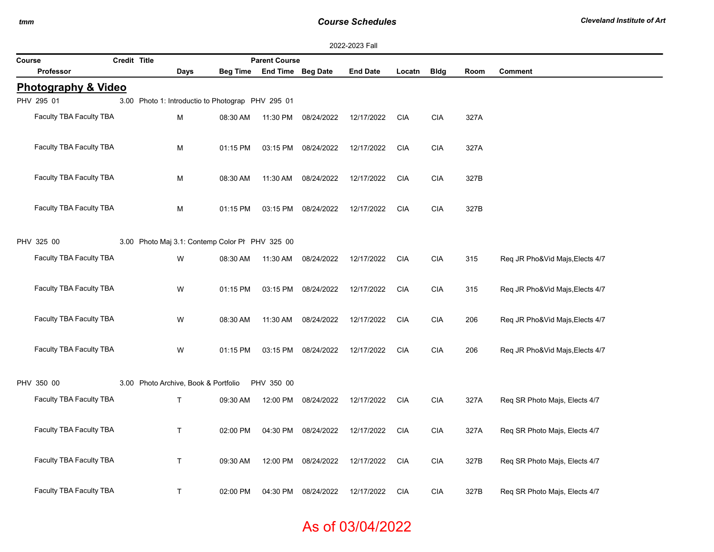### *Course Schedules*

| 2022-2023 Fall                                 |  |                                                   |          |                            |            |                 |            |             |      |                                 |  |  |
|------------------------------------------------|--|---------------------------------------------------|----------|----------------------------|------------|-----------------|------------|-------------|------|---------------------------------|--|--|
| Credit Title<br><b>Parent Course</b><br>Course |  |                                                   |          |                            |            |                 |            |             |      |                                 |  |  |
| Professor                                      |  | Days                                              |          | Beg Time End Time Beg Date |            | <b>End Date</b> | Locatn     | <b>Bldg</b> | Room | <b>Comment</b>                  |  |  |
| <b>Photography &amp; Video</b>                 |  |                                                   |          |                            |            |                 |            |             |      |                                 |  |  |
| PHV 295 01                                     |  | 3.00 Photo 1: Introductio to Photograp PHV 295 01 |          |                            |            |                 |            |             |      |                                 |  |  |
| Faculty TBA Faculty TBA                        |  | M                                                 | 08:30 AM | 11:30 PM                   | 08/24/2022 | 12/17/2022      | <b>CIA</b> | <b>CIA</b>  | 327A |                                 |  |  |
| Faculty TBA Faculty TBA                        |  | М                                                 | 01:15 PM | 03:15 PM                   | 08/24/2022 | 12/17/2022      | <b>CIA</b> | <b>CIA</b>  | 327A |                                 |  |  |
| Faculty TBA Faculty TBA                        |  | M                                                 | 08:30 AM | 11:30 AM                   | 08/24/2022 | 12/17/2022      | <b>CIA</b> | <b>CIA</b>  | 327B |                                 |  |  |
| Faculty TBA Faculty TBA                        |  | M                                                 | 01:15 PM | 03:15 PM                   | 08/24/2022 | 12/17/2022      | <b>CIA</b> | <b>CIA</b>  | 327B |                                 |  |  |
| PHV 325 00                                     |  | 3.00 Photo Maj 3.1: Contemp Color Pl PHV 325 00   |          |                            |            |                 |            |             |      |                                 |  |  |
| Faculty TBA Faculty TBA                        |  | W                                                 | 08:30 AM | 11:30 AM                   | 08/24/2022 | 12/17/2022      | <b>CIA</b> | <b>CIA</b>  | 315  | Req JR Pho&Vid Majs, Elects 4/7 |  |  |
| Faculty TBA Faculty TBA                        |  | W                                                 | 01:15 PM | 03:15 PM                   | 08/24/2022 | 12/17/2022      | <b>CIA</b> | <b>CIA</b>  | 315  | Req JR Pho&Vid Majs, Elects 4/7 |  |  |
| Faculty TBA Faculty TBA                        |  | W                                                 | 08:30 AM | 11:30 AM                   | 08/24/2022 | 12/17/2022      | CIA        | <b>CIA</b>  | 206  | Req JR Pho&Vid Majs, Elects 4/7 |  |  |
| Faculty TBA Faculty TBA                        |  | W                                                 | 01:15 PM | 03:15 PM                   | 08/24/2022 | 12/17/2022      | <b>CIA</b> | <b>CIA</b>  | 206  | Req JR Pho&Vid Majs, Elects 4/7 |  |  |
| PHV 350 00                                     |  | 3.00 Photo Archive, Book & Portfolio              |          | PHV 350 00                 |            |                 |            |             |      |                                 |  |  |
| Faculty TBA Faculty TBA                        |  | $\mathsf{T}$                                      | 09:30 AM | 12:00 PM                   | 08/24/2022 | 12/17/2022      | <b>CIA</b> | <b>CIA</b>  | 327A | Req SR Photo Majs, Elects 4/7   |  |  |
| Faculty TBA Faculty TBA                        |  | $\mathsf{T}$                                      | 02:00 PM | 04:30 PM                   | 08/24/2022 | 12/17/2022      | <b>CIA</b> | <b>CIA</b>  | 327A | Req SR Photo Majs, Elects 4/7   |  |  |
| Faculty TBA Faculty TBA                        |  | $\mathsf{T}$                                      | 09:30 AM | 12:00 PM                   | 08/24/2022 | 12/17/2022      | <b>CIA</b> | <b>CIA</b>  | 327B | Req SR Photo Majs, Elects 4/7   |  |  |
| Faculty TBA Faculty TBA                        |  | $\mathsf{T}$                                      | 02:00 PM | 04:30 PM                   | 08/24/2022 | 12/17/2022      | <b>CIA</b> | <b>CIA</b>  | 327B | Req SR Photo Majs, Elects 4/7   |  |  |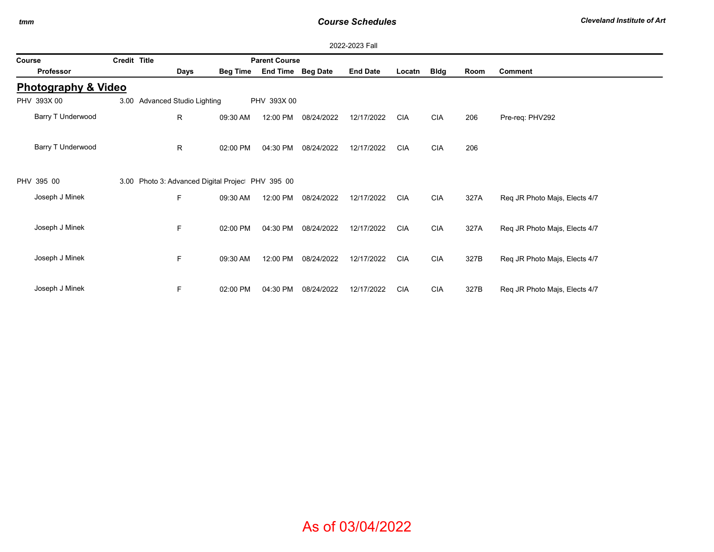*tmm*

## *Course Schedules*

| 2022-2023 Fall                                 |  |                                                  |                 |                   |            |                 |            |             |      |                               |  |
|------------------------------------------------|--|--------------------------------------------------|-----------------|-------------------|------------|-----------------|------------|-------------|------|-------------------------------|--|
| Credit Title<br>Course<br><b>Parent Course</b> |  |                                                  |                 |                   |            |                 |            |             |      |                               |  |
| <b>Professor</b>                               |  | Days                                             | <b>Beg Time</b> | End Time Beg Date |            | <b>End Date</b> | Locatn     | <b>Bldg</b> | Room | <b>Comment</b>                |  |
| <b>Photography &amp; Video</b>                 |  |                                                  |                 |                   |            |                 |            |             |      |                               |  |
| PHV 393X 00                                    |  | 3.00 Advanced Studio Lighting                    |                 | PHV 393X 00       |            |                 |            |             |      |                               |  |
| Barry T Underwood                              |  | R                                                | 09:30 AM        | 12:00 PM          | 08/24/2022 | 12/17/2022      | <b>CIA</b> | <b>CIA</b>  | 206  | Pre-req: PHV292               |  |
| Barry T Underwood                              |  | R                                                | 02:00 PM        | 04:30 PM          | 08/24/2022 | 12/17/2022      | <b>CIA</b> | <b>CIA</b>  | 206  |                               |  |
| PHV 395 00                                     |  | 3.00 Photo 3: Advanced Digital Projec PHV 395 00 |                 |                   |            |                 |            |             |      |                               |  |
| Joseph J Minek                                 |  | F                                                | 09:30 AM        | 12:00 PM          | 08/24/2022 | 12/17/2022      | <b>CIA</b> | <b>CIA</b>  | 327A | Req JR Photo Majs, Elects 4/7 |  |
| Joseph J Minek                                 |  | F                                                | 02:00 PM        | 04:30 PM          | 08/24/2022 | 12/17/2022      | <b>CIA</b> | <b>CIA</b>  | 327A | Req JR Photo Majs, Elects 4/7 |  |
| Joseph J Minek                                 |  | F                                                | 09:30 AM        | 12:00 PM          | 08/24/2022 | 12/17/2022      | <b>CIA</b> | <b>CIA</b>  | 327B | Req JR Photo Majs, Elects 4/7 |  |
| Joseph J Minek                                 |  | F                                                | 02:00 PM        | 04:30 PM          | 08/24/2022 | 12/17/2022      | <b>CIA</b> | <b>CIA</b>  | 327B | Req JR Photo Majs, Elects 4/7 |  |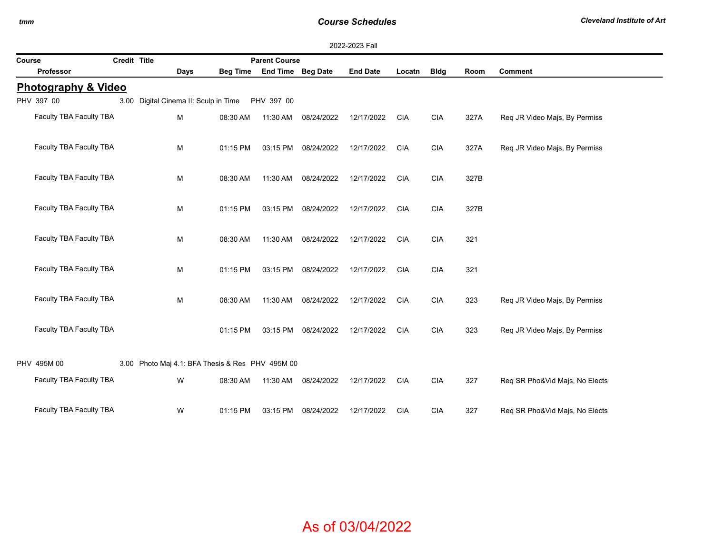## *Course Schedules*

| 2022-2023 Fall                 |              |                                                  |                 |                      |                   |                 |            |             |      |                                |  |  |
|--------------------------------|--------------|--------------------------------------------------|-----------------|----------------------|-------------------|-----------------|------------|-------------|------|--------------------------------|--|--|
| Course                         | Credit Title |                                                  |                 | <b>Parent Course</b> |                   |                 |            |             |      |                                |  |  |
| Professor                      |              | <b>Days</b>                                      | <b>Beg Time</b> |                      | End Time Beg Date | <b>End Date</b> | Locatn     | <b>Bldg</b> | Room | <b>Comment</b>                 |  |  |
| <b>Photography &amp; Video</b> |              |                                                  |                 |                      |                   |                 |            |             |      |                                |  |  |
| PHV 397 00                     |              | 3.00 Digital Cinema II: Sculp in Time            |                 | PHV 397 00           |                   |                 |            |             |      |                                |  |  |
| Faculty TBA Faculty TBA        |              | M                                                | 08:30 AM        | 11:30 AM             | 08/24/2022        | 12/17/2022      | <b>CIA</b> | <b>CIA</b>  | 327A | Req JR Video Majs, By Permiss  |  |  |
| Faculty TBA Faculty TBA        |              | M                                                | 01:15 PM        | 03:15 PM             | 08/24/2022        | 12/17/2022      | <b>CIA</b> | <b>CIA</b>  | 327A | Req JR Video Majs, By Permiss  |  |  |
| Faculty TBA Faculty TBA        |              | M                                                | 08:30 AM        | 11:30 AM             | 08/24/2022        | 12/17/2022      | <b>CIA</b> | <b>CIA</b>  | 327B |                                |  |  |
| Faculty TBA Faculty TBA        |              | M                                                | 01:15 PM        | 03:15 PM             | 08/24/2022        | 12/17/2022      | <b>CIA</b> | <b>CIA</b>  | 327B |                                |  |  |
| Faculty TBA Faculty TBA        |              | M                                                | 08:30 AM        | 11:30 AM             | 08/24/2022        | 12/17/2022      | <b>CIA</b> | <b>CIA</b>  | 321  |                                |  |  |
| Faculty TBA Faculty TBA        |              | M                                                | 01:15 PM        | 03:15 PM             | 08/24/2022        | 12/17/2022      | <b>CIA</b> | <b>CIA</b>  | 321  |                                |  |  |
| Faculty TBA Faculty TBA        |              | M                                                | 08:30 AM        | 11:30 AM             | 08/24/2022        | 12/17/2022      | <b>CIA</b> | <b>CIA</b>  | 323  | Req JR Video Majs, By Permiss  |  |  |
| Faculty TBA Faculty TBA        |              |                                                  | 01:15 PM        | 03:15 PM             | 08/24/2022        | 12/17/2022      | <b>CIA</b> | <b>CIA</b>  | 323  | Req JR Video Majs, By Permiss  |  |  |
| PHV 495M 00                    |              | 3.00 Photo Maj 4.1: BFA Thesis & Res PHV 495M 00 |                 |                      |                   |                 |            |             |      |                                |  |  |
| Faculty TBA Faculty TBA        |              | W                                                | 08:30 AM        | 11:30 AM             | 08/24/2022        | 12/17/2022      | <b>CIA</b> | <b>CIA</b>  | 327  | Req SR Pho&Vid Majs, No Elects |  |  |
| Faculty TBA Faculty TBA        |              | W                                                | 01:15 PM        | 03:15 PM             | 08/24/2022        | 12/17/2022      | <b>CIA</b> | <b>CIA</b>  | 327  | Req SR Pho&Vid Majs, No Elects |  |  |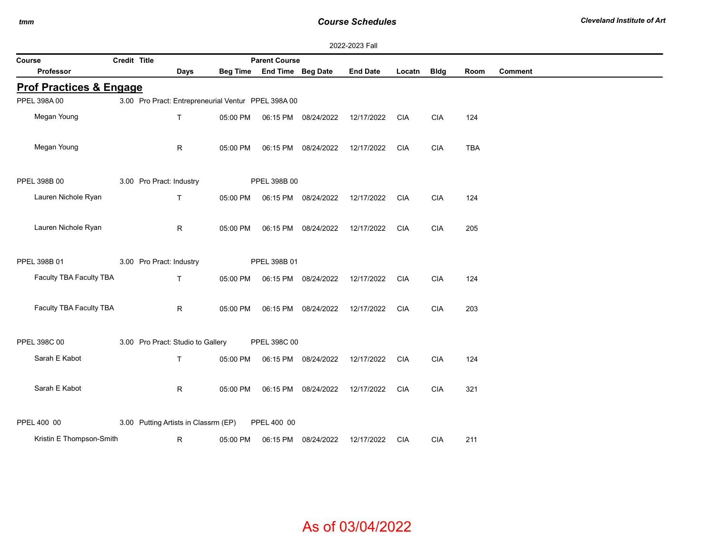## *Course Schedules*

|                                    |                                                     |              |          |                            |                                            | 2022-2023 Fall  |            |             |            |                |
|------------------------------------|-----------------------------------------------------|--------------|----------|----------------------------|--------------------------------------------|-----------------|------------|-------------|------------|----------------|
| Course                             | Credit Title                                        |              |          | <b>Parent Course</b>       |                                            |                 |            |             |            |                |
| Professor                          |                                                     | Days         |          | Beg Time End Time Beg Date |                                            | <b>End Date</b> | Locatn     | <b>Bldg</b> | Room       | <b>Comment</b> |
| <b>Prof Practices &amp; Engage</b> |                                                     |              |          |                            |                                            |                 |            |             |            |                |
| PPEL 398A 00                       | 3.00 Pro Pract: Entrepreneurial Ventur PPEL 398A 00 |              |          |                            |                                            |                 |            |             |            |                |
| Megan Young                        |                                                     | $\mathsf{T}$ | 05:00 PM |                            | 06:15 PM 08/24/2022                        | 12/17/2022      | CIA        | <b>CIA</b>  | 124        |                |
| Megan Young                        |                                                     | R            |          |                            | 05:00 PM   06:15 PM   08/24/2022           | 12/17/2022      | <b>CIA</b> | <b>CIA</b>  | <b>TBA</b> |                |
| PPEL 398B 00                       | 3.00 Pro Pract: Industry                            |              |          | PPEL 398B 00               |                                            |                 |            |             |            |                |
| Lauren Nichole Ryan                |                                                     | T.           | 05:00 PM |                            | 06:15 PM 08/24/2022                        | 12/17/2022      | CIA        | <b>CIA</b>  | 124        |                |
| Lauren Nichole Ryan                |                                                     | R            | 05:00 PM |                            | 06:15 PM 08/24/2022                        | 12/17/2022      | <b>CIA</b> | <b>CIA</b>  | 205        |                |
| PPEL 398B 01                       | 3.00 Pro Pract: Industry                            |              |          | PPEL 398B 01               |                                            |                 |            |             |            |                |
| Faculty TBA Faculty TBA            |                                                     | $\mathsf{T}$ | 05:00 PM |                            | 06:15 PM 08/24/2022                        | 12/17/2022      | <b>CIA</b> | <b>CIA</b>  | 124        |                |
| Faculty TBA Faculty TBA            |                                                     | $\mathsf{R}$ |          |                            | 05:00 PM  06:15 PM  08/24/2022  12/17/2022 |                 | <b>CIA</b> | <b>CIA</b>  | 203        |                |
| PPEL 398C 00                       | 3.00 Pro Pract: Studio to Gallery                   |              |          | PPEL 398C 00               |                                            |                 |            |             |            |                |
| Sarah E Kabot                      |                                                     | $\mathsf{T}$ | 05:00 PM |                            | 06:15 PM 08/24/2022                        | 12/17/2022      | <b>CIA</b> | <b>CIA</b>  | 124        |                |
| Sarah E Kabot                      |                                                     | R            | 05:00 PM |                            | 06:15 PM 08/24/2022                        | 12/17/2022 CIA  |            | <b>CIA</b>  | 321        |                |
| PPEL 400 00                        | 3.00 Putting Artists in Classrm (EP)                |              |          | PPEL 400 00                |                                            |                 |            |             |            |                |
| Kristin E Thompson-Smith           |                                                     | R            | 05:00 PM |                            | 06:15 PM 08/24/2022                        | 12/17/2022      | <b>CIA</b> | <b>CIA</b>  | 211        |                |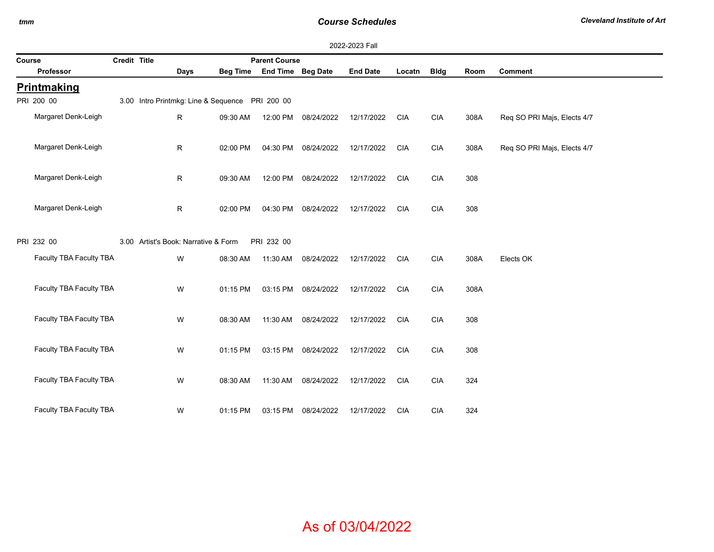## *Course Schedules*

 $\sim$ 

|                         | 2022-2023 Fall |                                                 |                 |                      |            |                 |            |             |      |                             |  |
|-------------------------|----------------|-------------------------------------------------|-----------------|----------------------|------------|-----------------|------------|-------------|------|-----------------------------|--|
| Course                  | Credit Title   |                                                 |                 | <b>Parent Course</b> |            |                 |            |             |      |                             |  |
| Professor               |                | <b>Days</b>                                     | <b>Beg Time</b> | End Time Beg Date    |            | <b>End Date</b> | Locatn     | <b>Bldg</b> | Room | <b>Comment</b>              |  |
| <b>Printmaking</b>      |                |                                                 |                 |                      |            |                 |            |             |      |                             |  |
| PRI 200 00              |                | 3.00 Intro Printmkg: Line & Sequence PRI 200 00 |                 |                      |            |                 |            |             |      |                             |  |
| Margaret Denk-Leigh     |                | R                                               | 09:30 AM        | 12:00 PM             | 08/24/2022 | 12/17/2022      | <b>CIA</b> | <b>CIA</b>  | 308A | Req SO PRI Majs, Elects 4/7 |  |
| Margaret Denk-Leigh     |                | R                                               | 02:00 PM        | 04:30 PM             | 08/24/2022 | 12/17/2022      | <b>CIA</b> | <b>CIA</b>  | 308A | Req SO PRI Majs, Elects 4/7 |  |
| Margaret Denk-Leigh     |                | R                                               | 09:30 AM        | 12:00 PM             | 08/24/2022 | 12/17/2022      | <b>CIA</b> | <b>CIA</b>  | 308  |                             |  |
| Margaret Denk-Leigh     |                | R                                               | 02:00 PM        | 04:30 PM             | 08/24/2022 | 12/17/2022      | <b>CIA</b> | <b>CIA</b>  | 308  |                             |  |
| PRI 232 00              |                | 3.00 Artist's Book: Narrative & Form            |                 | PRI 232 00           |            |                 |            |             |      |                             |  |
| Faculty TBA Faculty TBA |                | W                                               | 08:30 AM        | 11:30 AM             | 08/24/2022 | 12/17/2022      | <b>CIA</b> | <b>CIA</b>  | 308A | Elects OK                   |  |
| Faculty TBA Faculty TBA |                | W                                               | 01:15 PM        | 03:15 PM             | 08/24/2022 | 12/17/2022      | <b>CIA</b> | <b>CIA</b>  | 308A |                             |  |
| Faculty TBA Faculty TBA |                | W                                               | 08:30 AM        | 11:30 AM             | 08/24/2022 | 12/17/2022      | <b>CIA</b> | <b>CIA</b>  | 308  |                             |  |
| Faculty TBA Faculty TBA |                | W                                               | 01:15 PM        | 03:15 PM             | 08/24/2022 | 12/17/2022      | <b>CIA</b> | <b>CIA</b>  | 308  |                             |  |
| Faculty TBA Faculty TBA |                | W                                               | 08:30 AM        | 11:30 AM             | 08/24/2022 | 12/17/2022      | <b>CIA</b> | <b>CIA</b>  | 324  |                             |  |
| Faculty TBA Faculty TBA |                | W                                               | 01:15 PM        | 03:15 PM             | 08/24/2022 | 12/17/2022      | <b>CIA</b> | <b>CIA</b>  | 324  |                             |  |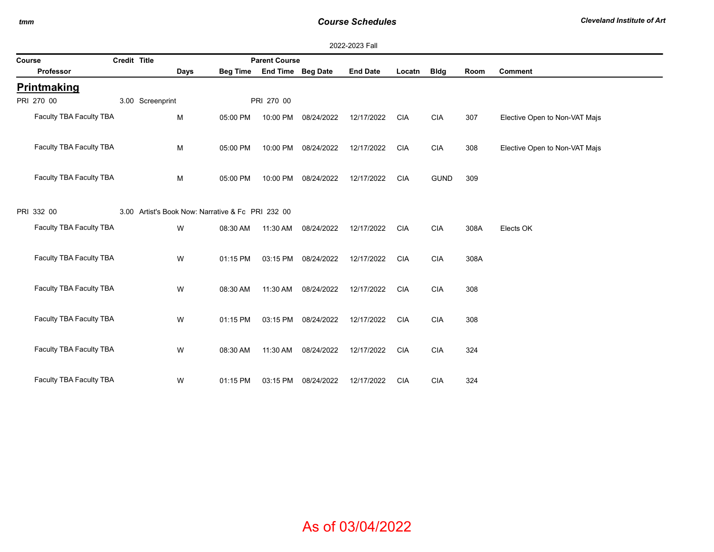## *Course Schedules*

|                         | 2022-2023 Fall<br>Credit Title |                                                   |                 |                      |            |                 |            |             |      |                               |
|-------------------------|--------------------------------|---------------------------------------------------|-----------------|----------------------|------------|-----------------|------------|-------------|------|-------------------------------|
| Course                  |                                |                                                   |                 | <b>Parent Course</b> |            |                 |            |             |      |                               |
| Professor               |                                | <b>Days</b>                                       | <b>Beg Time</b> | End Time Beg Date    |            | <b>End Date</b> | Locatn     | <b>Bldg</b> | Room | <b>Comment</b>                |
| <b>Printmaking</b>      |                                |                                                   |                 |                      |            |                 |            |             |      |                               |
| PRI 270 00              |                                | 3.00 Screenprint                                  |                 | PRI 270 00           |            |                 |            |             |      |                               |
| Faculty TBA Faculty TBA |                                | M                                                 | 05:00 PM        | 10:00 PM             | 08/24/2022 | 12/17/2022      | <b>CIA</b> | <b>CIA</b>  | 307  | Elective Open to Non-VAT Majs |
| Faculty TBA Faculty TBA |                                | M                                                 | 05:00 PM        | 10:00 PM             | 08/24/2022 | 12/17/2022      | <b>CIA</b> | <b>CIA</b>  | 308  | Elective Open to Non-VAT Majs |
| Faculty TBA Faculty TBA |                                | M                                                 | 05:00 PM        | 10:00 PM             | 08/24/2022 | 12/17/2022      | <b>CIA</b> | <b>GUND</b> | 309  |                               |
| PRI 332 00              |                                | 3.00 Artist's Book Now: Narrative & Fc PRI 232 00 |                 |                      |            |                 |            |             |      |                               |
| Faculty TBA Faculty TBA |                                | W                                                 | 08:30 AM        | 11:30 AM             | 08/24/2022 | 12/17/2022      | <b>CIA</b> | <b>CIA</b>  | 308A | Elects OK                     |
| Faculty TBA Faculty TBA |                                | W                                                 | 01:15 PM        | 03:15 PM             | 08/24/2022 | 12/17/2022      | <b>CIA</b> | <b>CIA</b>  | 308A |                               |
| Faculty TBA Faculty TBA |                                | W                                                 | 08:30 AM        | 11:30 AM             | 08/24/2022 | 12/17/2022      | <b>CIA</b> | <b>CIA</b>  | 308  |                               |
| Faculty TBA Faculty TBA |                                | W                                                 | 01:15 PM        | 03:15 PM             | 08/24/2022 | 12/17/2022      | <b>CIA</b> | <b>CIA</b>  | 308  |                               |
| Faculty TBA Faculty TBA |                                | W                                                 | 08:30 AM        | 11:30 AM             | 08/24/2022 | 12/17/2022      | <b>CIA</b> | <b>CIA</b>  | 324  |                               |
| Faculty TBA Faculty TBA |                                | W                                                 | 01:15 PM        | 03:15 PM             | 08/24/2022 | 12/17/2022      | <b>CIA</b> | <b>CIA</b>  | 324  |                               |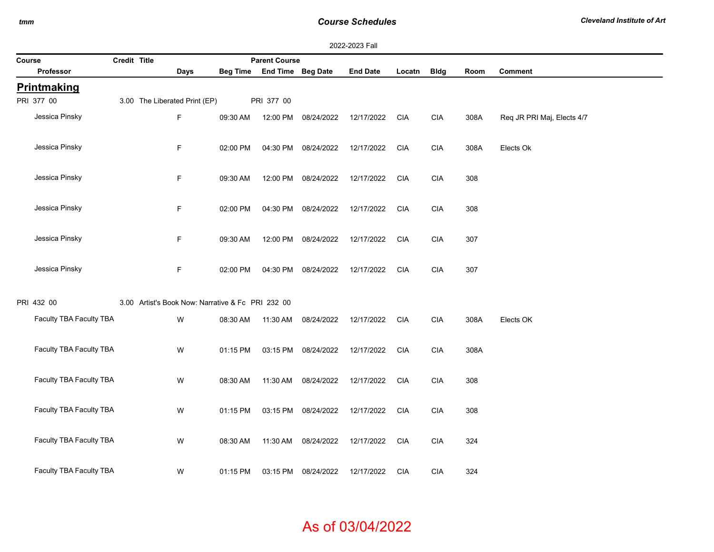### *Course Schedules*

|                         |              |                               |                                                   |                      |                     | 2022-2023 Fall  |            |                |      |                            |
|-------------------------|--------------|-------------------------------|---------------------------------------------------|----------------------|---------------------|-----------------|------------|----------------|------|----------------------------|
| Course                  | Credit Title |                               |                                                   | <b>Parent Course</b> |                     |                 |            |                |      |                            |
| Professor               |              | Days                          | Beg Time                                          | End Time Beg Date    |                     | <b>End Date</b> | Locatn     | <b>Bldg</b>    | Room | <b>Comment</b>             |
| <b>Printmaking</b>      |              |                               |                                                   |                      |                     |                 |            |                |      |                            |
| PRI 377 00              |              | 3.00 The Liberated Print (EP) |                                                   | PRI 377 00           |                     |                 |            |                |      |                            |
| Jessica Pinsky          |              | F                             | 09:30 AM                                          | 12:00 PM             | 08/24/2022          | 12/17/2022      | <b>CIA</b> | $\mathsf{CIA}$ | 308A | Req JR PRI Maj, Elects 4/7 |
| Jessica Pinsky          |              | F                             | 02:00 PM                                          | 04:30 PM             | 08/24/2022          | 12/17/2022      | <b>CIA</b> | $\mathsf{CIA}$ | 308A | Elects Ok                  |
| Jessica Pinsky          |              | F                             | 09:30 AM                                          | 12:00 PM             | 08/24/2022          | 12/17/2022      | <b>CIA</b> | <b>CIA</b>     | 308  |                            |
| Jessica Pinsky          |              | F                             | 02:00 PM                                          | 04:30 PM             | 08/24/2022          | 12/17/2022      | <b>CIA</b> | $\mathsf{CIA}$ | 308  |                            |
| Jessica Pinsky          |              | F                             | 09:30 AM                                          | 12:00 PM             | 08/24/2022          | 12/17/2022      | <b>CIA</b> | $\mathsf{CIA}$ | 307  |                            |
| Jessica Pinsky          |              | F                             | 02:00 PM                                          | 04:30 PM             | 08/24/2022          | 12/17/2022      | <b>CIA</b> | <b>CIA</b>     | 307  |                            |
| PRI 432 00              |              |                               | 3.00 Artist's Book Now: Narrative & Fc PRI 232 00 |                      |                     |                 |            |                |      |                            |
| Faculty TBA Faculty TBA |              | W                             | 08:30 AM                                          | 11:30 AM             | 08/24/2022          | 12/17/2022      | <b>CIA</b> | CIA            | 308A | Elects OK                  |
| Faculty TBA Faculty TBA |              | W                             | 01:15 PM                                          | 03:15 PM             | 08/24/2022          | 12/17/2022      | <b>CIA</b> | $\mathsf{CIA}$ | 308A |                            |
| Faculty TBA Faculty TBA |              | W                             | 08:30 AM                                          | 11:30 AM             | 08/24/2022          | 12/17/2022      | <b>CIA</b> | $\mathsf{CIA}$ | 308  |                            |
| Faculty TBA Faculty TBA |              | W                             | 01:15 PM                                          |                      | 03:15 PM 08/24/2022 | 12/17/2022      | <b>CIA</b> | $\mathsf{CIA}$ | 308  |                            |
| Faculty TBA Faculty TBA |              | W                             | 08:30 AM                                          | 11:30 AM             | 08/24/2022          | 12/17/2022      | <b>CIA</b> | <b>CIA</b>     | 324  |                            |
| Faculty TBA Faculty TBA |              | W                             | 01:15 PM                                          | 03:15 PM             | 08/24/2022          | 12/17/2022      | <b>CIA</b> | <b>CIA</b>     | 324  |                            |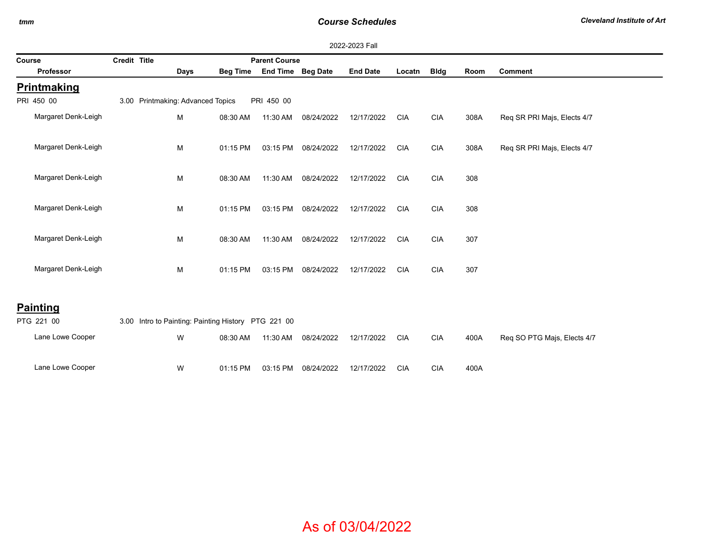## *Course Schedules*

|                               | 2022-2023 Fall                    |      |                                                     |                      |                     |                 |            |             |             |                             |  |
|-------------------------------|-----------------------------------|------|-----------------------------------------------------|----------------------|---------------------|-----------------|------------|-------------|-------------|-----------------------------|--|
| Course                        | Credit Title                      |      |                                                     | <b>Parent Course</b> |                     |                 |            |             |             |                             |  |
| <b>Professor</b>              |                                   | Days | <b>Beg Time</b>                                     | End Time Beg Date    |                     | <b>End Date</b> | Locatn     | <b>Bldg</b> | <b>Room</b> | <b>Comment</b>              |  |
| <b>Printmaking</b>            |                                   |      |                                                     |                      |                     |                 |            |             |             |                             |  |
| PRI 450 00                    | 3.00 Printmaking: Advanced Topics |      |                                                     | PRI 450 00           |                     |                 |            |             |             |                             |  |
| Margaret Denk-Leigh           |                                   | M    | 08:30 AM                                            | 11:30 AM             | 08/24/2022          | 12/17/2022      | <b>CIA</b> | <b>CIA</b>  | 308A        | Req SR PRI Majs, Elects 4/7 |  |
| Margaret Denk-Leigh           |                                   | M    | 01:15 PM                                            |                      | 03:15 PM 08/24/2022 | 12/17/2022      | <b>CIA</b> | <b>CIA</b>  | 308A        | Req SR PRI Majs, Elects 4/7 |  |
| Margaret Denk-Leigh           |                                   | M    | 08:30 AM                                            | 11:30 AM             | 08/24/2022          | 12/17/2022      | <b>CIA</b> | <b>CIA</b>  | 308         |                             |  |
| Margaret Denk-Leigh           |                                   | M    | 01:15 PM                                            | 03:15 PM             | 08/24/2022          | 12/17/2022      | <b>CIA</b> | <b>CIA</b>  | 308         |                             |  |
| Margaret Denk-Leigh           |                                   | M    | 08:30 AM                                            | 11:30 AM             | 08/24/2022          | 12/17/2022      | <b>CIA</b> | <b>CIA</b>  | 307         |                             |  |
| Margaret Denk-Leigh           |                                   | M    | 01:15 PM                                            | 03:15 PM             | 08/24/2022          | 12/17/2022      | <b>CIA</b> | <b>CIA</b>  | 307         |                             |  |
| <b>Painting</b><br>PTG 221 00 |                                   |      | 3.00 Intro to Painting: Painting History PTG 221 00 |                      |                     |                 |            |             |             |                             |  |
| Lane Lowe Cooper              |                                   | W    | 08:30 AM                                            | 11:30 AM             | 08/24/2022          | 12/17/2022      | <b>CIA</b> | <b>CIA</b>  | 400A        | Req SO PTG Majs, Elects 4/7 |  |
| Lane Lowe Cooper              |                                   | W    | 01:15 PM                                            | 03:15 PM             | 08/24/2022          | 12/17/2022      | <b>CIA</b> | <b>CIA</b>  | 400A        |                             |  |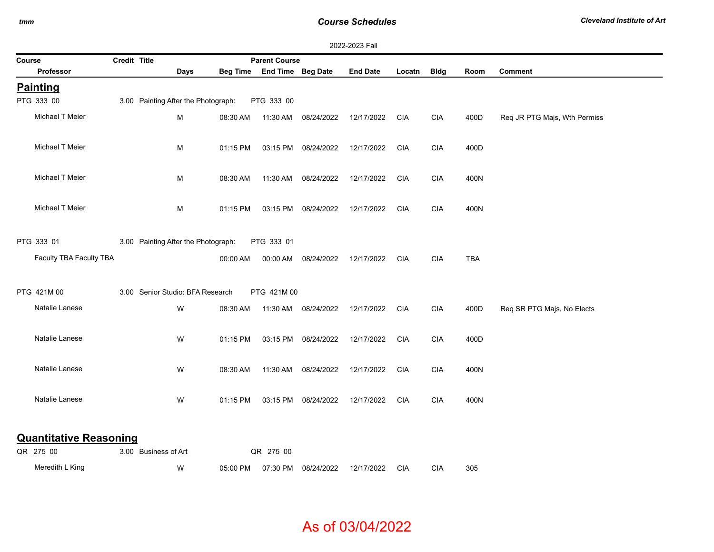## *Course Schedules*

|        | 2022-2023 Fall                |              |                                     |          |                            |                     |                 |            |             |            |                              |
|--------|-------------------------------|--------------|-------------------------------------|----------|----------------------------|---------------------|-----------------|------------|-------------|------------|------------------------------|
| Course |                               | Credit Title |                                     |          | <b>Parent Course</b>       |                     |                 |            |             |            |                              |
|        | Professor                     |              | Days                                |          | Beg Time End Time Beg Date |                     | <b>End Date</b> | Locatn     | <b>Bldg</b> | Room       | <b>Comment</b>               |
|        | <b>Painting</b>               |              |                                     |          |                            |                     |                 |            |             |            |                              |
|        | PTG 333 00                    |              | 3.00 Painting After the Photograph: |          | PTG 333 00                 |                     |                 |            |             |            |                              |
|        | Michael T Meier               |              | M                                   | 08:30 AM | 11:30 AM                   | 08/24/2022          | 12/17/2022      | <b>CIA</b> | <b>CIA</b>  | 400D       | Req JR PTG Majs, Wth Permiss |
|        | Michael T Meier               |              | M                                   | 01:15 PM | 03:15 PM                   | 08/24/2022          | 12/17/2022      | <b>CIA</b> | <b>CIA</b>  | 400D       |                              |
|        | Michael T Meier               |              | M                                   | 08:30 AM |                            | 11:30 AM 08/24/2022 | 12/17/2022      | <b>CIA</b> | <b>CIA</b>  | 400N       |                              |
|        | Michael T Meier               |              | M                                   | 01:15 PM |                            | 03:15 PM 08/24/2022 | 12/17/2022      | <b>CIA</b> | <b>CIA</b>  | 400N       |                              |
|        | PTG 333 01                    |              | 3.00 Painting After the Photograph: |          | PTG 333 01                 |                     |                 |            |             |            |                              |
|        | Faculty TBA Faculty TBA       |              |                                     | 00:00 AM |                            | 00:00 AM 08/24/2022 | 12/17/2022      | CIA        | <b>CIA</b>  | <b>TBA</b> |                              |
|        | PTG 421M 00                   |              | 3.00 Senior Studio: BFA Research    |          | PTG 421M 00                |                     |                 |            |             |            |                              |
|        | Natalie Lanese                |              | W                                   | 08:30 AM |                            | 11:30 AM 08/24/2022 | 12/17/2022      | <b>CIA</b> | <b>CIA</b>  | 400D       | Req SR PTG Majs, No Elects   |
|        | Natalie Lanese                |              | W                                   | 01:15 PM |                            | 03:15 PM 08/24/2022 | 12/17/2022      | <b>CIA</b> | <b>CIA</b>  | 400D       |                              |
|        | Natalie Lanese                |              | W                                   | 08:30 AM | 11:30 AM                   | 08/24/2022          | 12/17/2022      | <b>CIA</b> | <b>CIA</b>  | 400N       |                              |
|        | Natalie Lanese                |              | W                                   | 01:15 PM | 03:15 PM                   | 08/24/2022          | 12/17/2022      | <b>CIA</b> | <b>CIA</b>  | 400N       |                              |
|        | <b>Quantitative Reasoning</b> |              |                                     |          |                            |                     |                 |            |             |            |                              |
|        | QR 275 00                     |              | 3.00 Business of Art                |          | QR 275 00                  |                     |                 |            |             |            |                              |
|        | Meredith L King               |              | W                                   | 05:00 PM | 07:30 PM                   | 08/24/2022          | 12/17/2022      | <b>CIA</b> | <b>CIA</b>  | 305        |                              |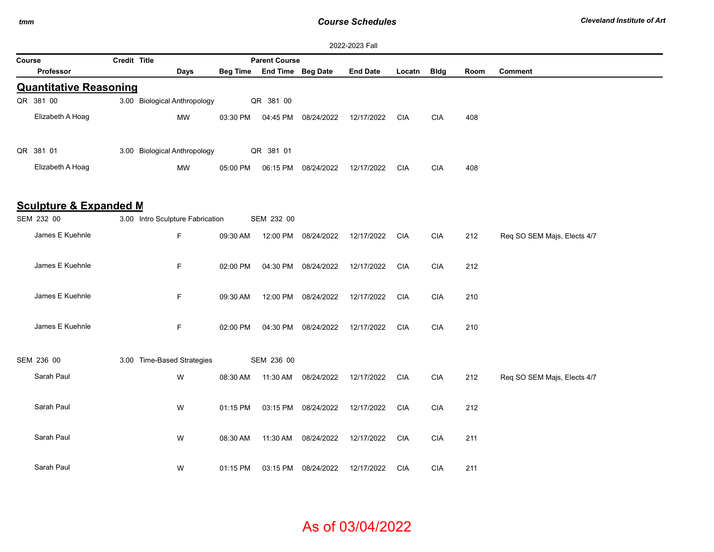### *Course Schedules*

|        | 2022-2023 Fall                    |              |                                  |          |                            |                     |                 |            |                |      |                             |  |
|--------|-----------------------------------|--------------|----------------------------------|----------|----------------------------|---------------------|-----------------|------------|----------------|------|-----------------------------|--|
| Course |                                   | Credit Title |                                  |          | <b>Parent Course</b>       |                     |                 |            |                |      |                             |  |
|        | Professor                         |              | <b>Days</b>                      |          | Beg Time End Time Beg Date |                     | <b>End Date</b> | Locatn     | <b>Bldg</b>    | Room | <b>Comment</b>              |  |
|        | <b>Quantitative Reasoning</b>     |              |                                  |          |                            |                     |                 |            |                |      |                             |  |
|        | QR 381 00                         |              | 3.00 Biological Anthropology     |          | QR 381 00                  |                     |                 |            |                |      |                             |  |
|        | Elizabeth A Hoag                  |              | <b>MW</b>                        | 03:30 PM | 04:45 PM                   | 08/24/2022          | 12/17/2022      | <b>CIA</b> | <b>CIA</b>     | 408  |                             |  |
|        | QR 381 01                         |              | 3.00 Biological Anthropology     |          | QR 381 01                  |                     |                 |            |                |      |                             |  |
|        | Elizabeth A Hoag                  |              | <b>MW</b>                        | 05:00 PM | 06:15 PM                   | 08/24/2022          | 12/17/2022      | CIA        | <b>CIA</b>     | 408  |                             |  |
|        | <b>Sculpture &amp; Expanded M</b> |              |                                  |          |                            |                     |                 |            |                |      |                             |  |
|        | SEM 232 00                        |              | 3.00 Intro Sculpture Fabrication |          | SEM 232 00                 |                     |                 |            |                |      |                             |  |
|        | James E Kuehnle                   |              | F                                | 09:30 AM | 12:00 PM                   | 08/24/2022          | 12/17/2022      | <b>CIA</b> | <b>CIA</b>     | 212  | Req SO SEM Majs, Elects 4/7 |  |
|        | James E Kuehnle                   |              | F                                | 02:00 PM | 04:30 PM                   | 08/24/2022          | 12/17/2022      | <b>CIA</b> | <b>CIA</b>     | 212  |                             |  |
|        | James E Kuehnle                   |              | F                                | 09:30 AM | 12:00 PM                   | 08/24/2022          | 12/17/2022      | <b>CIA</b> | <b>CIA</b>     | 210  |                             |  |
|        | James E Kuehnle                   |              | F                                | 02:00 PM |                            | 04:30 PM 08/24/2022 | 12/17/2022      | <b>CIA</b> | <b>CIA</b>     | 210  |                             |  |
|        | SEM 236 00                        |              | 3.00 Time-Based Strategies       |          | SEM 236 00                 |                     |                 |            |                |      |                             |  |
|        | Sarah Paul                        |              | W                                | 08:30 AM | 11:30 AM                   | 08/24/2022          | 12/17/2022      | <b>CIA</b> | $\mathsf{CIA}$ | 212  | Req SO SEM Majs, Elects 4/7 |  |
|        | Sarah Paul                        |              | W                                | 01:15 PM | 03:15 PM                   | 08/24/2022          | 12/17/2022      | <b>CIA</b> | <b>CIA</b>     | 212  |                             |  |
|        | Sarah Paul                        |              | W                                | 08:30 AM | 11:30 AM                   | 08/24/2022          | 12/17/2022      | <b>CIA</b> | <b>CIA</b>     | 211  |                             |  |
|        | Sarah Paul                        |              | W                                | 01:15 PM | 03:15 PM                   | 08/24/2022          | 12/17/2022      | <b>CIA</b> | <b>CIA</b>     | 211  |                             |  |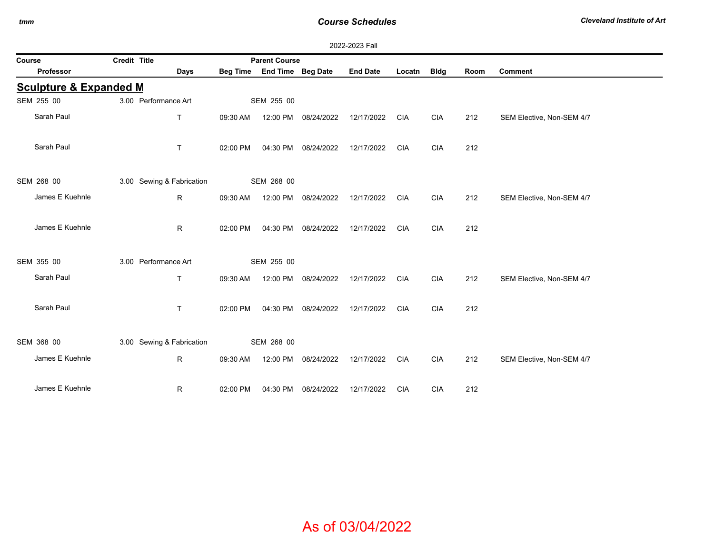## *Course Schedules*

 $\overline{\phantom{a}}$ 

|        |                                   |              |                           |          |                            |            | 2022-2023 Fall  |            |            |      |                           |
|--------|-----------------------------------|--------------|---------------------------|----------|----------------------------|------------|-----------------|------------|------------|------|---------------------------|
| Course |                                   | Credit Title |                           |          | <b>Parent Course</b>       |            |                 |            |            |      |                           |
|        | <b>Professor</b>                  |              | Days                      |          | Beg Time End Time Beg Date |            | <b>End Date</b> | Locatn     | Bldg       | Room | <b>Comment</b>            |
|        | <b>Sculpture &amp; Expanded M</b> |              |                           |          |                            |            |                 |            |            |      |                           |
|        | SEM 255 00                        |              | 3.00 Performance Art      |          | SEM 255 00                 |            |                 |            |            |      |                           |
|        | Sarah Paul                        |              | $\mathsf{T}$              | 09:30 AM | 12:00 PM                   | 08/24/2022 | 12/17/2022      | <b>CIA</b> | <b>CIA</b> | 212  | SEM Elective, Non-SEM 4/7 |
|        | Sarah Paul                        |              | $\mathsf{T}$              | 02:00 PM | 04:30 PM                   | 08/24/2022 | 12/17/2022      | <b>CIA</b> | <b>CIA</b> | 212  |                           |
|        | SEM 268 00                        |              | 3.00 Sewing & Fabrication |          | SEM 268 00                 |            |                 |            |            |      |                           |
|        | James E Kuehnle                   |              | R                         | 09:30 AM | 12:00 PM                   | 08/24/2022 | 12/17/2022      | <b>CIA</b> | <b>CIA</b> | 212  | SEM Elective, Non-SEM 4/7 |
|        | James E Kuehnle                   |              | $\mathsf{R}$              | 02:00 PM | 04:30 PM                   | 08/24/2022 | 12/17/2022      | <b>CIA</b> | <b>CIA</b> | 212  |                           |
|        | SEM 355 00                        |              | 3.00 Performance Art      |          | SEM 255 00                 |            |                 |            |            |      |                           |
|        | Sarah Paul                        |              | $\mathsf{T}$              | 09:30 AM | 12:00 PM                   | 08/24/2022 | 12/17/2022      | <b>CIA</b> | <b>CIA</b> | 212  | SEM Elective, Non-SEM 4/7 |
|        | Sarah Paul                        |              | $\mathsf{T}$              | 02:00 PM | 04:30 PM                   | 08/24/2022 | 12/17/2022      | <b>CIA</b> | <b>CIA</b> | 212  |                           |
|        | SEM 368 00                        |              | 3.00 Sewing & Fabrication |          | SEM 268 00                 |            |                 |            |            |      |                           |
|        | James E Kuehnle                   |              | R                         | 09:30 AM | 12:00 PM                   | 08/24/2022 | 12/17/2022      | CIA        | <b>CIA</b> | 212  | SEM Elective, Non-SEM 4/7 |
|        | James E Kuehnle                   |              | R                         | 02:00 PM | 04:30 PM                   | 08/24/2022 | 12/17/2022      | <b>CIA</b> | <b>CIA</b> | 212  |                           |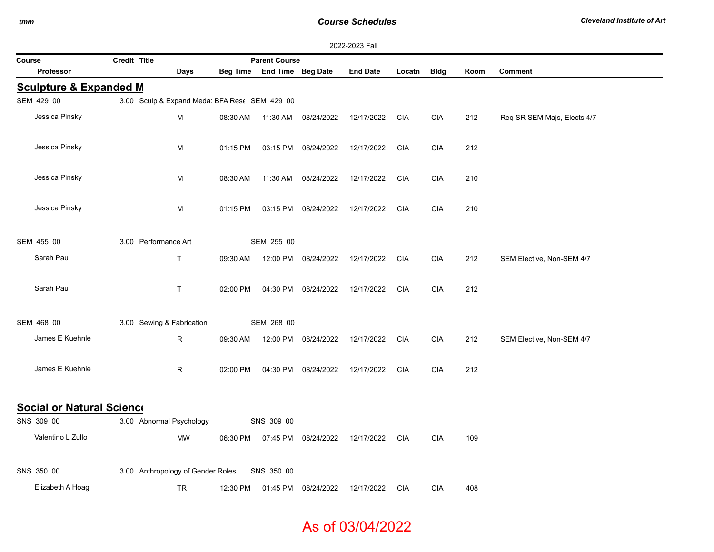### *Course Schedules*

|                                   |                                               |              |          |                            |                     | 2022-2023 Fall  |            |             |      |                             |
|-----------------------------------|-----------------------------------------------|--------------|----------|----------------------------|---------------------|-----------------|------------|-------------|------|-----------------------------|
| Course                            | Credit Title                                  |              |          | <b>Parent Course</b>       |                     |                 |            |             |      |                             |
| <b>Professor</b>                  |                                               | Days         |          | Beg Time End Time Beg Date |                     | <b>End Date</b> | Locatn     | <b>Bldg</b> | Room | Comment                     |
| <b>Sculpture &amp; Expanded M</b> |                                               |              |          |                            |                     |                 |            |             |      |                             |
| SEM 429 00                        | 3.00 Sculp & Expand Meda: BFA Rese SEM 429 00 |              |          |                            |                     |                 |            |             |      |                             |
| Jessica Pinsky                    |                                               | М            | 08:30 AM | 11:30 AM                   | 08/24/2022          | 12/17/2022      | CIA        | <b>CIA</b>  | 212  | Req SR SEM Majs, Elects 4/7 |
| Jessica Pinsky                    |                                               | M            | 01:15 PM | 03:15 PM                   | 08/24/2022          | 12/17/2022      | <b>CIA</b> | <b>CIA</b>  | 212  |                             |
| Jessica Pinsky                    |                                               | м            | 08:30 AM | 11:30 AM                   | 08/24/2022          | 12/17/2022      | <b>CIA</b> | <b>CIA</b>  | 210  |                             |
| Jessica Pinsky                    |                                               | М            | 01:15 PM |                            | 03:15 PM 08/24/2022 | 12/17/2022      | <b>CIA</b> | <b>CIA</b>  | 210  |                             |
| SEM 455 00                        | 3.00 Performance Art                          |              |          | SEM 255 00                 |                     |                 |            |             |      |                             |
| Sarah Paul                        |                                               | $\mathsf{T}$ | 09:30 AM |                            | 12:00 PM 08/24/2022 | 12/17/2022      | CIA        | <b>CIA</b>  | 212  | SEM Elective, Non-SEM 4/7   |
| Sarah Paul                        |                                               | $\mathsf{T}$ | 02:00 PM | 04:30 PM                   | 08/24/2022          | 12/17/2022      | <b>CIA</b> | <b>CIA</b>  | 212  |                             |
| SEM 468 00                        | 3.00 Sewing & Fabrication                     |              |          | SEM 268 00                 |                     |                 |            |             |      |                             |
| James E Kuehnle                   |                                               | R            | 09:30 AM | 12:00 PM                   | 08/24/2022          | 12/17/2022      | CIA        | <b>CIA</b>  | 212  | SEM Elective, Non-SEM 4/7   |
| James E Kuehnle                   |                                               | R            | 02:00 PM | 04:30 PM                   | 08/24/2022          | 12/17/2022      | <b>CIA</b> | <b>CIA</b>  | 212  |                             |
| Social or Natural Science         |                                               |              |          |                            |                     |                 |            |             |      |                             |
| SNS 309 00                        | 3.00 Abnormal Psychology                      |              |          | SNS 309 00                 |                     |                 |            |             |      |                             |
| Valentino L Zullo                 |                                               | MW           | 06:30 PM |                            | 07:45 PM 08/24/2022 | 12/17/2022      | <b>CIA</b> | <b>CIA</b>  | 109  |                             |
| SNS 350 00                        | 3.00 Anthropology of Gender Roles             |              |          | SNS 350 00                 |                     |                 |            |             |      |                             |
| Elizabeth A Hoag                  |                                               | <b>TR</b>    | 12:30 PM | 01:45 PM                   | 08/24/2022          | 12/17/2022      | <b>CIA</b> | <b>CIA</b>  | 408  |                             |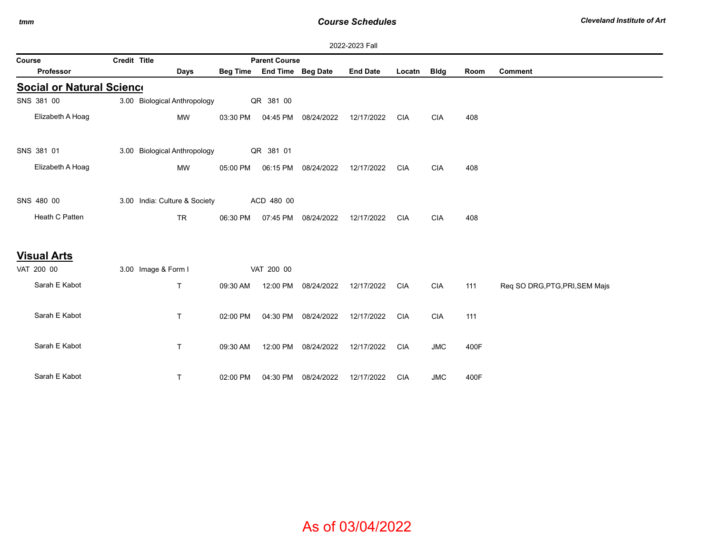## *Course Schedules*

|                                  | 2022-2023 Fall |                               |          |                            |                     |                 |            |             |      |                                |  |
|----------------------------------|----------------|-------------------------------|----------|----------------------------|---------------------|-----------------|------------|-------------|------|--------------------------------|--|
| Course                           | Credit Title   |                               |          | <b>Parent Course</b>       |                     |                 |            |             |      |                                |  |
| Professor                        |                | Days                          |          | Beg Time End Time Beg Date |                     | <b>End Date</b> | Locatn     | <b>Bldg</b> | Room | <b>Comment</b>                 |  |
| <b>Social or Natural Science</b> |                |                               |          |                            |                     |                 |            |             |      |                                |  |
| SNS 381 00                       |                | 3.00 Biological Anthropology  |          | QR 381 00                  |                     |                 |            |             |      |                                |  |
| Elizabeth A Hoag                 |                | <b>MW</b>                     | 03:30 PM | 04:45 PM                   | 08/24/2022          | 12/17/2022      | <b>CIA</b> | <b>CIA</b>  | 408  |                                |  |
| SNS 381 01                       |                | 3.00 Biological Anthropology  |          | QR 381 01                  |                     |                 |            |             |      |                                |  |
| Elizabeth A Hoag                 |                | <b>MW</b>                     | 05:00 PM |                            | 06:15 PM 08/24/2022 | 12/17/2022      | <b>CIA</b> | <b>CIA</b>  | 408  |                                |  |
| SNS 480 00                       |                | 3.00 India: Culture & Society |          | ACD 480 00                 |                     |                 |            |             |      |                                |  |
| Heath C Patten                   |                | <b>TR</b>                     | 06:30 PM | 07:45 PM                   | 08/24/2022          | 12/17/2022      | <b>CIA</b> | <b>CIA</b>  | 408  |                                |  |
| <b>Visual Arts</b>               |                |                               |          |                            |                     |                 |            |             |      |                                |  |
| VAT 200 00                       |                | 3.00 Image & Form I           |          | VAT 200 00                 |                     |                 |            |             |      |                                |  |
| Sarah E Kabot                    |                | $\mathsf{T}$                  | 09:30 AM |                            | 12:00 PM 08/24/2022 | 12/17/2022      | <b>CIA</b> | <b>CIA</b>  | 111  | Req SO DRG, PTG, PRI, SEM Majs |  |
| Sarah E Kabot                    |                | $\mathsf{T}$                  | 02:00 PM |                            | 04:30 PM 08/24/2022 | 12/17/2022      | <b>CIA</b> | <b>CIA</b>  | 111  |                                |  |
| Sarah E Kabot                    |                | $\mathsf{T}$                  | 09:30 AM |                            | 12:00 PM 08/24/2022 | 12/17/2022      | <b>CIA</b> | <b>JMC</b>  | 400F |                                |  |
| Sarah E Kabot                    |                | $\mathsf{T}$                  | 02:00 PM | 04:30 PM                   | 08/24/2022          | 12/17/2022      | <b>CIA</b> | <b>JMC</b>  | 400F |                                |  |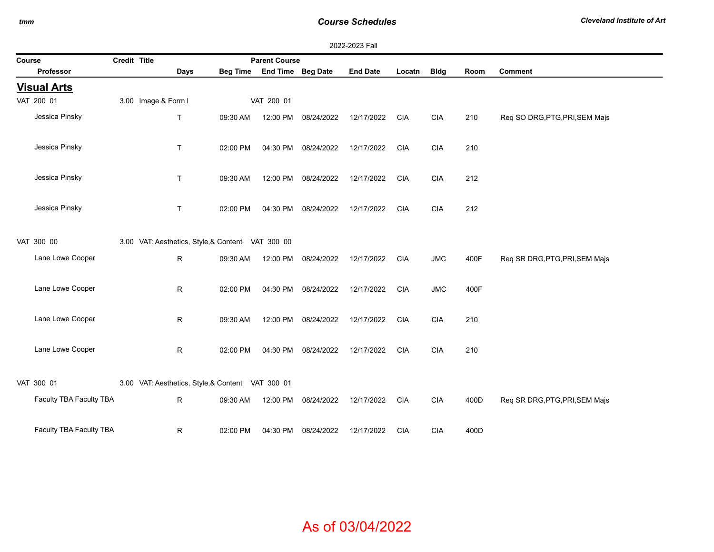## *Course Schedules*

|        |                         |                                                   |              |          |                            |                     | 2022-2023 Fall  |            |             |      |                                |
|--------|-------------------------|---------------------------------------------------|--------------|----------|----------------------------|---------------------|-----------------|------------|-------------|------|--------------------------------|
| Course |                         | Credit Title                                      |              |          | <b>Parent Course</b>       |                     |                 |            |             |      |                                |
|        | Professor               |                                                   | Days         |          | Beg Time End Time Beg Date |                     | <b>End Date</b> | Locatn     | <b>Bldg</b> | Room | <b>Comment</b>                 |
|        | <b>Visual Arts</b>      |                                                   |              |          |                            |                     |                 |            |             |      |                                |
|        | VAT 200 01              | 3.00 Image & Form I                               |              |          | VAT 200 01                 |                     |                 |            |             |      |                                |
|        | Jessica Pinsky          |                                                   | T            | 09:30 AM | 12:00 PM                   | 08/24/2022          | 12/17/2022      | <b>CIA</b> | <b>CIA</b>  | 210  | Req SO DRG, PTG, PRI, SEM Majs |
|        | Jessica Pinsky          |                                                   | T.           | 02:00 PM |                            | 04:30 PM 08/24/2022 | 12/17/2022      | <b>CIA</b> | <b>CIA</b>  | 210  |                                |
|        | Jessica Pinsky          |                                                   | T.           | 09:30 AM |                            | 12:00 PM 08/24/2022 | 12/17/2022      | <b>CIA</b> | <b>CIA</b>  | 212  |                                |
|        | Jessica Pinsky          |                                                   | T.           | 02:00 PM |                            | 04:30 PM 08/24/2022 | 12/17/2022      | <b>CIA</b> | <b>CIA</b>  | 212  |                                |
|        | VAT 300 00              | 3.00 VAT: Aesthetics, Style,& Content VAT 300 00  |              |          |                            |                     |                 |            |             |      |                                |
|        | Lane Lowe Cooper        |                                                   | $\mathsf{R}$ | 09:30 AM | 12:00 PM                   | 08/24/2022          | 12/17/2022      | <b>CIA</b> | <b>JMC</b>  | 400F | Req SR DRG, PTG, PRI, SEM Majs |
|        | Lane Lowe Cooper        |                                                   | R            | 02:00 PM | 04:30 PM                   | 08/24/2022          | 12/17/2022      | <b>CIA</b> | <b>JMC</b>  | 400F |                                |
|        | Lane Lowe Cooper        |                                                   | R            | 09:30 AM | 12:00 PM                   | 08/24/2022          | 12/17/2022      | <b>CIA</b> | <b>CIA</b>  | 210  |                                |
|        | Lane Lowe Cooper        |                                                   | R            | 02:00 PM | 04:30 PM                   | 08/24/2022          | 12/17/2022      | <b>CIA</b> | <b>CIA</b>  | 210  |                                |
|        | VAT 300 01              | 3.00 VAT: Aesthetics, Style, & Content VAT 300 01 |              |          |                            |                     |                 |            |             |      |                                |
|        | Faculty TBA Faculty TBA |                                                   | R            | 09:30 AM | 12:00 PM                   | 08/24/2022          | 12/17/2022      | <b>CIA</b> | <b>CIA</b>  | 400D | Req SR DRG, PTG, PRI, SEM Majs |
|        | Faculty TBA Faculty TBA |                                                   | R.           | 02:00 PM | 04:30 PM                   | 08/24/2022          | 12/17/2022      | <b>CIA</b> | <b>CIA</b>  | 400D |                                |